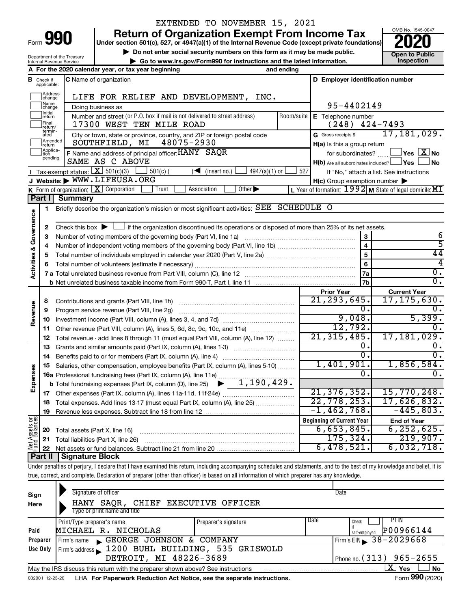| Form |  |
|------|--|

Department of the Treasury Internal Revenue Service

# EXTENDED TO NOVEMBER 15, 2021

**990** Return of Organization Exempt From Income Tax **Punce 1845-004 Puncer section 501(c), 527, or 4947(a)(1) of the Internal Revenue Code (except private foundations) <b>2020** 

▶ Do not enter social security numbers on this form as it may be made public. <br>● Go to www.irs.gov/Form990 for instructions and the latest information. **Department in the latest** information. **| Go to www.irs.gov/Form990 for instructions and the latest information. Inspection**

OMB No. 1545-0047

|                                      |                                  | A For the 2020 calendar year, or tax year beginning                                                                                                                       | and ending         |                                                         |                                                                 |
|--------------------------------------|----------------------------------|---------------------------------------------------------------------------------------------------------------------------------------------------------------------------|--------------------|---------------------------------------------------------|-----------------------------------------------------------------|
| В                                    | Check if<br>applicable:          | <b>C</b> Name of organization                                                                                                                                             |                    | D Employer identification number                        |                                                                 |
|                                      | Address<br>change                | LIFE FOR RELIEF AND DEVELOPMENT, INC.                                                                                                                                     |                    |                                                         |                                                                 |
|                                      | Name<br>change                   | Doing business as                                                                                                                                                         | 95-4402149         |                                                         |                                                                 |
|                                      | Initia <mark>l</mark><br> return | Number and street (or P.O. box if mail is not delivered to street address)<br>Room/suite                                                                                  | E Telephone number |                                                         |                                                                 |
|                                      | Final<br> return/                | 17300 WEST TEN MILE ROAD                                                                                                                                                  |                    | $(248)$ 424-7493                                        |                                                                 |
|                                      | termin-<br>ated                  | City or town, state or province, country, and ZIP or foreign postal code                                                                                                  |                    | G Gross receipts \$                                     | 17,181,029.                                                     |
|                                      | Amended<br>return                | 48075-2930<br>SOUTHFIELD, MI                                                                                                                                              |                    | $H(a)$ is this a group return                           |                                                                 |
|                                      | Applica-                         | F Name and address of principal officer: HANY SAQR                                                                                                                        |                    | for subordinates?                                       | $ {\mathsf Y}{\mathsf e}{\mathsf s} \mathrel{ } {\mathsf X}$ No |
|                                      | pending                          | SAME AS C ABOVE                                                                                                                                                           |                    | $H(b)$ Are all subordinates included? $\Box$ Yes $\Box$ | J No                                                            |
|                                      |                                  | <b>I</b> Tax-exempt status: $X \ 501(c)(3)$<br>$4947(a)(1)$ or<br>$501(c)$ (<br>$\sqrt{\frac{1}{1}}$ (insert no.)                                                         | 527                |                                                         | If "No," attach a list. See instructions                        |
|                                      |                                  | J Website: WWW.LIFEUSA.ORG                                                                                                                                                |                    | $H(c)$ Group exemption number $\blacktriangleright$     |                                                                 |
|                                      |                                  | <b>K</b> Form of organization: $X$ Corporation<br>Association<br>Other $\blacktriangleright$<br>Trust                                                                     |                    |                                                         | L Year of formation: $1992$ M State of legal domicile: MI       |
|                                      | Part I                           | <b>Summary</b>                                                                                                                                                            |                    |                                                         |                                                                 |
|                                      | 1                                | Briefly describe the organization's mission or most significant activities: SEE SCHEDULE O                                                                                |                    |                                                         |                                                                 |
|                                      |                                  |                                                                                                                                                                           |                    |                                                         |                                                                 |
| <b>Activities &amp; Governance</b>   | 2                                | Check this box $\blacktriangleright$ $\Box$ if the organization discontinued its operations or disposed of more than 25% of its net assets.                               |                    |                                                         |                                                                 |
|                                      | З                                | Number of voting members of the governing body (Part VI, line 1a)                                                                                                         |                    | 3                                                       | 6                                                               |
|                                      | 4                                |                                                                                                                                                                           |                    | $\overline{\mathbf{4}}$                                 | $\overline{5}$                                                  |
|                                      | 5                                |                                                                                                                                                                           |                    | 5                                                       | 44                                                              |
|                                      |                                  |                                                                                                                                                                           |                    | 6                                                       | 4                                                               |
|                                      |                                  |                                                                                                                                                                           |                    | 7a                                                      | 0.                                                              |
|                                      |                                  |                                                                                                                                                                           |                    | 7b                                                      | $\overline{0}$ .                                                |
|                                      |                                  |                                                                                                                                                                           |                    | <b>Prior Year</b>                                       | <b>Current Year</b>                                             |
|                                      | 8                                | Contributions and grants (Part VIII, line 1h)                                                                                                                             |                    | 21, 293, 645.                                           | 17, 175, 630.                                                   |
| Revenue                              | 9                                | Program service revenue (Part VIII, line 2g)                                                                                                                              |                    | 0.                                                      | 0.                                                              |
|                                      | 10                               |                                                                                                                                                                           |                    | 9,048.                                                  | 5,399.                                                          |
|                                      | 11                               | Other revenue (Part VIII, column (A), lines 5, 6d, 8c, 9c, 10c, and 11e)                                                                                                  |                    | 12,792.                                                 | Ω.                                                              |
|                                      | 12                               | Total revenue - add lines 8 through 11 (must equal Part VIII, column (A), line 12)                                                                                        |                    | 21, 315, 485.                                           | 17, 181, 029.                                                   |
|                                      | 13                               | Grants and similar amounts paid (Part IX, column (A), lines 1-3)                                                                                                          |                    | о.                                                      | 0.                                                              |
|                                      | 14                               |                                                                                                                                                                           |                    | О.<br>1,401,901.                                        | 0.                                                              |
| Expenses                             | 15                               | Salaries, other compensation, employee benefits (Part IX, column (A), lines 5-10)                                                                                         |                    | 0.                                                      | 1,856,584.<br>ο.                                                |
|                                      |                                  | <b>16a</b> Professional fundraising fees (Part IX, column (A), line 11e)<br><b>b</b> Total fundraising expenses (Part IX, column (D), line 25) $\rightarrow$ 1, 190, 429. |                    |                                                         |                                                                 |
|                                      |                                  |                                                                                                                                                                           |                    | 21, 376, 352.                                           | 15,770,248.                                                     |
|                                      | 17                               |                                                                                                                                                                           |                    | 22,778,253.                                             | 17,626,832.                                                     |
|                                      | 18                               | Total expenses. Add lines 13-17 (must equal Part IX, column (A), line 25)                                                                                                 |                    | $-1,462,768.$                                           | $-445,803.$                                                     |
|                                      | 19                               |                                                                                                                                                                           |                    |                                                         |                                                                 |
| <b>Jet Assets or</b><br>und Balances |                                  |                                                                                                                                                                           |                    | <b>Beginning of Current Year</b>                        | <b>End of Year</b>                                              |
|                                      | 20                               | Total assets (Part X, line 16)                                                                                                                                            |                    | 6,653,845.                                              | 6, 252, 625.                                                    |
|                                      | 21                               | Total liabilities (Part X, line 26)                                                                                                                                       |                    | 175, 324.                                               | 219,907.                                                        |
|                                      | 22                               |                                                                                                                                                                           |                    | 6,478,521.                                              | 6,032,718.                                                      |
|                                      | Part II                          | <b>Signature Block</b>                                                                                                                                                    |                    |                                                         |                                                                 |

Under penalties of perjury, I declare that I have examined this return, including accompanying schedules and statements, and to the best of my knowledge and belief, it is true, correct, and complete. Declaration of preparer (other than officer) is based on all information of which preparer has any knowledge.

| Sign<br>Here | Signature of officer<br>HANY SAOR, CHIEF EXECUTIVE OFFICER<br>Type or print name and title |                            |      | Date                             |
|--------------|--------------------------------------------------------------------------------------------|----------------------------|------|----------------------------------|
|              | Print/Type preparer's name                                                                 | Preparer's signature       | Date | <b>PTIN</b><br>Check             |
| Paid         | MICHAEL R. NICHOLAS                                                                        |                            |      | P00966144<br>self-employed       |
| Preparer     | GEORGE JOHNSON & COMPANY<br>Firm's name                                                    |                            |      | Firm's EIN $\geq 38 - 2029668$   |
| Use Only     | Firm's address 1200 BUHL BUILDING, 535 GRISWOLD                                            |                            |      |                                  |
|              | DETROIT, MI 48226-3689                                                                     | Phone no. $(313)$ 965-2655 |      |                                  |
|              | May the IRS discuss this return with the preparer shown above? See instructions            |                            |      | $\mathbf{X}$ Yes<br><b>No</b>    |
|              | 200001 10.00.00 UUA For Denoruork Poduction Act Notice, see the concrete instructions      |                            |      | $F_{\rm arm}$ QQ $\Omega$ (2020) |

032001 12-23-20 LHA For Paperwork Reduction Act Notice, see the separate instructions. Form 990 (2020)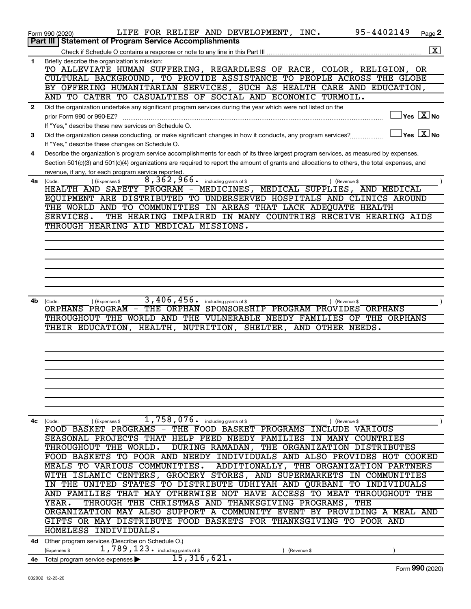|              | LIFE FOR RELIEF AND DEVELOPMENT, INC.<br>Form 990 (2020)                                                                                     | 95-4402149  | Page 2                                            |
|--------------|----------------------------------------------------------------------------------------------------------------------------------------------|-------------|---------------------------------------------------|
|              | <b>Statement of Program Service Accomplishments</b><br>Part III                                                                              |             |                                                   |
|              |                                                                                                                                              |             | $\boxed{\text{X}}$                                |
| 1            | Briefly describe the organization's mission:                                                                                                 |             |                                                   |
|              | TO ALLEVIATE HUMAN SUFFERING, REGARDLESS OF RACE, COLOR, RELIGION, OR                                                                        |             |                                                   |
|              | CULTURAL BACKGROUND, TO PROVIDE ASSISTANCE TO PEOPLE ACROSS THE GLOBE                                                                        |             |                                                   |
|              | BY OFFERING HUMANITARIAN SERVICES, SUCH AS HEALTH CARE AND EDUCATION,                                                                        |             |                                                   |
|              | AND TO CATER TO CASUALTIES OF SOCIAL AND ECONOMIC TURMOIL.                                                                                   |             |                                                   |
| $\mathbf{2}$ | Did the organization undertake any significant program services during the year which were not listed on the                                 |             |                                                   |
|              | prior Form 990 or 990-EZ?                                                                                                                    |             | $ {\mathsf Y}\mathsf{es}\ \boxed{{\mathsf X}}$ No |
|              | If "Yes," describe these new services on Schedule O.                                                                                         |             | $\sqrt{}$ Yes $\sqrt{ \ \overline{\text{X}}}$ No  |
| 3            | Did the organization cease conducting, or make significant changes in how it conducts, any program services?                                 |             |                                                   |
|              | If "Yes," describe these changes on Schedule O.                                                                                              |             |                                                   |
| 4            | Describe the organization's program service accomplishments for each of its three largest program services, as measured by expenses.         |             |                                                   |
|              | Section 501(c)(3) and 501(c)(4) organizations are required to report the amount of grants and allocations to others, the total expenses, and |             |                                                   |
| 4a           | revenue, if any, for each program service reported.<br>$\overline{8,362,966}$ . including grants of \$<br>) (Expenses \$<br>) (Revenue \$    |             |                                                   |
|              | (Code:<br>HEALTH AND SAFETY PROGRAM - MEDICINES, MEDICAL SUPPLIES, AND MEDICAL                                                               |             |                                                   |
|              | EQUIPMENT ARE DISTRIBUTED TO UNDERSERVED HOSPITALS AND CLINICS AROUND                                                                        |             |                                                   |
|              | THE WORLD AND TO COMMUNITIES IN AREAS THAT LACK ADEQUATE HEALTH                                                                              |             |                                                   |
|              | SERVICES.<br>THE HEARING IMPAIRED IN MANY COUNTRIES RECEIVE HEARING AIDS                                                                     |             |                                                   |
|              | THROUGH HEARING AID MEDICAL MISSIONS.                                                                                                        |             |                                                   |
|              |                                                                                                                                              |             |                                                   |
|              |                                                                                                                                              |             |                                                   |
|              |                                                                                                                                              |             |                                                   |
|              |                                                                                                                                              |             |                                                   |
|              |                                                                                                                                              |             |                                                   |
|              |                                                                                                                                              |             |                                                   |
|              |                                                                                                                                              |             |                                                   |
| 4b           | 3,406,456.<br>including grants of \$<br>) (Expenses \$<br>) (Revenue \$<br>(Code:                                                            |             |                                                   |
|              | THE ORPHAN<br>ORPHANS PROGRAM -<br>SPONSORSHIP PROGRAM PROVIDES ORPHANS                                                                      |             |                                                   |
|              | THROUGHOUT THE WORLD AND THE VULNERABLE NEEDY FAMILIES OF THE ORPHANS                                                                        |             |                                                   |
|              | HEALTH, NUTRITION, SHELTER, AND OTHER NEEDS.<br>THEIR EDUCATION,                                                                             |             |                                                   |
|              |                                                                                                                                              |             |                                                   |
|              |                                                                                                                                              |             |                                                   |
|              |                                                                                                                                              |             |                                                   |
|              |                                                                                                                                              |             |                                                   |
|              |                                                                                                                                              |             |                                                   |
|              |                                                                                                                                              |             |                                                   |
|              |                                                                                                                                              |             |                                                   |
|              |                                                                                                                                              |             |                                                   |
| 4c           | $\overline{1}$ , 758, 076. including grants of \$<br>) (Revenue \$<br>(Code:<br>(Expenses \$                                                 |             |                                                   |
|              | FOOD BASKET PROGRAMS - THE FOOD BASKET PROGRAMS INCLUDE VARIOUS                                                                              |             |                                                   |
|              | SEASONAL PROJECTS THAT HELP FEED NEEDY FAMILIES IN MANY                                                                                      | COUNTRIES   |                                                   |
|              | THROUGHOUT THE WORLD.<br>DURING RAMADAN, THE ORGANIZATION DISTRIBUTES                                                                        |             |                                                   |
|              | FOOD BASKETS TO POOR AND NEEDY INDIVIDUALS AND ALSO PROVIDES HOT COOKED                                                                      |             |                                                   |
|              | MEALS TO VARIOUS COMMUNITIES.<br>ADDITIONALLY, THE ORGANIZATION PARTNERS                                                                     |             |                                                   |
|              | WITH ISLAMIC CENTERS, GROCERY STORES, AND SUPERMARKETS<br>IN                                                                                 | COMMUNITIES |                                                   |
|              | UNITED STATES TO DISTRIBUTE UDHIYAH AND QURBANI TO INDIVIDUALS<br>IN THE                                                                     |             |                                                   |
|              | MAY OTHERWISE NOT HAVE ACCESS TO MEAT THROUGHOUT THE<br>AND FAMILIES THAT                                                                    |             |                                                   |
|              | THROUGH THE CHRISTMAS AND THANKSGIVING PROGRAMS, THE<br>YEAR.                                                                                |             |                                                   |
|              | ORGANIZATION MAY ALSO SUPPORT A COMMUNITY EVENT BY PROVIDING A MEAL AND                                                                      |             |                                                   |
|              | GIFTS OR MAY DISTRIBUTE FOOD BASKETS FOR THANKSGIVING TO POOR AND                                                                            |             |                                                   |
|              | HOMELESS INDIVIDUALS.                                                                                                                        |             |                                                   |
|              | 4d Other program services (Describe on Schedule O.)                                                                                          |             |                                                   |
|              | 1,789,123. including grants of \$<br>(Expenses \$<br>(Revenue \$                                                                             |             |                                                   |
|              | 15, 316, 621.<br>4e Total program service expenses                                                                                           |             |                                                   |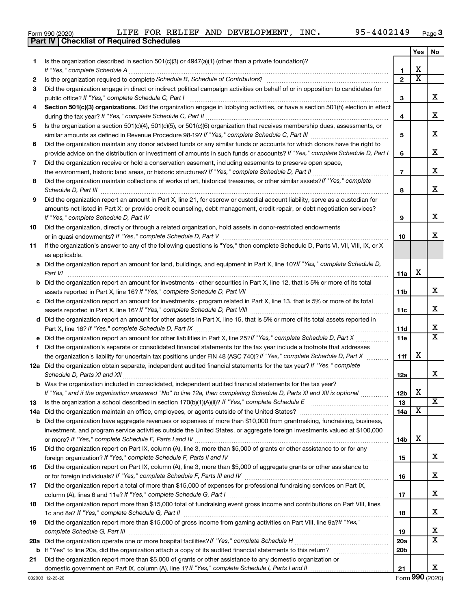| Form 990 (2020) | LIFE FOR REL                                     |  |
|-----------------|--------------------------------------------------|--|
|                 | <b>Part IV   Checklist of Required Schedules</b> |  |

Form 990 (2020)  ${\rm LIFE}$  FOR RELIEF AND DEVELOPMENT, INC.  $95-4402149$   $_{\rm Page}$ 

|     |                                                                                                                                                                                                                                                   |                 | Yes                     | No                           |
|-----|---------------------------------------------------------------------------------------------------------------------------------------------------------------------------------------------------------------------------------------------------|-----------------|-------------------------|------------------------------|
| 1.  | Is the organization described in section $501(c)(3)$ or $4947(a)(1)$ (other than a private foundation)?                                                                                                                                           |                 |                         |                              |
|     | If "Yes," complete Schedule A                                                                                                                                                                                                                     | 1               | х                       |                              |
| 2   |                                                                                                                                                                                                                                                   | $\mathbf{2}$    | $\overline{\textbf{x}}$ |                              |
| 3   | Did the organization engage in direct or indirect political campaign activities on behalf of or in opposition to candidates for                                                                                                                   |                 |                         |                              |
|     | public office? If "Yes," complete Schedule C, Part I                                                                                                                                                                                              | 3               |                         | x                            |
| 4   | Section 501(c)(3) organizations. Did the organization engage in lobbying activities, or have a section 501(h) election in effect                                                                                                                  | 4               |                         | x                            |
| 5   | Is the organization a section 501(c)(4), 501(c)(5), or 501(c)(6) organization that receives membership dues, assessments, or                                                                                                                      |                 |                         |                              |
|     |                                                                                                                                                                                                                                                   | 5               |                         | x                            |
| 6   | Did the organization maintain any donor advised funds or any similar funds or accounts for which donors have the right to                                                                                                                         |                 |                         |                              |
|     | provide advice on the distribution or investment of amounts in such funds or accounts? If "Yes," complete Schedule D, Part I                                                                                                                      | 6               |                         | х                            |
| 7   | Did the organization receive or hold a conservation easement, including easements to preserve open space,                                                                                                                                         |                 |                         |                              |
|     | the environment, historic land areas, or historic structures? If "Yes," complete Schedule D, Part II                                                                                                                                              | $\overline{7}$  |                         | x                            |
| 8   | Did the organization maintain collections of works of art, historical treasures, or other similar assets? If "Yes," complete                                                                                                                      | 8               |                         | x                            |
| 9   | Did the organization report an amount in Part X, line 21, for escrow or custodial account liability, serve as a custodian for                                                                                                                     |                 |                         |                              |
|     | amounts not listed in Part X; or provide credit counseling, debt management, credit repair, or debt negotiation services?                                                                                                                         |                 |                         |                              |
|     |                                                                                                                                                                                                                                                   | 9               |                         | x                            |
| 10  | Did the organization, directly or through a related organization, hold assets in donor-restricted endowments                                                                                                                                      |                 |                         |                              |
|     |                                                                                                                                                                                                                                                   | 10              |                         | х                            |
| 11  | If the organization's answer to any of the following questions is "Yes," then complete Schedule D, Parts VI, VIII, VIII, IX, or X<br>as applicable.                                                                                               |                 |                         |                              |
|     | a Did the organization report an amount for land, buildings, and equipment in Part X, line 10? If "Yes," complete Schedule D,                                                                                                                     |                 |                         |                              |
|     | Part VI                                                                                                                                                                                                                                           | 11a             | х                       |                              |
|     | <b>b</b> Did the organization report an amount for investments - other securities in Part X, line 12, that is 5% or more of its total                                                                                                             |                 |                         |                              |
|     |                                                                                                                                                                                                                                                   | 11 <sub>b</sub> |                         | x                            |
|     | c Did the organization report an amount for investments - program related in Part X, line 13, that is 5% or more of its total                                                                                                                     |                 |                         |                              |
|     |                                                                                                                                                                                                                                                   | 11c             |                         | x                            |
|     | d Did the organization report an amount for other assets in Part X, line 15, that is 5% or more of its total assets reported in                                                                                                                   |                 |                         |                              |
|     |                                                                                                                                                                                                                                                   | 11d             |                         | x<br>$\overline{\mathtt{x}}$ |
|     | e Did the organization report an amount for other liabilities in Part X, line 25?If "Yes," complete Schedule D, Part X                                                                                                                            | <b>11e</b>      |                         |                              |
| f.  | Did the organization's separate or consolidated financial statements for the tax year include a footnote that addresses<br>the organization's liability for uncertain tax positions under FIN 48 (ASC 740)? If "Yes," complete Schedule D, Part X | 11f             | x                       |                              |
|     | 12a Did the organization obtain separate, independent audited financial statements for the tax year? If "Yes," complete                                                                                                                           |                 |                         |                              |
|     |                                                                                                                                                                                                                                                   | 12a             |                         | x                            |
|     | <b>b</b> Was the organization included in consolidated, independent audited financial statements for the tax year?                                                                                                                                |                 |                         |                              |
|     | If "Yes," and if the organization answered "No" to line 12a, then completing Schedule D, Parts XI and XII is optional www.                                                                                                                        | 12 <sub>b</sub> | х                       |                              |
| 13  |                                                                                                                                                                                                                                                   | 13              |                         | $\overline{\text{X}}$        |
| 14a | Did the organization maintain an office, employees, or agents outside of the United States?                                                                                                                                                       | 14a             | х                       |                              |
|     | <b>b</b> Did the organization have aggregate revenues or expenses of more than \$10,000 from grantmaking, fundraising, business,                                                                                                                  |                 |                         |                              |
|     | investment, and program service activities outside the United States, or aggregate foreign investments valued at \$100,000                                                                                                                        |                 | x                       |                              |
|     | Did the organization report on Part IX, column (A), line 3, more than \$5,000 of grants or other assistance to or for any                                                                                                                         | 14b             |                         |                              |
| 15  |                                                                                                                                                                                                                                                   | 15              |                         | x                            |
| 16  | Did the organization report on Part IX, column (A), line 3, more than \$5,000 of aggregate grants or other assistance to                                                                                                                          |                 |                         |                              |
|     |                                                                                                                                                                                                                                                   | 16              |                         | X.                           |
| 17  | Did the organization report a total of more than \$15,000 of expenses for professional fundraising services on Part IX,                                                                                                                           |                 |                         |                              |
|     |                                                                                                                                                                                                                                                   | 17              |                         | x                            |
| 18  | Did the organization report more than \$15,000 total of fundraising event gross income and contributions on Part VIII, lines                                                                                                                      |                 |                         |                              |
|     |                                                                                                                                                                                                                                                   | 18              |                         | x                            |
| 19  | Did the organization report more than \$15,000 of gross income from gaming activities on Part VIII, line 9a?/f "Yes,"                                                                                                                             |                 |                         |                              |
|     |                                                                                                                                                                                                                                                   | 19              |                         | х                            |
| 20a |                                                                                                                                                                                                                                                   | 20a             |                         | $\overline{\mathtt{x}}$      |
|     |                                                                                                                                                                                                                                                   | 20b             |                         |                              |
| 21  | Did the organization report more than \$5,000 of grants or other assistance to any domestic organization or                                                                                                                                       |                 |                         |                              |
|     |                                                                                                                                                                                                                                                   | 21              |                         | X.                           |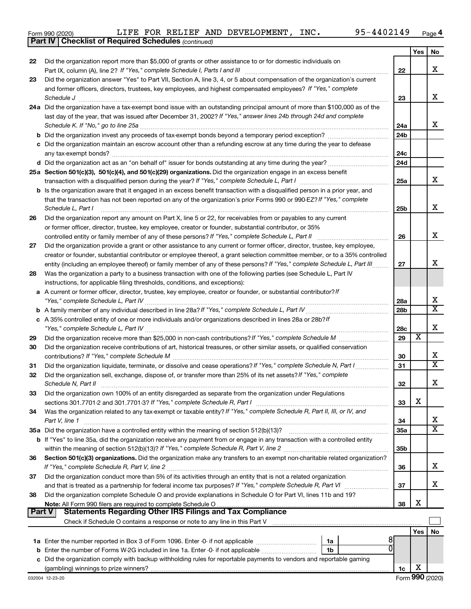|  | Form 990 (2020) |
|--|-----------------|
|  |                 |

*(continued)* **Part IV Checklist of Required Schedules**

|          |                                                                                                                                                                                                                                              |                 | Yes | No                      |
|----------|----------------------------------------------------------------------------------------------------------------------------------------------------------------------------------------------------------------------------------------------|-----------------|-----|-------------------------|
| 22       | Did the organization report more than \$5,000 of grants or other assistance to or for domestic individuals on                                                                                                                                |                 |     |                         |
|          |                                                                                                                                                                                                                                              | 22              |     | x                       |
| 23       | Did the organization answer "Yes" to Part VII, Section A, line 3, 4, or 5 about compensation of the organization's current<br>and former officers, directors, trustees, key employees, and highest compensated employees? If "Yes," complete |                 |     |                         |
|          | Schedule J                                                                                                                                                                                                                                   | 23              |     | x                       |
|          | 24a Did the organization have a tax-exempt bond issue with an outstanding principal amount of more than \$100,000 as of the                                                                                                                  |                 |     |                         |
|          | last day of the year, that was issued after December 31, 2002? If "Yes," answer lines 24b through 24d and complete                                                                                                                           |                 |     |                         |
|          | Schedule K. If "No," go to line 25a                                                                                                                                                                                                          | 24a             |     | х                       |
|          |                                                                                                                                                                                                                                              | 24 <sub>b</sub> |     |                         |
|          | c Did the organization maintain an escrow account other than a refunding escrow at any time during the year to defease                                                                                                                       |                 |     |                         |
|          |                                                                                                                                                                                                                                              | 24c             |     |                         |
|          | d Did the organization act as an "on behalf of" issuer for bonds outstanding at any time during the year?                                                                                                                                    | 24d             |     |                         |
|          | 25a Section 501(c)(3), 501(c)(4), and 501(c)(29) organizations. Did the organization engage in an excess benefit                                                                                                                             |                 |     |                         |
|          | transaction with a disqualified person during the year? If "Yes," complete Schedule L, Part I                                                                                                                                                | 25a             |     | x                       |
|          | <b>b</b> Is the organization aware that it engaged in an excess benefit transaction with a disqualified person in a prior year, and                                                                                                          |                 |     |                         |
|          | that the transaction has not been reported on any of the organization's prior Forms 990 or 990-EZ? If "Yes," complete                                                                                                                        |                 |     | х                       |
|          | Schedule L, Part I                                                                                                                                                                                                                           | 25b             |     |                         |
| 26       | Did the organization report any amount on Part X, line 5 or 22, for receivables from or payables to any current<br>or former officer, director, trustee, key employee, creator or founder, substantial contributor, or 35%                   |                 |     |                         |
|          | controlled entity or family member of any of these persons? If "Yes," complete Schedule L, Part II                                                                                                                                           | 26              |     | x                       |
| 27       | Did the organization provide a grant or other assistance to any current or former officer, director, trustee, key employee,                                                                                                                  |                 |     |                         |
|          | creator or founder, substantial contributor or employee thereof, a grant selection committee member, or to a 35% controlled                                                                                                                  |                 |     |                         |
|          | entity (including an employee thereof) or family member of any of these persons? If "Yes," complete Schedule L, Part III                                                                                                                     | 27              |     | х                       |
| 28       | Was the organization a party to a business transaction with one of the following parties (see Schedule L, Part IV                                                                                                                            |                 |     |                         |
|          | instructions, for applicable filing thresholds, conditions, and exceptions):                                                                                                                                                                 |                 |     |                         |
|          | a A current or former officer, director, trustee, key employee, creator or founder, or substantial contributor? If                                                                                                                           |                 |     |                         |
|          |                                                                                                                                                                                                                                              | 28a             |     | х                       |
|          |                                                                                                                                                                                                                                              | 28 <sub>b</sub> |     | $\overline{\texttt{x}}$ |
|          | c A 35% controlled entity of one or more individuals and/or organizations described in lines 28a or 28b?If                                                                                                                                   |                 |     | х                       |
|          |                                                                                                                                                                                                                                              | 28c<br>29       | X   |                         |
| 29<br>30 | Did the organization receive contributions of art, historical treasures, or other similar assets, or qualified conservation                                                                                                                  |                 |     |                         |
|          |                                                                                                                                                                                                                                              | 30              |     | х                       |
| 31       | Did the organization liquidate, terminate, or dissolve and cease operations? If "Yes," complete Schedule N, Part I                                                                                                                           | 31              |     | $\overline{\texttt{x}}$ |
| 32       | Did the organization sell, exchange, dispose of, or transfer more than 25% of its net assets? If "Yes," complete                                                                                                                             |                 |     |                         |
|          | Schedule N, Part II                                                                                                                                                                                                                          | 32              |     | х                       |
| 33       | Did the organization own 100% of an entity disregarded as separate from the organization under Regulations                                                                                                                                   |                 |     |                         |
|          |                                                                                                                                                                                                                                              | 33              | X   |                         |
| 34       | Was the organization related to any tax-exempt or taxable entity? If "Yes," complete Schedule R, Part II, III, or IV, and                                                                                                                    |                 |     |                         |
|          | Part V, line 1                                                                                                                                                                                                                               | 34              |     | х                       |
|          |                                                                                                                                                                                                                                              | 35a             |     | $\overline{\mathbf{X}}$ |
|          | b If "Yes" to line 35a, did the organization receive any payment from or engage in any transaction with a controlled entity                                                                                                                  |                 |     |                         |
|          |                                                                                                                                                                                                                                              | 35 <sub>b</sub> |     |                         |
| 36       | Section 501(c)(3) organizations. Did the organization make any transfers to an exempt non-charitable related organization?                                                                                                                   | 36              |     | x                       |
| 37       | Did the organization conduct more than 5% of its activities through an entity that is not a related organization                                                                                                                             |                 |     |                         |
|          | and that is treated as a partnership for federal income tax purposes? If "Yes," complete Schedule R, Part VI                                                                                                                                 | 37              |     | x                       |
| 38       | Did the organization complete Schedule O and provide explanations in Schedule O for Part VI, lines 11b and 19?                                                                                                                               |                 |     |                         |
|          |                                                                                                                                                                                                                                              | 38              | х   |                         |
| Part V   | Statements Regarding Other IRS Filings and Tax Compliance                                                                                                                                                                                    |                 |     |                         |
|          | Check if Schedule O contains a response or note to any line in this Part V [111] [12] contains according to contains a response or note to any line in this Part V                                                                           |                 |     |                         |
|          |                                                                                                                                                                                                                                              |                 | Yes | No                      |
|          | 1a                                                                                                                                                                                                                                           |                 |     |                         |
|          | ΩI<br>1b                                                                                                                                                                                                                                     |                 |     |                         |
|          | c Did the organization comply with backup withholding rules for reportable payments to vendors and reportable gaming                                                                                                                         |                 |     |                         |
|          |                                                                                                                                                                                                                                              | 1c              | х   |                         |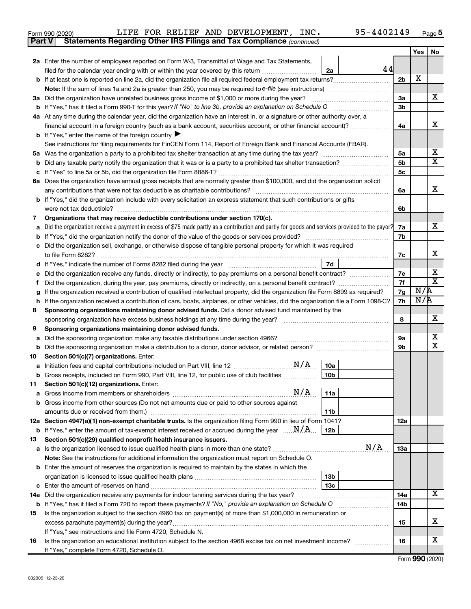| Form 990 (2020) |  |  | LIFE FOR RELIEF AND DEVELOPMENT, INC.                                               | 95-4402149 | Page |
|-----------------|--|--|-------------------------------------------------------------------------------------|------------|------|
|                 |  |  | <b>Part V</b> Statements Regarding Other IRS Filings and Tax Compliance (continued) |            |      |

|         |                                                                                                                                                                                                      |                      | Yes        | No                      |  |  |  |
|---------|------------------------------------------------------------------------------------------------------------------------------------------------------------------------------------------------------|----------------------|------------|-------------------------|--|--|--|
|         | 2a Enter the number of employees reported on Form W-3, Transmittal of Wage and Tax Statements,                                                                                                       |                      |            |                         |  |  |  |
|         | 44<br>filed for the calendar year ending with or within the year covered by this return<br>2a                                                                                                        |                      |            |                         |  |  |  |
|         |                                                                                                                                                                                                      | 2 <sub>b</sub>       | X          |                         |  |  |  |
|         |                                                                                                                                                                                                      |                      |            |                         |  |  |  |
|         | 3a Did the organization have unrelated business gross income of \$1,000 or more during the year?                                                                                                     | 3a                   |            | x                       |  |  |  |
|         |                                                                                                                                                                                                      |                      |            |                         |  |  |  |
|         | 4a At any time during the calendar year, did the organization have an interest in, or a signature or other authority over, a                                                                         |                      |            |                         |  |  |  |
|         | financial account in a foreign country (such as a bank account, securities account, or other financial account)?                                                                                     | 4a                   |            | x                       |  |  |  |
|         | <b>b</b> If "Yes," enter the name of the foreign country $\blacktriangleright$                                                                                                                       |                      |            |                         |  |  |  |
|         | See instructions for filing requirements for FinCEN Form 114, Report of Foreign Bank and Financial Accounts (FBAR).                                                                                  |                      |            | х                       |  |  |  |
|         |                                                                                                                                                                                                      | 5a<br>5 <sub>b</sub> |            | $\overline{\text{X}}$   |  |  |  |
| b       |                                                                                                                                                                                                      | 5c                   |            |                         |  |  |  |
|         | 6a Does the organization have annual gross receipts that are normally greater than \$100,000, and did the organization solicit                                                                       |                      |            |                         |  |  |  |
|         | any contributions that were not tax deductible as charitable contributions?                                                                                                                          | 6a                   |            | x                       |  |  |  |
|         | b If "Yes," did the organization include with every solicitation an express statement that such contributions or gifts                                                                               |                      |            |                         |  |  |  |
|         | were not tax deductible?                                                                                                                                                                             | 6b                   |            |                         |  |  |  |
| 7       | Organizations that may receive deductible contributions under section 170(c).                                                                                                                        |                      |            |                         |  |  |  |
|         | Did the organization receive a payment in excess of \$75 made partly as a contribution and partly for goods and services provided to the payor?                                                      | 7a                   |            | x                       |  |  |  |
|         |                                                                                                                                                                                                      | 7b                   |            |                         |  |  |  |
|         | c Did the organization sell, exchange, or otherwise dispose of tangible personal property for which it was required                                                                                  |                      |            |                         |  |  |  |
|         |                                                                                                                                                                                                      | 7c                   |            | х                       |  |  |  |
| d       | 7d<br>If "Yes," indicate the number of Forms 8282 filed during the year <i>manual content of the</i> system of the way.                                                                              |                      |            |                         |  |  |  |
|         |                                                                                                                                                                                                      | 7е                   |            | х                       |  |  |  |
|         | Did the organization, during the year, pay premiums, directly or indirectly, on a personal benefit contract?                                                                                         | 7f                   |            | $\overline{\textbf{x}}$ |  |  |  |
|         | If the organization received a contribution of qualified intellectual property, did the organization file Form 8899 as required?                                                                     | 7g                   | N/R<br>N/R |                         |  |  |  |
| h       | If the organization received a contribution of cars, boats, airplanes, or other vehicles, did the organization file a Form 1098-C?                                                                   |                      |            |                         |  |  |  |
| 8       | Sponsoring organizations maintaining donor advised funds. Did a donor advised fund maintained by the                                                                                                 |                      |            |                         |  |  |  |
|         | sponsoring organization have excess business holdings at any time during the year?<br>and a complete the contract of the complete of the complete of the complete of the complete of the complete of | 8                    |            | x                       |  |  |  |
| 9       | Sponsoring organizations maintaining donor advised funds.                                                                                                                                            |                      |            | x                       |  |  |  |
| а       | Did the sponsoring organization make any taxable distributions under section 4966?                                                                                                                   | 9а<br>9b             |            | $\overline{\text{x}}$   |  |  |  |
| b<br>10 | Section 501(c)(7) organizations. Enter:                                                                                                                                                              |                      |            |                         |  |  |  |
| а       | 10a                                                                                                                                                                                                  |                      |            |                         |  |  |  |
| b       | 10 <sub>b</sub><br>Gross receipts, included on Form 990, Part VIII, line 12, for public use of club facilities                                                                                       |                      |            |                         |  |  |  |
| 11.     | Section 501(c)(12) organizations. Enter:                                                                                                                                                             |                      |            |                         |  |  |  |
|         |                                                                                                                                                                                                      |                      |            |                         |  |  |  |
|         | b Gross income from other sources (Do not net amounts due or paid to other sources against                                                                                                           |                      |            |                         |  |  |  |
|         | 11b                                                                                                                                                                                                  |                      |            |                         |  |  |  |
|         | 12a Section 4947(a)(1) non-exempt charitable trusts. Is the organization filing Form 990 in lieu of Form 1041?                                                                                       | 12a                  |            |                         |  |  |  |
|         | <b>b</b> If "Yes," enter the amount of tax-exempt interest received or accrued during the year $\ldots \mathbf{N}/\mathbf{A}$ .<br>12 <sub>b</sub>                                                   |                      |            |                         |  |  |  |
| 13      | Section 501(c)(29) qualified nonprofit health insurance issuers.                                                                                                                                     |                      |            |                         |  |  |  |
|         | N/A<br>a Is the organization licensed to issue qualified health plans in more than one state?                                                                                                        | 13a                  |            |                         |  |  |  |
|         | Note: See the instructions for additional information the organization must report on Schedule O.                                                                                                    |                      |            |                         |  |  |  |
|         | <b>b</b> Enter the amount of reserves the organization is required to maintain by the states in which the                                                                                            |                      |            |                         |  |  |  |
|         | 13 <sub>b</sub>                                                                                                                                                                                      |                      |            |                         |  |  |  |
|         | 13 <sub>c</sub>                                                                                                                                                                                      |                      |            | х                       |  |  |  |
|         | 14a Did the organization receive any payments for indoor tanning services during the tax year?                                                                                                       | 14a                  |            |                         |  |  |  |
|         | <b>b</b> If "Yes," has it filed a Form 720 to report these payments? If "No," provide an explanation on Schedule O                                                                                   | 14b                  |            |                         |  |  |  |
| 15      | Is the organization subject to the section 4960 tax on payment(s) of more than \$1,000,000 in remuneration or<br>excess parachute payment(s) during the year?                                        | 15                   |            | x                       |  |  |  |
|         | If "Yes," see instructions and file Form 4720, Schedule N.                                                                                                                                           |                      |            |                         |  |  |  |
| 16      | Is the organization an educational institution subject to the section 4968 excise tax on net investment income?                                                                                      | 16                   |            | х                       |  |  |  |
|         | If "Yes," complete Form 4720, Schedule O.                                                                                                                                                            |                      |            |                         |  |  |  |

Form (2020) **990**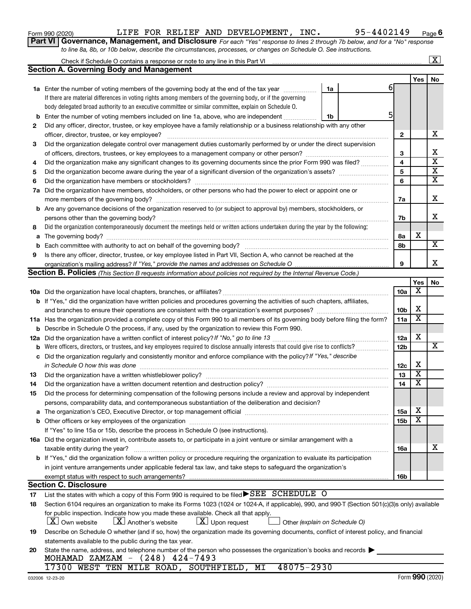|    | <b>b</b> Enter the number of voting members included on line 1a, above, who are independent <i>manumum</i><br>1b                                    |                 |     |                         |
|----|-----------------------------------------------------------------------------------------------------------------------------------------------------|-----------------|-----|-------------------------|
| 2  | Did any officer, director, trustee, or key employee have a family relationship or a business relationship with any other                            |                 |     |                         |
|    |                                                                                                                                                     | $\mathbf{2}$    |     | х                       |
| 3  | Did the organization delegate control over management duties customarily performed by or under the direct supervision                               |                 |     |                         |
|    |                                                                                                                                                     | 3               |     | х                       |
| 4  | Did the organization make any significant changes to its governing documents since the prior Form 990 was filed?                                    | 4               |     | $\overline{\textbf{x}}$ |
| 5  |                                                                                                                                                     | 5               |     | $\overline{\mathbf{x}}$ |
| 6  |                                                                                                                                                     | 6               |     | $\overline{\textbf{x}}$ |
|    | 7a Did the organization have members, stockholders, or other persons who had the power to elect or appoint one or                                   |                 |     |                         |
|    |                                                                                                                                                     | 7a              |     | X                       |
|    | <b>b</b> Are any governance decisions of the organization reserved to (or subject to approval by) members, stockholders, or                         |                 |     |                         |
|    |                                                                                                                                                     | 7b              |     | X                       |
| 8  | Did the organization contemporaneously document the meetings held or written actions undertaken during the year by the following:                   |                 |     |                         |
|    |                                                                                                                                                     | 8a              | х   |                         |
| b  |                                                                                                                                                     | 8b              |     | X                       |
| 9  | Is there any officer, director, trustee, or key employee listed in Part VII, Section A, who cannot be reached at the                                |                 |     |                         |
|    |                                                                                                                                                     | 9               |     | х                       |
|    | <b>Section B. Policies</b> (This Section B requests information about policies not required by the Internal Revenue Code.)                          |                 |     |                         |
|    |                                                                                                                                                     |                 | Yes | No                      |
|    |                                                                                                                                                     | 10a             | х   |                         |
|    | b If "Yes," did the organization have written policies and procedures governing the activities of such chapters, affiliates,                        |                 |     |                         |
|    |                                                                                                                                                     | 10 <sub>b</sub> | х   |                         |
|    | 11a Has the organization provided a complete copy of this Form 990 to all members of its governing body before filing the form?                     | 11a             | X   |                         |
| b  | Describe in Schedule O the process, if any, used by the organization to review this Form 990.                                                       |                 |     |                         |
|    |                                                                                                                                                     | 12a             | х   |                         |
|    |                                                                                                                                                     | 12b             |     | х                       |
|    | c Did the organization regularly and consistently monitor and enforce compliance with the policy? If "Yes," describe                                |                 |     |                         |
|    | in Schedule O how this was done manufactured and an architecture of the state of the state of the state of the                                      | 12c             | X   |                         |
| 13 |                                                                                                                                                     | 13              | х   |                         |
| 14 | Did the organization have a written document retention and destruction policy? [11] manufaction manufaction in                                      | 14              | х   |                         |
| 15 | Did the process for determining compensation of the following persons include a review and approval by independent                                  |                 |     |                         |
|    | persons, comparability data, and contemporaneous substantiation of the deliberation and decision?                                                   |                 |     |                         |
|    |                                                                                                                                                     | 15a             | х   |                         |
|    |                                                                                                                                                     | 15b             | X   |                         |
|    | If "Yes" to line 15a or 15b, describe the process in Schedule O (see instructions).                                                                 |                 |     |                         |
|    | 16a Did the organization invest in, contribute assets to, or participate in a joint venture or similar arrangement with a                           |                 |     |                         |
|    | taxable entity during the year?                                                                                                                     | 16a             |     | х                       |
|    | b If "Yes," did the organization follow a written policy or procedure requiring the organization to evaluate its participation                      |                 |     |                         |
|    | in joint venture arrangements under applicable federal tax law, and take steps to safeguard the organization's                                      |                 |     |                         |
|    | exempt status with respect to such arrangements?                                                                                                    | 16b             |     |                         |
|    | <b>Section C. Disclosure</b>                                                                                                                        |                 |     |                         |
| 17 | List the states with which a copy of this Form 990 is required to be filed▶SEE SCHEDULE O                                                           |                 |     |                         |
| 18 | Section 6104 requires an organization to make its Forms 1023 (1024 or 1024-A, if applicable), 990, and 990-T (Section 501(c)(3)s only) available    |                 |     |                         |
|    | for public inspection. Indicate how you made these available. Check all that apply.                                                                 |                 |     |                         |
|    | $\lfloor x \rfloor$ Another's website<br>$\lfloor x \rfloor$ Upon request<br>$X$ Own website<br>Other (explain on Schedule O)                       |                 |     |                         |
| 19 | Describe on Schedule O whether (and if so, how) the organization made its governing documents, conflict of interest policy, and financial           |                 |     |                         |
|    | statements available to the public during the tax year.                                                                                             |                 |     |                         |
| 20 | State the name, address, and telephone number of the person who possesses the organization's books and records<br>MOHAMAD ZAMZAM - $(248)$ 424-7493 |                 |     |                         |
|    | 48075-2930<br>17300 WEST TEN MILE ROAD, SOUTHFIELD, MI                                                                                              |                 |     |                         |

|  |  | _____ ___ ___ _______ ___ ___ ____ |  |
|--|--|------------------------------------|--|
|  |  |                                    |  |
|  |  |                                    |  |
|  |  |                                    |  |
|  |  |                                    |  |
|  |  |                                    |  |
|  |  |                                    |  |
|  |  |                                    |  |
|  |  |                                    |  |

**1a** Enter the number of voting members of the governing body at the end of the tax year *www.www.* 

Check if Schedule O contains a response or note to any line in this Part VI

**Section A. Governing Body and Management**

If there are material differences in voting rights among members of the governing body, or if the governing body delegated broad authority to an executive committee or similar committee, explain on Schedule O.

| Form 990 (2020) | FE. | <b>FOR</b> | RELIEF | AND | <b>DEVELOPMENT</b> | INC. | .02149 | Page |
|-----------------|-----|------------|--------|-----|--------------------|------|--------|------|
|                 |     |            |        |     |                    |      |        |      |

6

5

**1a**

**1b**

**Part VI** Governance, Management, and Disclosure For each "Yes" response to lines 2 through 7b below, and for a "No" response *to line 8a, 8b, or 10b below, describe the circumstances, processes, or changes on Schedule O. See instructions.*

|  | m 990 (2020) |  |
|--|--------------|--|
|  |              |  |

| റമ<br>o |
|---------|
|---------|

Yes | No

 $\boxed{\text{X}}$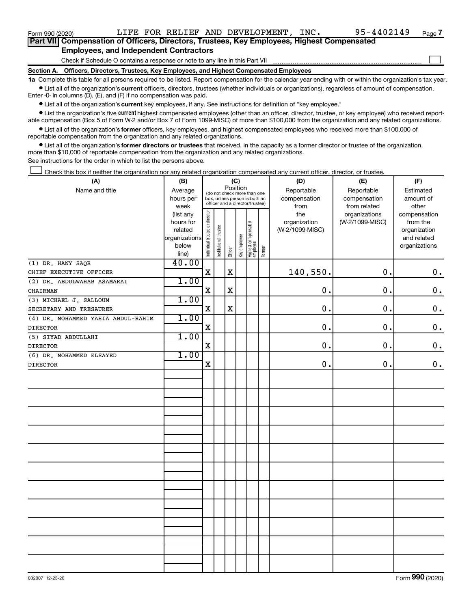#### **Employees, and Independent Contractors**

Check if Schedule O contains a response or note to any line in this Part VII

**Section A. Officers, Directors, Trustees, Key Employees, and Highest Compensated Employees**

**1a**  Complete this table for all persons required to be listed. Report compensation for the calendar year ending with or within the organization's tax year.  $\bullet$  List all of the organization's current officers, directors, trustees (whether individuals or organizations), regardless of amount of compensation.

Enter -0- in columns (D), (E), and (F) if no compensation was paid.

**•** List all of the organization's **current** key employees, if any. See instructions for definition of "key employee."

**Examber 1** List the organization's five *current* highest compensated employees (other than an officer, director, trustee, or key employee) who received reportable compensation (Box 5 of Form W-2 and/or Box 7 of Form 1099-MISC) of more than \$100,000 from the organization and any related organizations.

 $\bullet$  List all of the organization's former officers, key employees, and highest compensated employees who received more than \$100,000 of reportable compensation from the organization and any related organizations.

**•** List all of the organization's former directors or trustees that received, in the capacity as a former director or trustee of the organization, more than \$10,000 of reportable compensation from the organization and any related organizations.

See instructions for the order in which to list the persons above.

Check this box if neither the organization nor any related organization compensated any current officer, director, or trustee.  $\begin{array}{c} \hline \end{array}$ 

| (A)                                | (B)                  |                                |                                                              |          | (C)          |                                 |        | (D)                        | (E)                        | (F)                    |
|------------------------------------|----------------------|--------------------------------|--------------------------------------------------------------|----------|--------------|---------------------------------|--------|----------------------------|----------------------------|------------------------|
| Name and title                     | Average<br>hours per |                                | (do not check more than one<br>box, unless person is both an | Position |              |                                 |        | Reportable<br>compensation | Reportable<br>compensation | Estimated<br>amount of |
|                                    | week                 |                                | officer and a director/trustee)                              |          |              |                                 |        | from                       | from related               | other                  |
|                                    | (list any            |                                |                                                              |          |              |                                 |        | the                        | organizations              | compensation           |
|                                    | hours for            |                                |                                                              |          |              |                                 |        | organization               | (W-2/1099-MISC)            | from the               |
|                                    | related              |                                |                                                              |          |              |                                 |        | (W-2/1099-MISC)            |                            | organization           |
|                                    | organizations        |                                |                                                              |          |              |                                 |        |                            |                            | and related            |
|                                    | below                | Individual trustee or director | Institutional trustee                                        |          | Key employee | Highest compensated<br>employee | Former |                            |                            | organizations          |
| (1) DR. HANY SAQR                  | line)<br>40.00       |                                |                                                              | Officer  |              |                                 |        |                            |                            |                        |
|                                    |                      | $\mathbf X$                    |                                                              | X        |              |                                 |        | 140,550.                   | 0.                         | $\mathbf 0$ .          |
| CHIEF EXECUTIVE OFFICER            |                      |                                |                                                              |          |              |                                 |        |                            |                            |                        |
| (2) DR. ABDULWAHAB ASAMARAI        | 1.00                 |                                |                                                              |          |              |                                 |        |                            |                            |                        |
| CHAIRMAN                           |                      | X                              |                                                              | X        |              |                                 |        | 0.                         | 0.                         | $\mathbf 0$ .          |
| (3) MICHAEL J. SALLOUM             | 1.00                 |                                |                                                              |          |              |                                 |        |                            |                            |                        |
| SECRETARY AND TRESAURER            |                      | $\rm X$                        |                                                              | X        |              |                                 |        | 0.                         | 0.                         | $\mathbf 0$ .          |
| (4) DR. MOHAMMED YAHIA ABDUL-RAHIM | 1.00                 |                                |                                                              |          |              |                                 |        |                            |                            |                        |
| <b>DIRECTOR</b>                    |                      | X                              |                                                              |          |              |                                 |        | 0.                         | 0.                         | $\mathbf 0$ .          |
| (5) SIYAD ABDULLAHI                | 1.00                 |                                |                                                              |          |              |                                 |        |                            |                            |                        |
| <b>DIRECTOR</b>                    |                      | $\mathbf X$                    |                                                              |          |              |                                 |        | 0.                         | 0.                         | $\mathbf 0$ .          |
| (6) DR. MOHAMMED ELSAYED           | 1.00                 |                                |                                                              |          |              |                                 |        |                            |                            |                        |
| <b>DIRECTOR</b>                    |                      | X                              |                                                              |          |              |                                 |        | 0.                         | 0.                         | $\mathbf 0$ .          |
|                                    |                      |                                |                                                              |          |              |                                 |        |                            |                            |                        |
|                                    |                      |                                |                                                              |          |              |                                 |        |                            |                            |                        |
|                                    |                      |                                |                                                              |          |              |                                 |        |                            |                            |                        |
|                                    |                      |                                |                                                              |          |              |                                 |        |                            |                            |                        |
|                                    |                      |                                |                                                              |          |              |                                 |        |                            |                            |                        |
|                                    |                      |                                |                                                              |          |              |                                 |        |                            |                            |                        |
|                                    |                      |                                |                                                              |          |              |                                 |        |                            |                            |                        |
|                                    |                      |                                |                                                              |          |              |                                 |        |                            |                            |                        |
|                                    |                      |                                |                                                              |          |              |                                 |        |                            |                            |                        |
|                                    |                      |                                |                                                              |          |              |                                 |        |                            |                            |                        |
|                                    |                      |                                |                                                              |          |              |                                 |        |                            |                            |                        |
|                                    |                      |                                |                                                              |          |              |                                 |        |                            |                            |                        |
|                                    |                      |                                |                                                              |          |              |                                 |        |                            |                            |                        |
|                                    |                      |                                |                                                              |          |              |                                 |        |                            |                            |                        |
|                                    |                      |                                |                                                              |          |              |                                 |        |                            |                            |                        |
|                                    |                      |                                |                                                              |          |              |                                 |        |                            |                            |                        |
|                                    |                      |                                |                                                              |          |              |                                 |        |                            |                            |                        |
|                                    |                      |                                |                                                              |          |              |                                 |        |                            |                            |                        |
|                                    |                      |                                |                                                              |          |              |                                 |        |                            |                            |                        |
|                                    |                      |                                |                                                              |          |              |                                 |        |                            |                            |                        |
|                                    |                      |                                |                                                              |          |              |                                 |        |                            |                            |                        |
|                                    |                      |                                |                                                              |          |              |                                 |        |                            |                            |                        |
|                                    |                      |                                |                                                              |          |              |                                 |        |                            |                            |                        |

 $\begin{array}{c} \hline \end{array}$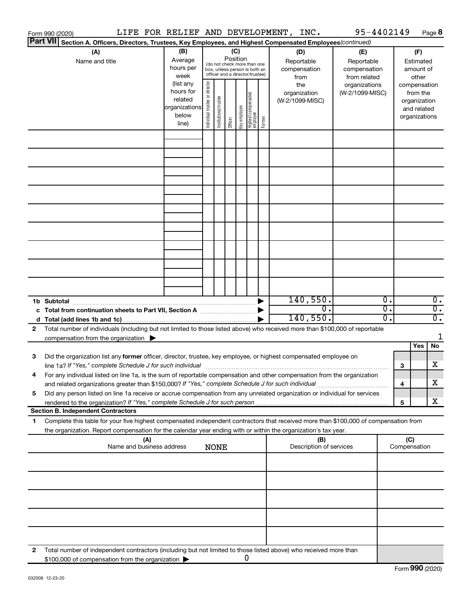|    | Form 990 (2020) |                                                                                                                                                                                                                                                        |                           |     | LIFE FOR RELIEF AND DEVELOPMENT, INC.                                |                               |                       |                 |              |                                                                                                 |        |                                           | 95-4402149                                        |                  |                     |                                                                          | Page 8           |
|----|-----------------|--------------------------------------------------------------------------------------------------------------------------------------------------------------------------------------------------------------------------------------------------------|---------------------------|-----|----------------------------------------------------------------------|-------------------------------|-----------------------|-----------------|--------------|-------------------------------------------------------------------------------------------------|--------|-------------------------------------------|---------------------------------------------------|------------------|---------------------|--------------------------------------------------------------------------|------------------|
|    | <b>Part VII</b> | Section A. Officers, Directors, Trustees, Key Employees, and Highest Compensated Employees(continued)                                                                                                                                                  |                           |     |                                                                      |                               |                       |                 |              |                                                                                                 |        |                                           |                                                   |                  |                     |                                                                          |                  |
|    |                 | (A)<br>Name and title                                                                                                                                                                                                                                  |                           |     | (B)<br>Average<br>hours per<br>week                                  |                               |                       | (C)<br>Position |              | (do not check more than one<br>box, unless person is both an<br>officer and a director/trustee) |        | (D)<br>Reportable<br>compensation<br>from | (E)<br>Reportable<br>compensation<br>from related |                  |                     | (F)<br>Estimated<br>amount of<br>other                                   |                  |
|    |                 |                                                                                                                                                                                                                                                        |                           |     | (list any<br>hours for<br>related<br>organizations<br>below<br>line) | ndividual trustee or director | Institutional trustee | Officer         | Key employee | Highest compensated<br>  employee                                                               | Former | the<br>organization<br>(W-2/1099-MISC)    | organizations<br>(W-2/1099-MISC)                  |                  |                     | compensation<br>from the<br>organization<br>and related<br>organizations |                  |
|    |                 |                                                                                                                                                                                                                                                        |                           |     |                                                                      |                               |                       |                 |              |                                                                                                 |        |                                           |                                                   |                  |                     |                                                                          |                  |
|    |                 |                                                                                                                                                                                                                                                        |                           |     |                                                                      |                               |                       |                 |              |                                                                                                 |        |                                           |                                                   |                  |                     |                                                                          |                  |
|    |                 |                                                                                                                                                                                                                                                        |                           |     |                                                                      |                               |                       |                 |              |                                                                                                 |        |                                           |                                                   |                  |                     |                                                                          |                  |
|    |                 |                                                                                                                                                                                                                                                        |                           |     |                                                                      |                               |                       |                 |              |                                                                                                 |        |                                           |                                                   |                  |                     |                                                                          |                  |
|    |                 |                                                                                                                                                                                                                                                        |                           |     |                                                                      |                               |                       |                 |              |                                                                                                 |        |                                           |                                                   |                  |                     |                                                                          |                  |
|    |                 |                                                                                                                                                                                                                                                        |                           |     |                                                                      |                               |                       |                 |              |                                                                                                 |        |                                           |                                                   |                  |                     |                                                                          |                  |
|    |                 |                                                                                                                                                                                                                                                        |                           |     |                                                                      |                               |                       |                 |              |                                                                                                 |        |                                           |                                                   |                  |                     |                                                                          |                  |
|    |                 |                                                                                                                                                                                                                                                        |                           |     |                                                                      |                               |                       |                 |              |                                                                                                 |        | 140,550.                                  |                                                   | $\overline{0}$ . |                     |                                                                          | $\overline{0}$ . |
|    | 1b Subtotal     |                                                                                                                                                                                                                                                        |                           |     |                                                                      |                               |                       |                 |              |                                                                                                 |        | $\overline{0}$ .                          |                                                   | $\overline{0}$ . |                     |                                                                          | $\overline{0}$ . |
|    |                 |                                                                                                                                                                                                                                                        |                           |     |                                                                      |                               |                       |                 |              |                                                                                                 |        | 140,550.                                  |                                                   | 0.               |                     |                                                                          | $\overline{0}$ . |
| 2  |                 | Total number of individuals (including but not limited to those listed above) who received more than \$100,000 of reportable<br>compensation from the organization $\blacktriangleright$                                                               |                           |     |                                                                      |                               |                       |                 |              |                                                                                                 |        |                                           |                                                   |                  |                     |                                                                          | 1                |
| 3  |                 | Did the organization list any former officer, director, trustee, key employee, or highest compensated employee on                                                                                                                                      |                           |     |                                                                      |                               |                       |                 |              |                                                                                                 |        |                                           |                                                   |                  |                     | Yes                                                                      | No               |
|    |                 | line 1a? If "Yes," complete Schedule J for such individual [11] manufacture manufacture in the set of the set o                                                                                                                                        |                           |     |                                                                      |                               |                       |                 |              |                                                                                                 |        |                                           |                                                   |                  | 3                   |                                                                          | х                |
|    |                 | For any individual listed on line 1a, is the sum of reportable compensation and other compensation from the organization<br>and related organizations greater than \$150,000? If "Yes," complete Schedule J for such individual                        |                           |     |                                                                      |                               |                       |                 |              |                                                                                                 |        |                                           |                                                   |                  | 4                   |                                                                          | x                |
| 5  |                 | Did any person listed on line 1a receive or accrue compensation from any unrelated organization or individual for services                                                                                                                             |                           |     |                                                                      |                               |                       |                 |              |                                                                                                 |        |                                           |                                                   |                  | 5                   |                                                                          | x                |
|    |                 | <b>Section B. Independent Contractors</b>                                                                                                                                                                                                              |                           |     |                                                                      |                               |                       |                 |              |                                                                                                 |        |                                           |                                                   |                  |                     |                                                                          |                  |
| 1. |                 | Complete this table for your five highest compensated independent contractors that received more than \$100,000 of compensation from<br>the organization. Report compensation for the calendar year ending with or within the organization's tax year. |                           |     |                                                                      |                               |                       |                 |              |                                                                                                 |        |                                           |                                                   |                  |                     |                                                                          |                  |
|    |                 |                                                                                                                                                                                                                                                        | Name and business address | (A) |                                                                      |                               | <b>NONE</b>           |                 |              |                                                                                                 |        | (B)<br>Description of services            |                                                   |                  | (C)<br>Compensation |                                                                          |                  |
|    |                 |                                                                                                                                                                                                                                                        |                           |     |                                                                      |                               |                       |                 |              |                                                                                                 |        |                                           |                                                   |                  |                     |                                                                          |                  |
|    |                 |                                                                                                                                                                                                                                                        |                           |     |                                                                      |                               |                       |                 |              |                                                                                                 |        |                                           |                                                   |                  |                     |                                                                          |                  |
|    |                 |                                                                                                                                                                                                                                                        |                           |     |                                                                      |                               |                       |                 |              |                                                                                                 |        |                                           |                                                   |                  |                     |                                                                          |                  |
|    |                 |                                                                                                                                                                                                                                                        |                           |     |                                                                      |                               |                       |                 |              |                                                                                                 |        |                                           |                                                   |                  |                     |                                                                          |                  |
| 2  |                 | Total number of independent contractors (including but not limited to those listed above) who received more than<br>\$100,000 of compensation from the organization                                                                                    |                           |     |                                                                      |                               |                       |                 |              | 0                                                                                               |        |                                           |                                                   |                  |                     |                                                                          |                  |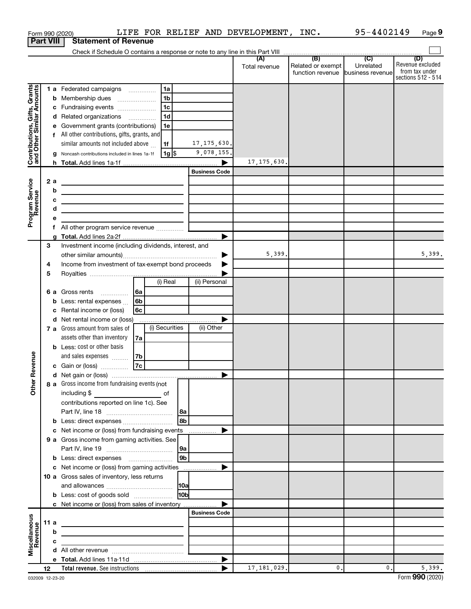|                                                           | Form 990 (2020)  | LIFE FOR RELIEF AND DEVELOPMENT, INC. 95-4402149                                                                      |               |                                   |                | Page 9             |
|-----------------------------------------------------------|------------------|-----------------------------------------------------------------------------------------------------------------------|---------------|-----------------------------------|----------------|--------------------|
|                                                           | <b>Part VIII</b> | <b>Statement of Revenue</b>                                                                                           |               |                                   |                |                    |
|                                                           |                  |                                                                                                                       |               |                                   |                | (D)                |
|                                                           |                  |                                                                                                                       | Total revenue | Related or exempt                 | Unrelated      | Revenue excluded   |
|                                                           |                  |                                                                                                                       |               | function revenue business revenue |                | from tax under     |
|                                                           |                  |                                                                                                                       |               |                                   |                | sections 512 - 514 |
|                                                           |                  | 1a<br>1 a Federated campaigns                                                                                         |               |                                   |                |                    |
|                                                           |                  | 1 <sub>b</sub><br><b>b</b> Membership dues                                                                            |               |                                   |                |                    |
|                                                           |                  | 1c<br>c Fundraising events                                                                                            |               |                                   |                |                    |
| Contributions, Gifts, Grants<br>and Other Similar Amounts |                  | 1 <sub>d</sub><br>d Related organizations                                                                             |               |                                   |                |                    |
|                                                           |                  | e Government grants (contributions)<br>1е                                                                             |               |                                   |                |                    |
|                                                           |                  | f All other contributions, gifts, grants, and                                                                         |               |                                   |                |                    |
|                                                           |                  | similar amounts not included above<br>17, 175, 630.<br>1f                                                             |               |                                   |                |                    |
|                                                           |                  | 9,078,155.<br> 1g <br>g Noncash contributions included in lines 1a-1f                                                 |               |                                   |                |                    |
|                                                           |                  |                                                                                                                       | 17, 175, 630. |                                   |                |                    |
|                                                           |                  | <b>Business Code</b>                                                                                                  |               |                                   |                |                    |
|                                                           | 2a               | <u> 1989 - Johann Stein, marwolaethau a bhann an t-Amhainn an t-Amhainn an t-Amhainn an t-Amhainn an t-Amhainn an</u> |               |                                   |                |                    |
|                                                           | b                | the control of the control of the control of the control of the control of                                            |               |                                   |                |                    |
|                                                           | c                |                                                                                                                       |               |                                   |                |                    |
|                                                           | d                | the control of the control of the control of the control of the control of the control of                             |               |                                   |                |                    |
| Program Service<br>Revenue                                | е                | <u> 1989 - Johann Barbara, martin amerikan basar dan berasal dan berasal dalam basar dalam basar dalam basar dala</u> |               |                                   |                |                    |
|                                                           |                  |                                                                                                                       |               |                                   |                |                    |
|                                                           |                  |                                                                                                                       |               |                                   |                |                    |
|                                                           | З                | Investment income (including dividends, interest, and                                                                 |               |                                   |                |                    |
|                                                           |                  |                                                                                                                       | 5,399.        |                                   |                | 5,399.             |
|                                                           |                  | Income from investment of tax-exempt bond proceeds                                                                    |               |                                   |                |                    |
|                                                           | 4                |                                                                                                                       |               |                                   |                |                    |
|                                                           | 5                | (i) Real<br>(ii) Personal                                                                                             |               |                                   |                |                    |
|                                                           |                  |                                                                                                                       |               |                                   |                |                    |
|                                                           |                  |                                                                                                                       |               |                                   |                |                    |
|                                                           |                  | <b>b</b> Less: rental expenses<br>l 6b                                                                                |               |                                   |                |                    |
|                                                           |                  | c Rental income or (loss)<br>6с                                                                                       |               |                                   |                |                    |
|                                                           |                  | d Net rental income or (loss)                                                                                         |               |                                   |                |                    |
|                                                           |                  | (i) Securities<br>(ii) Other<br>7 a Gross amount from sales of                                                        |               |                                   |                |                    |
|                                                           |                  | assets other than inventory<br>7a                                                                                     |               |                                   |                |                    |
|                                                           |                  | <b>b</b> Less: cost or other basis                                                                                    |               |                                   |                |                    |
| venue                                                     |                  | and sales expenses<br>7b                                                                                              |               |                                   |                |                    |
|                                                           |                  | 7c<br>c Gain or (loss)                                                                                                |               |                                   |                |                    |
|                                                           |                  |                                                                                                                       |               |                                   |                |                    |
| Other Rev                                                 |                  | 8 a Gross income from fundraising events (not                                                                         |               |                                   |                |                    |
|                                                           |                  | including \$                                                                                                          |               |                                   |                |                    |
|                                                           |                  | contributions reported on line 1c). See                                                                               |               |                                   |                |                    |
|                                                           |                  | 8a                                                                                                                    |               |                                   |                |                    |
|                                                           |                  | 8b                                                                                                                    |               |                                   |                |                    |
|                                                           |                  | c Net income or (loss) from fundraising events                                                                        |               |                                   |                |                    |
|                                                           |                  | 9 a Gross income from gaming activities. See                                                                          |               |                                   |                |                    |
|                                                           |                  | 9а                                                                                                                    |               |                                   |                |                    |
|                                                           |                  | 9 <sub>b</sub>                                                                                                        |               |                                   |                |                    |
|                                                           |                  | c Net income or (loss) from gaming activities                                                                         |               |                                   |                |                    |
|                                                           |                  | 10 a Gross sales of inventory, less returns                                                                           |               |                                   |                |                    |
|                                                           |                  | <b>10a</b>                                                                                                            |               |                                   |                |                    |
|                                                           |                  | 10 <sub>b</sub><br><b>b</b> Less: cost of goods sold                                                                  |               |                                   |                |                    |
|                                                           |                  | c Net income or (loss) from sales of inventory                                                                        |               |                                   |                |                    |
|                                                           |                  | <b>Business Code</b>                                                                                                  |               |                                   |                |                    |
| Miscellaneous<br>Revenue                                  | 11 a             |                                                                                                                       |               |                                   |                |                    |
|                                                           | b                |                                                                                                                       |               |                                   |                |                    |
|                                                           | с                |                                                                                                                       |               |                                   |                |                    |
|                                                           |                  |                                                                                                                       |               |                                   |                |                    |
|                                                           |                  |                                                                                                                       |               |                                   |                |                    |
|                                                           | 12               |                                                                                                                       | 17, 181, 029. | 0.                                | $\mathbf{0}$ . | 5,399.             |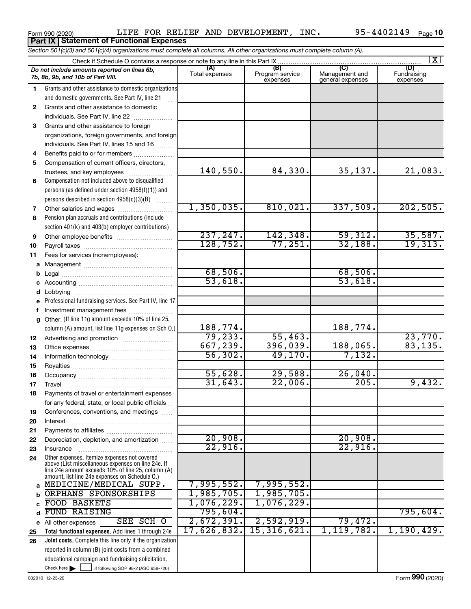Form 990 (2020)  $LIFE$  FOR RELIEF AND DEVELOPMENT, INC.  $95-4402149$   $_{\sf Page}$ Form 990 (2020)<br>**Part IX Statement of Functional Expenses** 

|    | Section 501(c)(3) and 501(c)(4) organizations must complete all columns. All other organizations must complete column (A).                                                                                 |                       |                                    |                                    |                                |
|----|------------------------------------------------------------------------------------------------------------------------------------------------------------------------------------------------------------|-----------------------|------------------------------------|------------------------------------|--------------------------------|
|    | Check if Schedule O contains a response or note to any line in this Part IX                                                                                                                                |                       |                                    |                                    | $\mathbf{X}$                   |
|    | Do not include amounts reported on lines 6b,<br>7b, 8b, 9b, and 10b of Part VIII.                                                                                                                          | (A)<br>Total expenses | (B)<br>Program service<br>expenses | Management and<br>general expenses | (D)<br>Fundraising<br>expenses |
| 1  | Grants and other assistance to domestic organizations                                                                                                                                                      |                       |                                    |                                    |                                |
|    | and domestic governments. See Part IV, line 21                                                                                                                                                             |                       |                                    |                                    |                                |
| 2  | Grants and other assistance to domestic                                                                                                                                                                    |                       |                                    |                                    |                                |
|    | individuals. See Part IV, line 22                                                                                                                                                                          |                       |                                    |                                    |                                |
| 3  | Grants and other assistance to foreign                                                                                                                                                                     |                       |                                    |                                    |                                |
|    | organizations, foreign governments, and foreign                                                                                                                                                            |                       |                                    |                                    |                                |
|    | individuals. See Part IV, lines 15 and 16                                                                                                                                                                  |                       |                                    |                                    |                                |
| 4  | Benefits paid to or for members                                                                                                                                                                            |                       |                                    |                                    |                                |
| 5  | Compensation of current officers, directors,                                                                                                                                                               |                       |                                    |                                    |                                |
|    | trustees, and key employees                                                                                                                                                                                | 140,550.              | 84,330.                            | 35,137.                            | 21,083.                        |
| 6  | Compensation not included above to disqualified                                                                                                                                                            |                       |                                    |                                    |                                |
|    | persons (as defined under section 4958(f)(1)) and                                                                                                                                                          |                       |                                    |                                    |                                |
|    | persons described in section 4958(c)(3)(B)                                                                                                                                                                 |                       |                                    |                                    |                                |
| 7  | Other salaries and wages                                                                                                                                                                                   | 1,350,035.            | 810,021.                           | 337,509.                           | 202,505.                       |
| 8  | Pension plan accruals and contributions (include                                                                                                                                                           |                       |                                    |                                    |                                |
|    | section 401(k) and 403(b) employer contributions)                                                                                                                                                          |                       |                                    |                                    |                                |
| 9  |                                                                                                                                                                                                            | 237, 247.             | 142,348.                           | 59,312.                            | 35,587.                        |
| 10 |                                                                                                                                                                                                            | 128, 752.             | 77,251.                            | 32,188.                            | 19,313.                        |
| 11 | Fees for services (nonemployees):                                                                                                                                                                          |                       |                                    |                                    |                                |
| а  |                                                                                                                                                                                                            |                       |                                    |                                    |                                |
| b  |                                                                                                                                                                                                            | 68,506.               |                                    | 68,506.                            |                                |
|    |                                                                                                                                                                                                            | 53,618.               |                                    | 53,618.                            |                                |
| d  |                                                                                                                                                                                                            |                       |                                    |                                    |                                |
|    | Professional fundraising services. See Part IV, line 17                                                                                                                                                    |                       |                                    |                                    |                                |
|    | Investment management fees                                                                                                                                                                                 |                       |                                    |                                    |                                |
| g  | Other. (If line 11g amount exceeds 10% of line 25,                                                                                                                                                         |                       |                                    |                                    |                                |
|    | column (A) amount, list line 11g expenses on Sch O.)                                                                                                                                                       | 188,774.              |                                    | 188,774.                           |                                |
| 12 |                                                                                                                                                                                                            | 79, 233.              | 55,463.                            |                                    | 23,770.                        |
| 13 |                                                                                                                                                                                                            | 667,239.              | 396,039.                           | 188,065.                           | 83,135.                        |
| 14 |                                                                                                                                                                                                            | 56,302.               | 49,170.                            | 7,132.                             |                                |
| 15 |                                                                                                                                                                                                            |                       |                                    |                                    |                                |
| 16 |                                                                                                                                                                                                            | 55,628.               | 29,588.                            | 26,040.                            |                                |
| 17 |                                                                                                                                                                                                            | 31,643.               | 22,006.                            | 205.                               | 9,432.                         |
| 18 | Payments of travel or entertainment expenses                                                                                                                                                               |                       |                                    |                                    |                                |
|    | for any federal, state, or local public officials                                                                                                                                                          |                       |                                    |                                    |                                |
| 19 | Conferences, conventions, and meetings                                                                                                                                                                     |                       |                                    |                                    |                                |
| 20 | Interest                                                                                                                                                                                                   |                       |                                    |                                    |                                |
| 21 |                                                                                                                                                                                                            | 20,908.               |                                    | 20,908.                            |                                |
| 22 | Depreciation, depletion, and amortization                                                                                                                                                                  | 22,916.               |                                    | 22,916                             |                                |
| 23 | Insurance                                                                                                                                                                                                  |                       |                                    |                                    |                                |
| 24 | Other expenses. Itemize expenses not covered<br>above (List miscellaneous expenses on line 24e. If<br>line 24e amount exceeds 10% of line 25, column (A)<br>amount, list line 24e expenses on Schedule O.) |                       |                                    |                                    |                                |
| a  | MEDICINE/MEDICAL SUPP.                                                                                                                                                                                     | 7,995,552.            | 7,995,552.                         |                                    |                                |
|    | ORPHANS SPONSORSHIPS                                                                                                                                                                                       | 1,985,705.            | 1,985,705.                         |                                    |                                |
|    | <b>FOOD BASKETS</b>                                                                                                                                                                                        | 1,076,229.            | 1,076,229.                         |                                    |                                |
| d  | <b>FUND RAISING</b>                                                                                                                                                                                        | 795,604.              |                                    |                                    | 795,604.                       |
| е  | SEE SCH O<br>All other expenses                                                                                                                                                                            | 2,672,391.            | 2,592,919.                         | 79,472.                            |                                |
| 25 | Total functional expenses. Add lines 1 through 24e                                                                                                                                                         | 17,626,832.           | 15, 316, 621.                      | 1,119,782.                         | 1,190,429.                     |
| 26 | <b>Joint costs.</b> Complete this line only if the organization                                                                                                                                            |                       |                                    |                                    |                                |
|    | reported in column (B) joint costs from a combined                                                                                                                                                         |                       |                                    |                                    |                                |
|    | educational campaign and fundraising solicitation.                                                                                                                                                         |                       |                                    |                                    |                                |
|    | Check here $\blacktriangleright$<br>if following SOP 98-2 (ASC 958-720)                                                                                                                                    |                       |                                    |                                    |                                |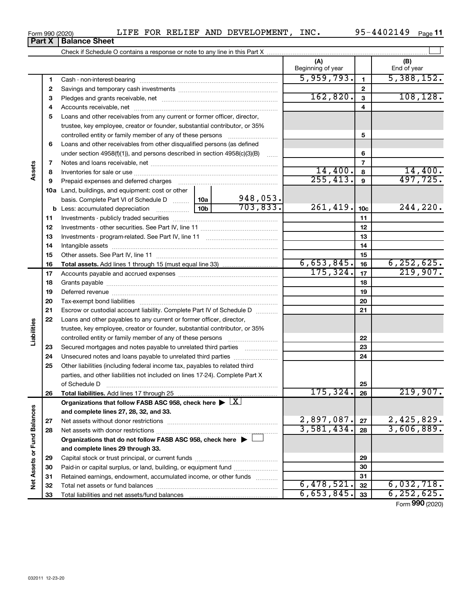**33**

Total liabilities and net assets/fund balances

**Net Assets or Fund Balances**

Net Assets or Fund Balances

|           |  | UIFE FOR REUIEF AND DEVI |  |
|-----------|--|--------------------------|--|
| າce Sheet |  |                          |  |

**(A) (B) 1 2 3 4 5** Loans and other receivables from any current or former officer, director, **6 7 8 9 10 a** Land, buildings, and equipment: cost or other **11 12** Investments - other securities. See Part IV, line 11 ~~~~~~~~~~~~~~ **13** Investments - program-related. See Part IV, line 11 ~~~~~~~~~~~~~ **14 15 16 17 18 19 20 21 22 23 24 25 26 27 28 29 30 31 32 1 2 3 4 5 6 7 8 9 10c 11 12 13 14 15 16 17 18 19 20 21 22 23 24 25 26 b** Less: accumulated depreciation  $\ldots$  [10b basis. Complete Part VI of Schedule D  $\frac{1}{10}$  10a **Total assets.**  Add lines 1 through 15 (must equal line 33) **Total liabilities.**  Add lines 17 through 25 Organizations that follow FASB ASC 958, check here  $\blacktriangleright \; \boxed{\text{X}}$ **and complete lines 27, 28, 32, and 33. 27 28 Organizations that do not follow FASB ASC 958, check here** | **and complete lines 29 through 33. 29 30 31 32** Beginning of year | Find of year Cash - non-interest-bearing ~~~~~~~~~~~~~~~~~~~~~~~~~ Savings and temporary cash investments ~~~~~~~~~~~~~~~~~~ Pledges and grants receivable, net ~~~~~~~~~~~~~~~~~~~~~ Accounts receivable, net ~~~~~~~~~~~~~~~~~~~~~~~~~~ trustee, key employee, creator or founder, substantial contributor, or 35% controlled entity or family member of any of these persons  $\ldots$ ........................ Loans and other receivables from other disqualified persons (as defined under section 4958(f)(1)), and persons described in section  $4958(c)(3)(B)$  ...... Notes and loans receivable, net ~~~~~~~~~~~~~~~~~~~~~~~ Inventories for sale or use ~~~~~~~~~~~~~~~~~~~~~~~~~~ Prepaid expenses and deferred charges ~~~~~~~~~~~~~~~~~~ Investments - publicly traded securities ~~~~~~~~~~~~~~~~~~~ Intangible assets ~~~~~~~~~~~~~~~~~~~~~~~~~~~~~~ Other assets. See Part IV, line 11 ~~~~~~~~~~~~~~~~~~~~~~ Accounts payable and accrued expenses ~~~~~~~~~~~~~~~~~~ Grants payable ~~~~~~~~~~~~~~~~~~~~~~~~~~~~~~~ Deferred revenue ~~~~~~~~~~~~~~~~~~~~~~~~~~~~~~ Tax-exempt bond liabilities ~~~~~~~~~~~~~~~~~~~~~~~~~ Escrow or custodial account liability. Complete Part IV of Schedule D ........... Loans and other payables to any current or former officer, director, trustee, key employee, creator or founder, substantial contributor, or 35% controlled entity or family member of any of these persons ~~~~~~~~~ Secured mortgages and notes payable to unrelated third parties  $\ldots$ ................. Unsecured notes and loans payable to unrelated third parties ~~~~~~~~ Other liabilities (including federal income tax, payables to related third parties, and other liabilities not included on lines 17-24). Complete Part X of Schedule D ~~~~~~~~~~~~~~~~~~~~~~~~~~~~~~~ Net assets without donor restrictions ~~~~~~~~~~~~~~~~~~~~ Net assets with donor restrictions ~~~~~~~~~~~~~~~~~~~~~~ Capital stock or trust principal, or current funds ~~~~~~~~~~~~~~~ Paid-in or capital surplus, or land, building, or equipment fund *.....................*... Retained earnings, endowment, accumulated income, or other funds ............ Total net assets or fund balances ~~~~~~~~~~~~~~~~~~~~~~  $\overline{5,959,793.}$  1 5,388,152.  $162,820.$   $3$  108,128. 14,400. 14,400. 255,413. 497,725. 948,053.  $703,833.$  261,419.  $10c$  244,220.  $6,653,845.$  16 6,252,625.  $175,324.$   $17$  219,907.  $175,324.$  26 219,907.  $2,897,087$ .  $|z_7|$  2,425,829. 3,581,434. 3,606,889.  $6,478,521$ .  $32$  |  $6,032,718$ .

Form (2020) **990**

**33**

 $6,653,845.$   $33$  6, 252, 625.

| Form 990 (2020) |                                                                            | NT F.R. | FOR | RELIEF | AND | DEVELOPMENT | INC. | 95-4402149 | Page |  |
|-----------------|----------------------------------------------------------------------------|---------|-----|--------|-----|-------------|------|------------|------|--|
|                 | <b>Part X   Balance Sheet</b>                                              |         |     |        |     |             |      |            |      |  |
|                 | Check if Schedule O contains a response or note to any line in this Part X |         |     |        |     |             |      |            |      |  |

**Part X** | **Balan** 

**Assets**

**Liabilities**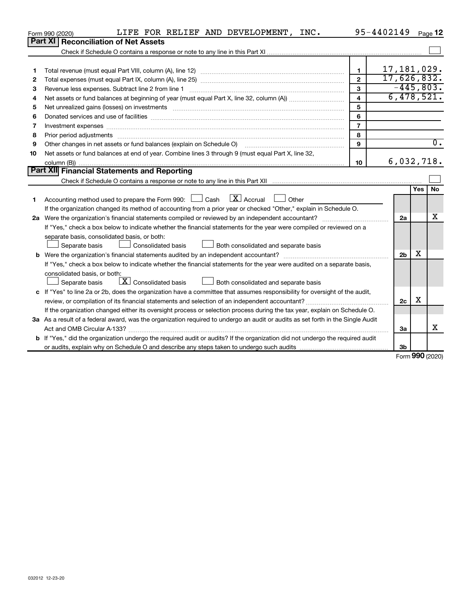|    | LIFE FOR RELIEF AND DEVELOPMENT, INC.<br>Form 990 (2020)                                                                             |                | 95-4402149     |               | Page 12          |
|----|--------------------------------------------------------------------------------------------------------------------------------------|----------------|----------------|---------------|------------------|
|    | <b>Part XI</b><br><b>Reconciliation of Net Assets</b>                                                                                |                |                |               |                  |
|    |                                                                                                                                      |                |                |               |                  |
|    |                                                                                                                                      |                |                |               |                  |
| 1  |                                                                                                                                      | $\mathbf{1}$   | 17,181,029.    |               |                  |
| 2  |                                                                                                                                      | $\mathbf{2}$   | 17,626,832.    |               |                  |
| 3  | Revenue less expenses. Subtract line 2 from line 1                                                                                   | 3              | $-445,803.$    |               |                  |
| 4  |                                                                                                                                      | 4              | 6,478,521.     |               |                  |
| 5  |                                                                                                                                      | 5              |                |               |                  |
| 6  |                                                                                                                                      | 6              |                |               |                  |
| 7  |                                                                                                                                      | $\overline{7}$ |                |               |                  |
| 8  |                                                                                                                                      | 8              |                |               |                  |
| 9  | Other changes in net assets or fund balances (explain on Schedule O)                                                                 | 9              |                |               | $\overline{0}$ . |
| 10 | Net assets or fund balances at end of year. Combine lines 3 through 9 (must equal Part X, line 32,                                   |                |                |               |                  |
|    |                                                                                                                                      | 10             | 6,032,718.     |               |                  |
|    | <b>Part XII Financial Statements and Reporting</b>                                                                                   |                |                |               |                  |
|    |                                                                                                                                      |                |                |               |                  |
|    |                                                                                                                                      |                |                | Yes           | <b>No</b>        |
| 1  | $\lfloor x \rfloor$ Accrual<br>Accounting method used to prepare the Form 990: [130] Cash<br>□ Other                                 |                |                |               |                  |
|    | If the organization changed its method of accounting from a prior year or checked "Other," explain in Schedule O.                    |                |                |               |                  |
|    |                                                                                                                                      |                | 2a             |               | х                |
|    | If "Yes," check a box below to indicate whether the financial statements for the year were compiled or reviewed on a                 |                |                |               |                  |
|    | separate basis, consolidated basis, or both:                                                                                         |                |                |               |                  |
|    | Both consolidated and separate basis<br>Separate basis<br>Consolidated basis                                                         |                |                |               |                  |
|    | b Were the organization's financial statements audited by an independent accountant?                                                 |                | 2 <sub>b</sub> | х             |                  |
|    | If "Yes," check a box below to indicate whether the financial statements for the year were audited on a separate basis,              |                |                |               |                  |
|    | consolidated basis, or both:                                                                                                         |                |                |               |                  |
|    | $X$ Consolidated basis<br>Both consolidated and separate basis<br>Separate basis                                                     |                |                |               |                  |
|    | c If "Yes" to line 2a or 2b, does the organization have a committee that assumes responsibility for oversight of the audit,          |                |                |               |                  |
|    |                                                                                                                                      |                | 2c             | х             |                  |
|    | If the organization changed either its oversight process or selection process during the tax year, explain on Schedule O.            |                |                |               |                  |
|    | 3a As a result of a federal award, was the organization required to undergo an audit or audits as set forth in the Single Audit      |                |                |               |                  |
|    | Act and OMB Circular A-133?                                                                                                          |                | За             |               | x                |
|    | <b>b</b> If "Yes," did the organization undergo the required audit or audits? If the organization did not undergo the required audit |                |                |               |                  |
|    |                                                                                                                                      |                | 3b             | $000 \approx$ |                  |

Form (2020) **990**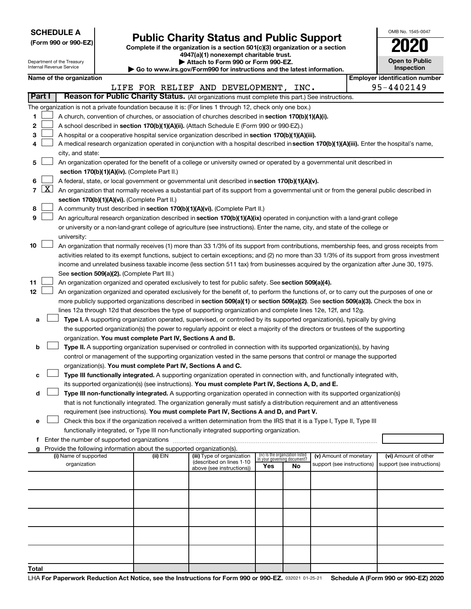| <b>SCHEDULE A</b> |  |
|-------------------|--|
|-------------------|--|

Department of the Treasury

# Form 990 or 990-EZ)<br>
Complete if the organization is a section 501(c)(3) organization or a section<br> **Public Charity Status and Public Support**

**4947(a)(1) nonexempt charitable trust. | Attach to Form 990 or Form 990-EZ.** 

| OMB No 1545-0047                    |
|-------------------------------------|
| 020                                 |
| <b>Open to Public</b><br>Inspection |

| Internal Revenue Service<br>Inspection<br>Go to www.irs.gov/Form990 for instructions and the latest information. |                                                                                                                                                                |  |                          |                                               |                                                                                    |                                                                                                                                               |                                    |                                 |                            |  |                                                     |
|------------------------------------------------------------------------------------------------------------------|----------------------------------------------------------------------------------------------------------------------------------------------------------------|--|--------------------------|-----------------------------------------------|------------------------------------------------------------------------------------|-----------------------------------------------------------------------------------------------------------------------------------------------|------------------------------------|---------------------------------|----------------------------|--|-----------------------------------------------------|
|                                                                                                                  |                                                                                                                                                                |  | Name of the organization |                                               |                                                                                    | LIFE FOR RELIEF AND DEVELOPMENT, INC.                                                                                                         |                                    |                                 |                            |  | <b>Employer identification number</b><br>95-4402149 |
| Part I                                                                                                           |                                                                                                                                                                |  |                          |                                               |                                                                                    | Reason for Public Charity Status. (All organizations must complete this part.) See instructions.                                              |                                    |                                 |                            |  |                                                     |
|                                                                                                                  |                                                                                                                                                                |  |                          |                                               |                                                                                    | The organization is not a private foundation because it is: (For lines 1 through 12, check only one box.)                                     |                                    |                                 |                            |  |                                                     |
| 1                                                                                                                |                                                                                                                                                                |  |                          |                                               |                                                                                    | A church, convention of churches, or association of churches described in section 170(b)(1)(A)(i).                                            |                                    |                                 |                            |  |                                                     |
| 2                                                                                                                |                                                                                                                                                                |  |                          |                                               |                                                                                    | A school described in section 170(b)(1)(A)(ii). (Attach Schedule E (Form 990 or 990-EZ).)                                                     |                                    |                                 |                            |  |                                                     |
| 3                                                                                                                |                                                                                                                                                                |  |                          |                                               |                                                                                    | A hospital or a cooperative hospital service organization described in section 170(b)(1)(A)(iii).                                             |                                    |                                 |                            |  |                                                     |
| 4                                                                                                                |                                                                                                                                                                |  |                          |                                               |                                                                                    |                                                                                                                                               |                                    |                                 |                            |  |                                                     |
|                                                                                                                  | A medical research organization operated in conjunction with a hospital described in section 170(b)(1)(A)(iii). Enter the hospital's name,<br>city, and state: |  |                          |                                               |                                                                                    |                                                                                                                                               |                                    |                                 |                            |  |                                                     |
|                                                                                                                  | An organization operated for the benefit of a college or university owned or operated by a governmental unit described in<br>5                                 |  |                          |                                               |                                                                                    |                                                                                                                                               |                                    |                                 |                            |  |                                                     |
|                                                                                                                  | section 170(b)(1)(A)(iv). (Complete Part II.)                                                                                                                  |  |                          |                                               |                                                                                    |                                                                                                                                               |                                    |                                 |                            |  |                                                     |
| 6                                                                                                                |                                                                                                                                                                |  |                          |                                               |                                                                                    | A federal, state, or local government or governmental unit described in section 170(b)(1)(A)(v).                                              |                                    |                                 |                            |  |                                                     |
| 7                                                                                                                |                                                                                                                                                                |  |                          |                                               |                                                                                    | $X$ An organization that normally receives a substantial part of its support from a governmental unit or from the general public described in |                                    |                                 |                            |  |                                                     |
|                                                                                                                  |                                                                                                                                                                |  |                          |                                               | section 170(b)(1)(A)(vi). (Complete Part II.)                                      |                                                                                                                                               |                                    |                                 |                            |  |                                                     |
| 8                                                                                                                |                                                                                                                                                                |  |                          |                                               |                                                                                    | A community trust described in section 170(b)(1)(A)(vi). (Complete Part II.)                                                                  |                                    |                                 |                            |  |                                                     |
| 9                                                                                                                |                                                                                                                                                                |  |                          |                                               |                                                                                    | An agricultural research organization described in section 170(b)(1)(A)(ix) operated in conjunction with a land-grant college                 |                                    |                                 |                            |  |                                                     |
|                                                                                                                  |                                                                                                                                                                |  |                          |                                               |                                                                                    | or university or a non-land-grant college of agriculture (see instructions). Enter the name, city, and state of the college or                |                                    |                                 |                            |  |                                                     |
|                                                                                                                  |                                                                                                                                                                |  | university:              |                                               |                                                                                    |                                                                                                                                               |                                    |                                 |                            |  |                                                     |
| 10                                                                                                               |                                                                                                                                                                |  |                          |                                               |                                                                                    | An organization that normally receives (1) more than 33 1/3% of its support from contributions, membership fees, and gross receipts from      |                                    |                                 |                            |  |                                                     |
|                                                                                                                  |                                                                                                                                                                |  |                          |                                               |                                                                                    | activities related to its exempt functions, subject to certain exceptions; and (2) no more than 33 1/3% of its support from gross investment  |                                    |                                 |                            |  |                                                     |
|                                                                                                                  |                                                                                                                                                                |  |                          |                                               |                                                                                    | income and unrelated business taxable income (less section 511 tax) from businesses acquired by the organization after June 30, 1975.         |                                    |                                 |                            |  |                                                     |
|                                                                                                                  |                                                                                                                                                                |  |                          |                                               | See section 509(a)(2). (Complete Part III.)                                        |                                                                                                                                               |                                    |                                 |                            |  |                                                     |
| 11                                                                                                               |                                                                                                                                                                |  |                          |                                               |                                                                                    | An organization organized and operated exclusively to test for public safety. See section 509(a)(4).                                          |                                    |                                 |                            |  |                                                     |
| 12                                                                                                               |                                                                                                                                                                |  |                          |                                               |                                                                                    | An organization organized and operated exclusively for the benefit of, to perform the functions of, or to carry out the purposes of one or    |                                    |                                 |                            |  |                                                     |
|                                                                                                                  |                                                                                                                                                                |  |                          |                                               |                                                                                    | more publicly supported organizations described in section 509(a)(1) or section 509(a)(2). See section 509(a)(3). Check the box in            |                                    |                                 |                            |  |                                                     |
|                                                                                                                  |                                                                                                                                                                |  |                          |                                               |                                                                                    | lines 12a through 12d that describes the type of supporting organization and complete lines 12e, 12f, and 12g.                                |                                    |                                 |                            |  |                                                     |
| а                                                                                                                |                                                                                                                                                                |  |                          |                                               |                                                                                    | Type I. A supporting organization operated, supervised, or controlled by its supported organization(s), typically by giving                   |                                    |                                 |                            |  |                                                     |
|                                                                                                                  |                                                                                                                                                                |  |                          |                                               |                                                                                    | the supported organization(s) the power to regularly appoint or elect a majority of the directors or trustees of the supporting               |                                    |                                 |                            |  |                                                     |
|                                                                                                                  |                                                                                                                                                                |  |                          |                                               | organization. You must complete Part IV, Sections A and B.                         |                                                                                                                                               |                                    |                                 |                            |  |                                                     |
| b                                                                                                                |                                                                                                                                                                |  |                          |                                               |                                                                                    | Type II. A supporting organization supervised or controlled in connection with its supported organization(s), by having                       |                                    |                                 |                            |  |                                                     |
|                                                                                                                  |                                                                                                                                                                |  |                          |                                               |                                                                                    | control or management of the supporting organization vested in the same persons that control or manage the supported                          |                                    |                                 |                            |  |                                                     |
|                                                                                                                  |                                                                                                                                                                |  |                          |                                               | organization(s). You must complete Part IV, Sections A and C.                      |                                                                                                                                               |                                    |                                 |                            |  |                                                     |
| с                                                                                                                |                                                                                                                                                                |  |                          |                                               |                                                                                    | Type III functionally integrated. A supporting organization operated in connection with, and functionally integrated with,                    |                                    |                                 |                            |  |                                                     |
|                                                                                                                  |                                                                                                                                                                |  |                          |                                               |                                                                                    | its supported organization(s) (see instructions). You must complete Part IV, Sections A, D, and E.                                            |                                    |                                 |                            |  |                                                     |
| d                                                                                                                |                                                                                                                                                                |  |                          |                                               |                                                                                    | Type III non-functionally integrated. A supporting organization operated in connection with its supported organization(s)                     |                                    |                                 |                            |  |                                                     |
|                                                                                                                  |                                                                                                                                                                |  |                          |                                               |                                                                                    | that is not functionally integrated. The organization generally must satisfy a distribution requirement and an attentiveness                  |                                    |                                 |                            |  |                                                     |
|                                                                                                                  |                                                                                                                                                                |  |                          |                                               |                                                                                    | requirement (see instructions). You must complete Part IV, Sections A and D, and Part V.                                                      |                                    |                                 |                            |  |                                                     |
| е                                                                                                                |                                                                                                                                                                |  |                          |                                               |                                                                                    | Check this box if the organization received a written determination from the IRS that it is a Type I, Type II, Type III                       |                                    |                                 |                            |  |                                                     |
|                                                                                                                  |                                                                                                                                                                |  |                          |                                               |                                                                                    | functionally integrated, or Type III non-functionally integrated supporting organization.                                                     |                                    |                                 |                            |  |                                                     |
|                                                                                                                  |                                                                                                                                                                |  |                          | f Enter the number of supported organizations |                                                                                    |                                                                                                                                               |                                    |                                 |                            |  |                                                     |
|                                                                                                                  |                                                                                                                                                                |  | (i) Name of supported    |                                               | Provide the following information about the supported organization(s).<br>(ii) EIN | (iii) Type of organization                                                                                                                    |                                    | (iv) Is the organization listed | (v) Amount of monetary     |  | (vi) Amount of other                                |
|                                                                                                                  |                                                                                                                                                                |  | organization             |                                               |                                                                                    | (described on lines 1-10                                                                                                                      | in your governing document?<br>Yes | No.                             | support (see instructions) |  | support (see instructions)                          |
|                                                                                                                  |                                                                                                                                                                |  |                          |                                               |                                                                                    | above (see instructions))                                                                                                                     |                                    |                                 |                            |  |                                                     |
|                                                                                                                  |                                                                                                                                                                |  |                          |                                               |                                                                                    |                                                                                                                                               |                                    |                                 |                            |  |                                                     |
|                                                                                                                  |                                                                                                                                                                |  |                          |                                               |                                                                                    |                                                                                                                                               |                                    |                                 |                            |  |                                                     |
|                                                                                                                  |                                                                                                                                                                |  |                          |                                               |                                                                                    |                                                                                                                                               |                                    |                                 |                            |  |                                                     |
|                                                                                                                  |                                                                                                                                                                |  |                          |                                               |                                                                                    |                                                                                                                                               |                                    |                                 |                            |  |                                                     |
|                                                                                                                  |                                                                                                                                                                |  |                          |                                               |                                                                                    |                                                                                                                                               |                                    |                                 |                            |  |                                                     |
|                                                                                                                  |                                                                                                                                                                |  |                          |                                               |                                                                                    |                                                                                                                                               |                                    |                                 |                            |  |                                                     |
|                                                                                                                  |                                                                                                                                                                |  |                          |                                               |                                                                                    |                                                                                                                                               |                                    |                                 |                            |  |                                                     |
|                                                                                                                  |                                                                                                                                                                |  |                          |                                               |                                                                                    |                                                                                                                                               |                                    |                                 |                            |  |                                                     |
| Total                                                                                                            |                                                                                                                                                                |  |                          |                                               |                                                                                    |                                                                                                                                               |                                    |                                 |                            |  |                                                     |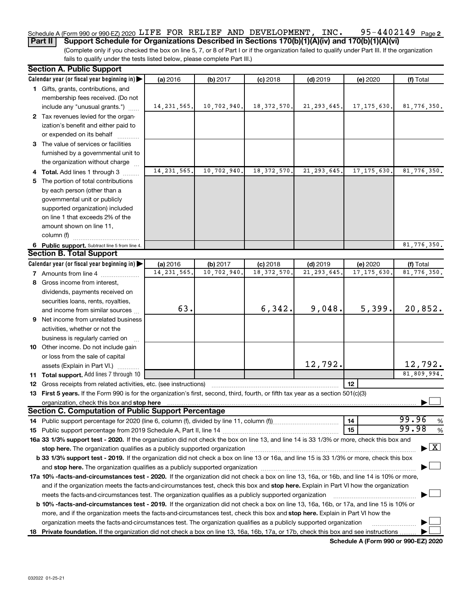#### 95-4402149 Page 2 Schedule A (Form 990 or 990-EZ) 2020 <code>LIFE FOR RELIEF</code> AND <code>DEVELOPMENT</code> , <code>INC. 95-4402149</code> <code>Page</code>

**Part II** | Support Schedule for Organizations Described in Sections 170(b)(1)(A)(iv) and 170(b)(1)(A)(vi)

(Complete only if you checked the box on line 5, 7, or 8 of Part I or if the organization failed to qualify under Part III. If the organization fails to qualify under the tests listed below, please complete Part III.)

| <b>Section A. Public Support</b>                                                                                                                                                                                                                                                    |               |             |               |               |               |                                    |
|-------------------------------------------------------------------------------------------------------------------------------------------------------------------------------------------------------------------------------------------------------------------------------------|---------------|-------------|---------------|---------------|---------------|------------------------------------|
| Calendar year (or fiscal year beginning in)                                                                                                                                                                                                                                         | (a) 2016      | (b) 2017    | $(c)$ 2018    | $(d)$ 2019    | (e) 2020      | (f) Total                          |
| 1 Gifts, grants, contributions, and                                                                                                                                                                                                                                                 |               |             |               |               |               |                                    |
| membership fees received. (Do not                                                                                                                                                                                                                                                   |               |             |               |               |               |                                    |
| include any "unusual grants.")                                                                                                                                                                                                                                                      | 14, 231, 565. | 10,702,940. | 18, 372, 570. | 21, 293, 645. | 17, 175, 630. | 81,776,350.                        |
| 2 Tax revenues levied for the organ-                                                                                                                                                                                                                                                |               |             |               |               |               |                                    |
| ization's benefit and either paid to                                                                                                                                                                                                                                                |               |             |               |               |               |                                    |
| or expended on its behalf                                                                                                                                                                                                                                                           |               |             |               |               |               |                                    |
| 3 The value of services or facilities                                                                                                                                                                                                                                               |               |             |               |               |               |                                    |
| furnished by a governmental unit to                                                                                                                                                                                                                                                 |               |             |               |               |               |                                    |
| the organization without charge                                                                                                                                                                                                                                                     |               |             |               |               |               |                                    |
| 4 Total. Add lines 1 through 3                                                                                                                                                                                                                                                      | 14, 231, 565  | 10,702,940. | 18, 372, 570. | 21, 293, 645. | 17, 175, 630  | 81,776,350.                        |
| 5 The portion of total contributions                                                                                                                                                                                                                                                |               |             |               |               |               |                                    |
| by each person (other than a                                                                                                                                                                                                                                                        |               |             |               |               |               |                                    |
| governmental unit or publicly                                                                                                                                                                                                                                                       |               |             |               |               |               |                                    |
| supported organization) included                                                                                                                                                                                                                                                    |               |             |               |               |               |                                    |
| on line 1 that exceeds 2% of the                                                                                                                                                                                                                                                    |               |             |               |               |               |                                    |
| amount shown on line 11,                                                                                                                                                                                                                                                            |               |             |               |               |               |                                    |
| column (f)                                                                                                                                                                                                                                                                          |               |             |               |               |               |                                    |
| 6 Public support. Subtract line 5 from line 4.                                                                                                                                                                                                                                      |               |             |               |               |               | 81,776,350.                        |
| <b>Section B. Total Support</b>                                                                                                                                                                                                                                                     |               |             |               |               |               |                                    |
| Calendar year (or fiscal year beginning in)                                                                                                                                                                                                                                         | (a) 2016      | (b) 2017    | $(c)$ 2018    | $(d)$ 2019    | (e) 2020      | (f) Total                          |
| <b>7</b> Amounts from line 4                                                                                                                                                                                                                                                        | 14, 231, 565  | 10,702,940  | 18, 372, 570  | 21, 293, 645  | 17, 175, 630  | 81,776,350.                        |
| 8 Gross income from interest,                                                                                                                                                                                                                                                       |               |             |               |               |               |                                    |
| dividends, payments received on                                                                                                                                                                                                                                                     |               |             |               |               |               |                                    |
| securities loans, rents, royalties,                                                                                                                                                                                                                                                 |               |             |               |               |               |                                    |
| and income from similar sources                                                                                                                                                                                                                                                     | 63.           |             | 6,342.        | 9,048.        | 5,399.        | 20,852.                            |
| 9 Net income from unrelated business                                                                                                                                                                                                                                                |               |             |               |               |               |                                    |
| activities, whether or not the                                                                                                                                                                                                                                                      |               |             |               |               |               |                                    |
| business is regularly carried on                                                                                                                                                                                                                                                    |               |             |               |               |               |                                    |
| 10 Other income. Do not include gain                                                                                                                                                                                                                                                |               |             |               |               |               |                                    |
| or loss from the sale of capital                                                                                                                                                                                                                                                    |               |             |               |               |               |                                    |
| assets (Explain in Part VI.)                                                                                                                                                                                                                                                        |               |             |               | 12,792.       |               | 12,792.                            |
| 11 Total support. Add lines 7 through 10                                                                                                                                                                                                                                            |               |             |               |               |               | 81,809,994.                        |
| <b>12</b> Gross receipts from related activities, etc. (see instructions)                                                                                                                                                                                                           |               |             |               |               | 12            |                                    |
| 13 First 5 years. If the Form 990 is for the organization's first, second, third, fourth, or fifth tax year as a section 501(c)(3)                                                                                                                                                  |               |             |               |               |               |                                    |
| organization, check this box and stop here <b>construction and construction</b> or construction of the state of the state of the state of the state of the state of the state of the state of the state of the state of the state o                                                 |               |             |               |               |               |                                    |
| <b>Section C. Computation of Public Support Percentage</b>                                                                                                                                                                                                                          |               |             |               |               |               |                                    |
|                                                                                                                                                                                                                                                                                     |               |             |               |               | 14            | 99.96<br>%                         |
|                                                                                                                                                                                                                                                                                     |               |             |               |               | 15            | 99.98<br>%                         |
| 16a 33 1/3% support test - 2020. If the organization did not check the box on line 13, and line 14 is 33 1/3% or more, check this box and                                                                                                                                           |               |             |               |               |               |                                    |
| stop here. The organization qualifies as a publicly supported organization manufaction manufacture or the organization manufacture or the organization manufacture or the organization manufacture or the state of the state o                                                      |               |             |               |               |               | $\blacktriangleright$ $\mathbf{X}$ |
| b 33 1/3% support test - 2019. If the organization did not check a box on line 13 or 16a, and line 15 is 33 1/3% or more, check this box                                                                                                                                            |               |             |               |               |               |                                    |
|                                                                                                                                                                                                                                                                                     |               |             |               |               |               |                                    |
|                                                                                                                                                                                                                                                                                     |               |             |               |               |               |                                    |
| 17a 10% -facts-and-circumstances test - 2020. If the organization did not check a box on line 13, 16a, or 16b, and line 14 is 10% or more,<br>and if the organization meets the facts-and-circumstances test, check this box and stop here. Explain in Part VI how the organization |               |             |               |               |               |                                    |
| meets the facts-and-circumstances test. The organization qualifies as a publicly supported organization                                                                                                                                                                             |               |             |               |               |               |                                    |
| b 10% -facts-and-circumstances test - 2019. If the organization did not check a box on line 13, 16a, 16b, or 17a, and line 15 is 10% or                                                                                                                                             |               |             |               |               |               |                                    |
| more, and if the organization meets the facts-and-circumstances test, check this box and stop here. Explain in Part VI how the                                                                                                                                                      |               |             |               |               |               |                                    |
| organization meets the facts and circumstances test. The organization qualifies as a publicly supported organization                                                                                                                                                                |               |             |               |               |               |                                    |
| 18 Private foundation. If the organization did not check a box on line 13, 16a, 16b, 17a, or 17b, check this box and see instructions                                                                                                                                               |               |             |               |               |               |                                    |
|                                                                                                                                                                                                                                                                                     |               |             |               |               |               |                                    |

**Schedule A (Form 990 or 990-EZ) 2020**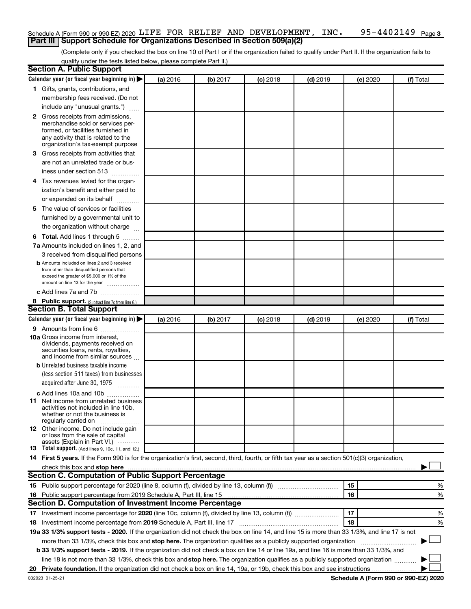#### 95-4402149 Page 3 Schedule A (Form 990 or 990-EZ) 2020 <code>LIFE FOR RELIEF</code> AND <code>DEVELOPMENT</code> , <code>INC. 95-4402149</code> <code>Page</code> **Part III | Support Schedule for Organizations Described in Section 509(a)(2)**

(Complete only if you checked the box on line 10 of Part I or if the organization failed to qualify under Part II. If the organization fails to qualify under the tests listed below, please complete Part II.)

| <b>Section A. Public Support</b>       |                                                                                                                                                  |          |          |            |            |          |           |
|----------------------------------------|--------------------------------------------------------------------------------------------------------------------------------------------------|----------|----------|------------|------------|----------|-----------|
|                                        | Calendar year (or fiscal year beginning in)                                                                                                      | (a) 2016 | (b) 2017 | $(c)$ 2018 | $(d)$ 2019 | (e) 2020 | (f) Total |
|                                        | 1 Gifts, grants, contributions, and                                                                                                              |          |          |            |            |          |           |
|                                        | membership fees received. (Do not                                                                                                                |          |          |            |            |          |           |
|                                        | include any "unusual grants.")                                                                                                                   |          |          |            |            |          |           |
|                                        | 2 Gross receipts from admissions,                                                                                                                |          |          |            |            |          |           |
|                                        | merchandise sold or services per-                                                                                                                |          |          |            |            |          |           |
|                                        | formed, or facilities furnished in<br>any activity that is related to the                                                                        |          |          |            |            |          |           |
|                                        | organization's tax-exempt purpose                                                                                                                |          |          |            |            |          |           |
|                                        | 3 Gross receipts from activities that                                                                                                            |          |          |            |            |          |           |
|                                        | are not an unrelated trade or bus-                                                                                                               |          |          |            |            |          |           |
| iness under section 513                |                                                                                                                                                  |          |          |            |            |          |           |
|                                        | 4 Tax revenues levied for the organ-                                                                                                             |          |          |            |            |          |           |
|                                        | ization's benefit and either paid to                                                                                                             |          |          |            |            |          |           |
|                                        | or expended on its behalf                                                                                                                        |          |          |            |            |          |           |
|                                        | 5 The value of services or facilities                                                                                                            |          |          |            |            |          |           |
|                                        | furnished by a governmental unit to                                                                                                              |          |          |            |            |          |           |
|                                        | the organization without charge                                                                                                                  |          |          |            |            |          |           |
|                                        | <b>6 Total.</b> Add lines 1 through 5                                                                                                            |          |          |            |            |          |           |
|                                        | 7a Amounts included on lines 1, 2, and                                                                                                           |          |          |            |            |          |           |
|                                        | 3 received from disqualified persons                                                                                                             |          |          |            |            |          |           |
|                                        | <b>b</b> Amounts included on lines 2 and 3 received                                                                                              |          |          |            |            |          |           |
|                                        | from other than disqualified persons that                                                                                                        |          |          |            |            |          |           |
|                                        | exceed the greater of \$5,000 or 1% of the<br>amount on line 13 for the year                                                                     |          |          |            |            |          |           |
|                                        | c Add lines 7a and 7b                                                                                                                            |          |          |            |            |          |           |
|                                        | 8 Public support. (Subtract line 7c from line 6.)                                                                                                |          |          |            |            |          |           |
| <b>Section B. Total Support</b>        |                                                                                                                                                  |          |          |            |            |          |           |
|                                        | Calendar year (or fiscal year beginning in)                                                                                                      | (a) 2016 | (b) 2017 | (c) 2018   | $(d)$ 2019 | (e) 2020 | (f) Total |
|                                        | 9 Amounts from line 6                                                                                                                            |          |          |            |            |          |           |
| <b>10a</b> Gross income from interest, |                                                                                                                                                  |          |          |            |            |          |           |
|                                        | dividends, payments received on                                                                                                                  |          |          |            |            |          |           |
|                                        | securities loans, rents, royalties,<br>and income from similar sources                                                                           |          |          |            |            |          |           |
|                                        | <b>b</b> Unrelated business taxable income                                                                                                       |          |          |            |            |          |           |
|                                        | (less section 511 taxes) from businesses                                                                                                         |          |          |            |            |          |           |
|                                        | acquired after June 30, 1975                                                                                                                     |          |          |            |            |          |           |
|                                        | c Add lines 10a and 10b                                                                                                                          |          |          |            |            |          |           |
|                                        | 11 Net income from unrelated business                                                                                                            |          |          |            |            |          |           |
|                                        | activities not included in line 10b.                                                                                                             |          |          |            |            |          |           |
|                                        | whether or not the business is                                                                                                                   |          |          |            |            |          |           |
| regularly carried on                   | <b>12</b> Other income. Do not include gain                                                                                                      |          |          |            |            |          |           |
|                                        | or loss from the sale of capital                                                                                                                 |          |          |            |            |          |           |
|                                        | assets (Explain in Part VI.) $\cdots$                                                                                                            |          |          |            |            |          |           |
|                                        | 13 Total support. (Add lines 9, 10c, 11, and 12.)                                                                                                |          |          |            |            |          |           |
|                                        | 14 First 5 years. If the Form 990 is for the organization's first, second, third, fourth, or fifth tax year as a section 501(c)(3) organization, |          |          |            |            |          |           |
|                                        | <b>Section C. Computation of Public Support Percentage</b>                                                                                       |          |          |            |            |          |           |
|                                        |                                                                                                                                                  |          |          |            |            |          |           |
|                                        |                                                                                                                                                  |          |          |            |            | 15       | %         |
|                                        | 16 Public support percentage from 2019 Schedule A, Part III, line 15                                                                             |          |          |            |            | 16       | %         |
|                                        | <b>Section D. Computation of Investment Income Percentage</b>                                                                                    |          |          |            |            |          |           |
|                                        |                                                                                                                                                  |          |          |            |            | 17       | %         |
|                                        | 18 Investment income percentage from 2019 Schedule A, Part III, line 17                                                                          |          |          |            |            | 18       | %         |
|                                        | 19a 33 1/3% support tests - 2020. If the organization did not check the box on line 14, and line 15 is more than 33 1/3%, and line 17 is not     |          |          |            |            |          |           |
|                                        | more than 33 1/3%, check this box and stop here. The organization qualifies as a publicly supported organization                                 |          |          |            |            |          |           |
|                                        | b 33 1/3% support tests - 2019. If the organization did not check a box on line 14 or line 19a, and line 16 is more than 33 1/3%, and            |          |          |            |            |          |           |
|                                        | line 18 is not more than 33 1/3%, check this box and stop here. The organization qualifies as a publicly supported organization                  |          |          |            |            |          |           |
|                                        |                                                                                                                                                  |          |          |            |            |          |           |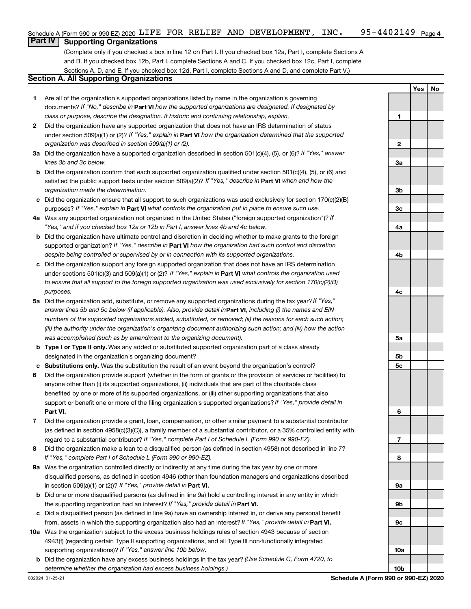# **Part IV Supporting Organizations**

(Complete only if you checked a box in line 12 on Part I. If you checked box 12a, Part I, complete Sections A and B. If you checked box 12b, Part I, complete Sections A and C. If you checked box 12c, Part I, complete Sections A, D, and E. If you checked box 12d, Part I, complete Sections A and D, and complete Part V.)

#### **Section A. All Supporting Organizations**

- **1** Are all of the organization's supported organizations listed by name in the organization's governing documents? If "No," describe in Part VI how the supported organizations are designated. If designated by *class or purpose, describe the designation. If historic and continuing relationship, explain.*
- **2** Did the organization have any supported organization that does not have an IRS determination of status under section 509(a)(1) or (2)? If "Yes," explain in Part VI how the organization determined that the supported *organization was described in section 509(a)(1) or (2).*
- **3a** Did the organization have a supported organization described in section 501(c)(4), (5), or (6)? If "Yes," answer *lines 3b and 3c below.*
- **b** Did the organization confirm that each supported organization qualified under section 501(c)(4), (5), or (6) and satisfied the public support tests under section 509(a)(2)? If "Yes," describe in Part VI when and how the *organization made the determination.*
- **c** Did the organization ensure that all support to such organizations was used exclusively for section 170(c)(2)(B) purposes? If "Yes," explain in Part VI what controls the organization put in place to ensure such use.
- **4 a** *If* Was any supported organization not organized in the United States ("foreign supported organization")? *"Yes," and if you checked box 12a or 12b in Part I, answer lines 4b and 4c below.*
- **b** Did the organization have ultimate control and discretion in deciding whether to make grants to the foreign supported organization? If "Yes," describe in Part VI how the organization had such control and discretion *despite being controlled or supervised by or in connection with its supported organizations.*
- **c** Did the organization support any foreign supported organization that does not have an IRS determination under sections 501(c)(3) and 509(a)(1) or (2)? If "Yes," explain in Part VI what controls the organization used *to ensure that all support to the foreign supported organization was used exclusively for section 170(c)(2)(B) purposes.*
- **5a** Did the organization add, substitute, or remove any supported organizations during the tax year? If "Yes," answer lines 5b and 5c below (if applicable). Also, provide detail in**Part VI,** including (i) the names and EIN *numbers of the supported organizations added, substituted, or removed; (ii) the reasons for each such action; (iii) the authority under the organization's organizing document authorizing such action; and (iv) how the action was accomplished (such as by amendment to the organizing document).*
- **b** Type I or Type II only. Was any added or substituted supported organization part of a class already designated in the organization's organizing document?
- **c Substitutions only.**  Was the substitution the result of an event beyond the organization's control?
- **6** Did the organization provide support (whether in the form of grants or the provision of services or facilities) to **Part VI.** support or benefit one or more of the filing organization's supported organizations? If "Yes," provide detail in anyone other than (i) its supported organizations, (ii) individuals that are part of the charitable class benefited by one or more of its supported organizations, or (iii) other supporting organizations that also
- **7** Did the organization provide a grant, loan, compensation, or other similar payment to a substantial contributor regard to a substantial contributor? If "Yes," complete Part I of Schedule L (Form 990 or 990-EZ). (as defined in section 4958(c)(3)(C)), a family member of a substantial contributor, or a 35% controlled entity with
- **8** Did the organization make a loan to a disqualified person (as defined in section 4958) not described in line 7? *If "Yes," complete Part I of Schedule L (Form 990 or 990-EZ).*
- **9 a** Was the organization controlled directly or indirectly at any time during the tax year by one or more in section 509(a)(1) or (2))? If "Yes," provide detail in **Part VI.** disqualified persons, as defined in section 4946 (other than foundation managers and organizations described
- **b** Did one or more disqualified persons (as defined in line 9a) hold a controlling interest in any entity in which the supporting organization had an interest? If "Yes," provide detail in Part VI.
- **c** Did a disqualified person (as defined in line 9a) have an ownership interest in, or derive any personal benefit from, assets in which the supporting organization also had an interest? If "Yes," provide detail in Part VI.
- **10 a** Was the organization subject to the excess business holdings rules of section 4943 because of section supporting organizations)? If "Yes," answer line 10b below. 4943(f) (regarding certain Type II supporting organizations, and all Type III non-functionally integrated
- **b** Did the organization have any excess business holdings in the tax year? (Use Schedule C, Form 4720, to *determine whether the organization had excess business holdings.)*

**Yes No 1 2 3a 3b 3c 4a 4b 4c 5a 5b 5c 6 7 8 9a 9b 9c 10a 10b**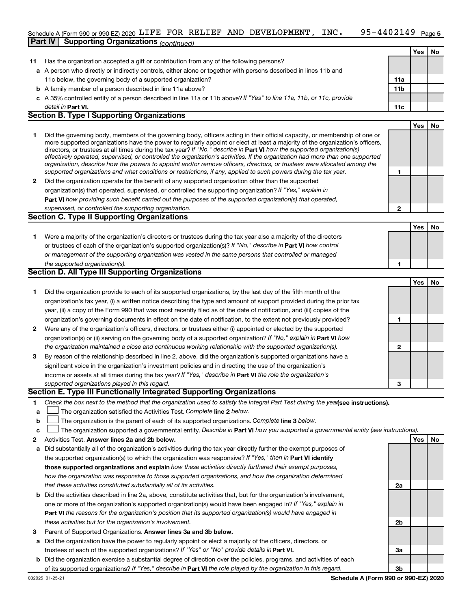#### 95-4402149 <sub>Page 5</sub> Schedule A (Form 990 or 990-EZ) 2020 <code>LIFE FOR RELIEF</code> AND <code>DEVELOPMENT</code> , <code>INC. 95-4402149</code> <code>Page</code> **Part IV Supporting Organizations** *(continued)*

|    |                                                                                                                                                                                                                                                                                                                                                                                                                                                                                                                                                                                                                                                                                                                                                                          |                 | Yes        | No |
|----|--------------------------------------------------------------------------------------------------------------------------------------------------------------------------------------------------------------------------------------------------------------------------------------------------------------------------------------------------------------------------------------------------------------------------------------------------------------------------------------------------------------------------------------------------------------------------------------------------------------------------------------------------------------------------------------------------------------------------------------------------------------------------|-----------------|------------|----|
| 11 | Has the organization accepted a gift or contribution from any of the following persons?                                                                                                                                                                                                                                                                                                                                                                                                                                                                                                                                                                                                                                                                                  |                 |            |    |
|    | a A person who directly or indirectly controls, either alone or together with persons described in lines 11b and                                                                                                                                                                                                                                                                                                                                                                                                                                                                                                                                                                                                                                                         |                 |            |    |
|    | 11c below, the governing body of a supported organization?                                                                                                                                                                                                                                                                                                                                                                                                                                                                                                                                                                                                                                                                                                               | 11a             |            |    |
|    | <b>b</b> A family member of a person described in line 11a above?                                                                                                                                                                                                                                                                                                                                                                                                                                                                                                                                                                                                                                                                                                        | 11 <sub>b</sub> |            |    |
|    | c A 35% controlled entity of a person described in line 11a or 11b above? If "Yes" to line 11a, 11b, or 11c, provide                                                                                                                                                                                                                                                                                                                                                                                                                                                                                                                                                                                                                                                     |                 |            |    |
|    | detail in Part VI.                                                                                                                                                                                                                                                                                                                                                                                                                                                                                                                                                                                                                                                                                                                                                       | 11c             |            |    |
|    | <b>Section B. Type I Supporting Organizations</b>                                                                                                                                                                                                                                                                                                                                                                                                                                                                                                                                                                                                                                                                                                                        |                 |            |    |
|    |                                                                                                                                                                                                                                                                                                                                                                                                                                                                                                                                                                                                                                                                                                                                                                          |                 | <b>Yes</b> | No |
| 1  | Did the governing body, members of the governing body, officers acting in their official capacity, or membership of one or<br>more supported organizations have the power to regularly appoint or elect at least a majority of the organization's officers,<br>directors, or trustees at all times during the tax year? If "No," describe in Part VI how the supported organization(s)<br>effectively operated, supervised, or controlled the organization's activities. If the organization had more than one supported<br>organization, describe how the powers to appoint and/or remove officers, directors, or trustees were allocated among the<br>supported organizations and what conditions or restrictions, if any, applied to such powers during the tax year. | 1               |            |    |
| 2  | Did the organization operate for the benefit of any supported organization other than the supported                                                                                                                                                                                                                                                                                                                                                                                                                                                                                                                                                                                                                                                                      |                 |            |    |
|    | organization(s) that operated, supervised, or controlled the supporting organization? If "Yes," explain in                                                                                                                                                                                                                                                                                                                                                                                                                                                                                                                                                                                                                                                               |                 |            |    |
|    | Part VI how providing such benefit carried out the purposes of the supported organization(s) that operated,                                                                                                                                                                                                                                                                                                                                                                                                                                                                                                                                                                                                                                                              |                 |            |    |
|    |                                                                                                                                                                                                                                                                                                                                                                                                                                                                                                                                                                                                                                                                                                                                                                          | $\mathbf{2}$    |            |    |
|    | supervised, or controlled the supporting organization.<br><b>Section C. Type II Supporting Organizations</b>                                                                                                                                                                                                                                                                                                                                                                                                                                                                                                                                                                                                                                                             |                 |            |    |
|    |                                                                                                                                                                                                                                                                                                                                                                                                                                                                                                                                                                                                                                                                                                                                                                          |                 |            |    |
|    |                                                                                                                                                                                                                                                                                                                                                                                                                                                                                                                                                                                                                                                                                                                                                                          |                 | Yes        | No |
| 1. | Were a majority of the organization's directors or trustees during the tax year also a majority of the directors                                                                                                                                                                                                                                                                                                                                                                                                                                                                                                                                                                                                                                                         |                 |            |    |
|    | or trustees of each of the organization's supported organization(s)? If "No," describe in Part VI how control                                                                                                                                                                                                                                                                                                                                                                                                                                                                                                                                                                                                                                                            |                 |            |    |
|    | or management of the supporting organization was vested in the same persons that controlled or managed                                                                                                                                                                                                                                                                                                                                                                                                                                                                                                                                                                                                                                                                   |                 |            |    |
|    | the supported organization(s).                                                                                                                                                                                                                                                                                                                                                                                                                                                                                                                                                                                                                                                                                                                                           | 1               |            |    |
|    | <b>Section D. All Type III Supporting Organizations</b>                                                                                                                                                                                                                                                                                                                                                                                                                                                                                                                                                                                                                                                                                                                  |                 |            |    |
|    |                                                                                                                                                                                                                                                                                                                                                                                                                                                                                                                                                                                                                                                                                                                                                                          |                 | Yes        | No |
| 1  | Did the organization provide to each of its supported organizations, by the last day of the fifth month of the                                                                                                                                                                                                                                                                                                                                                                                                                                                                                                                                                                                                                                                           |                 |            |    |
|    | organization's tax year, (i) a written notice describing the type and amount of support provided during the prior tax                                                                                                                                                                                                                                                                                                                                                                                                                                                                                                                                                                                                                                                    |                 |            |    |
|    | year, (ii) a copy of the Form 990 that was most recently filed as of the date of notification, and (iii) copies of the                                                                                                                                                                                                                                                                                                                                                                                                                                                                                                                                                                                                                                                   |                 |            |    |
|    | organization's governing documents in effect on the date of notification, to the extent not previously provided?                                                                                                                                                                                                                                                                                                                                                                                                                                                                                                                                                                                                                                                         | 1               |            |    |
| 2  | Were any of the organization's officers, directors, or trustees either (i) appointed or elected by the supported                                                                                                                                                                                                                                                                                                                                                                                                                                                                                                                                                                                                                                                         |                 |            |    |
|    | organization(s) or (ii) serving on the governing body of a supported organization? If "No," explain in Part VI how                                                                                                                                                                                                                                                                                                                                                                                                                                                                                                                                                                                                                                                       |                 |            |    |
|    | the organization maintained a close and continuous working relationship with the supported organization(s).                                                                                                                                                                                                                                                                                                                                                                                                                                                                                                                                                                                                                                                              | 2               |            |    |
| 3  | By reason of the relationship described in line 2, above, did the organization's supported organizations have a                                                                                                                                                                                                                                                                                                                                                                                                                                                                                                                                                                                                                                                          |                 |            |    |
|    | significant voice in the organization's investment policies and in directing the use of the organization's                                                                                                                                                                                                                                                                                                                                                                                                                                                                                                                                                                                                                                                               |                 |            |    |
|    | income or assets at all times during the tax year? If "Yes," describe in Part VI the role the organization's                                                                                                                                                                                                                                                                                                                                                                                                                                                                                                                                                                                                                                                             |                 |            |    |
|    | supported organizations played in this regard.                                                                                                                                                                                                                                                                                                                                                                                                                                                                                                                                                                                                                                                                                                                           | 3               |            |    |
|    | Section E. Type III Functionally Integrated Supporting Organizations                                                                                                                                                                                                                                                                                                                                                                                                                                                                                                                                                                                                                                                                                                     |                 |            |    |
|    | Check the box next to the method that the organization used to satisfy the Integral Part Test during the year see instructions).                                                                                                                                                                                                                                                                                                                                                                                                                                                                                                                                                                                                                                         |                 |            |    |
| 1  |                                                                                                                                                                                                                                                                                                                                                                                                                                                                                                                                                                                                                                                                                                                                                                          |                 |            |    |

- **a** The organization satisfied the Activities Test. Complete line 2 below.  $\mathcal{L}^{\text{max}}$
- **b** The organization is the parent of each of its supported organizations. Complete line 3 below.  $\mathcal{L}^{\text{max}}$
- **c** The organization supported a governmental entity. Describe in Part VI how you supported a governmental entity (see instructions).  $\mathcal{L}^{\text{max}}$
- **2 Answer lines 2a and 2b below. Yes No** Activities Test.
- **a** Did substantially all of the organization's activities during the tax year directly further the exempt purposes of the supported organization(s) to which the organization was responsive? If "Yes," then in Part VI identify **those supported organizations and explain**  *how these activities directly furthered their exempt purposes, how the organization was responsive to those supported organizations, and how the organization determined that these activities constituted substantially all of its activities.*
- **b** Did the activities described in line 2a, above, constitute activities that, but for the organization's involvement, **Part VI**  *the reasons for the organization's position that its supported organization(s) would have engaged in* one or more of the organization's supported organization(s) would have been engaged in? If "Yes," explain in *these activities but for the organization's involvement.*
- 3 Parent of Supported Organizations. Answer lines 3a and 3b below.
- **a** Did the organization have the power to regularly appoint or elect a majority of the officers, directors, or trustees of each of the supported organizations? If "Yes" or "No" provide details in Part VI.
- **b** Did the organization exercise a substantial degree of direction over the policies, programs, and activities of each of its supported organizations? If "Yes," describe in Part VI the role played by the organization in this regard.

**2a**

**2b**

**3a**

**3b**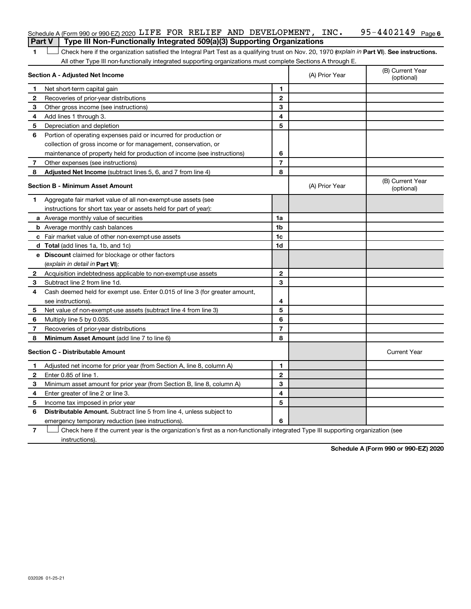|    | Schedule A (Form 990 or 990-EZ) 2020 LIFE FOR RELIEF AND DEVELOPMENT, INC.                                                                     |                |                                | $95 - 4402149$ Page 6          |
|----|------------------------------------------------------------------------------------------------------------------------------------------------|----------------|--------------------------------|--------------------------------|
|    | Type III Non-Functionally Integrated 509(a)(3) Supporting Organizations<br><b>Part V</b>                                                       |                |                                |                                |
| 1  | Check here if the organization satisfied the Integral Part Test as a qualifying trust on Nov. 20, 1970 (explain in Part VI). See instructions. |                |                                |                                |
|    | All other Type III non-functionally integrated supporting organizations must complete Sections A through E.                                    |                |                                |                                |
|    | Section A - Adjusted Net Income                                                                                                                |                | (A) Prior Year                 | (B) Current Year<br>(optional) |
| 1  | Net short-term capital gain                                                                                                                    | 1              |                                |                                |
| 2  | Recoveries of prior-year distributions                                                                                                         | $\mathbf{2}$   |                                |                                |
| 3  | Other gross income (see instructions)                                                                                                          | 3              |                                |                                |
| 4  | Add lines 1 through 3.                                                                                                                         | 4              |                                |                                |
| 5  | Depreciation and depletion                                                                                                                     | 5              |                                |                                |
| 6  | Portion of operating expenses paid or incurred for production or                                                                               |                |                                |                                |
|    | collection of gross income or for management, conservation, or                                                                                 |                |                                |                                |
|    | maintenance of property held for production of income (see instructions)                                                                       | 6              |                                |                                |
| 7  | Other expenses (see instructions)                                                                                                              | $\overline{7}$ |                                |                                |
| 8  | Adjusted Net Income (subtract lines 5, 6, and 7 from line 4)                                                                                   | 8              |                                |                                |
|    | Section B - Minimum Asset Amount                                                                                                               | (A) Prior Year | (B) Current Year<br>(optional) |                                |
| 1. | Aggregate fair market value of all non-exempt-use assets (see                                                                                  |                |                                |                                |
|    | instructions for short tax year or assets held for part of year):                                                                              |                |                                |                                |
|    | a Average monthly value of securities                                                                                                          | 1a             |                                |                                |
|    | <b>b</b> Average monthly cash balances                                                                                                         | 1b             |                                |                                |
|    | c Fair market value of other non-exempt-use assets                                                                                             | 1 <sub>c</sub> |                                |                                |
|    | d Total (add lines 1a, 1b, and 1c)                                                                                                             | 1d             |                                |                                |
|    | e Discount claimed for blockage or other factors                                                                                               |                |                                |                                |
|    | (explain in detail in <b>Part VI</b> ):                                                                                                        |                |                                |                                |
| 2  | Acquisition indebtedness applicable to non-exempt-use assets                                                                                   | $\mathbf{2}$   |                                |                                |
| З  | Subtract line 2 from line 1d.                                                                                                                  | 3              |                                |                                |
| 4  | Cash deemed held for exempt use. Enter 0.015 of line 3 (for greater amount,                                                                    |                |                                |                                |
|    | see instructions).                                                                                                                             | 4              |                                |                                |
| 5  | Net value of non-exempt-use assets (subtract line 4 from line 3)                                                                               | 5              |                                |                                |
| 6  | Multiply line 5 by 0.035.                                                                                                                      | 6              |                                |                                |
| 7  | Recoveries of prior-year distributions                                                                                                         | $\overline{7}$ |                                |                                |
| 8  | Minimum Asset Amount (add line 7 to line 6)                                                                                                    | 8              |                                |                                |
|    | <b>Section C - Distributable Amount</b>                                                                                                        |                |                                | <b>Current Year</b>            |
| 1  | Adjusted net income for prior year (from Section A, line 8, column A)                                                                          | 1              |                                |                                |
| 2  | Enter 0.85 of line 1.                                                                                                                          | $\mathbf{2}$   |                                |                                |
| З  | Minimum asset amount for prior year (from Section B, line 8, column A)                                                                         | 3              |                                |                                |
| 4  | Enter greater of line 2 or line 3.                                                                                                             | 4              |                                |                                |
| 5  | Income tax imposed in prior year                                                                                                               | 5              |                                |                                |
| 6  | <b>Distributable Amount.</b> Subtract line 5 from line 4, unless subject to                                                                    |                |                                |                                |
|    | emergency temporary reduction (see instructions).                                                                                              | 6              |                                |                                |
|    |                                                                                                                                                |                |                                |                                |

**7** Check here if the current year is the organization's first as a non-functionally integrated Type III supporting organization (see instructions).

**Schedule A (Form 990 or 990-EZ) 2020**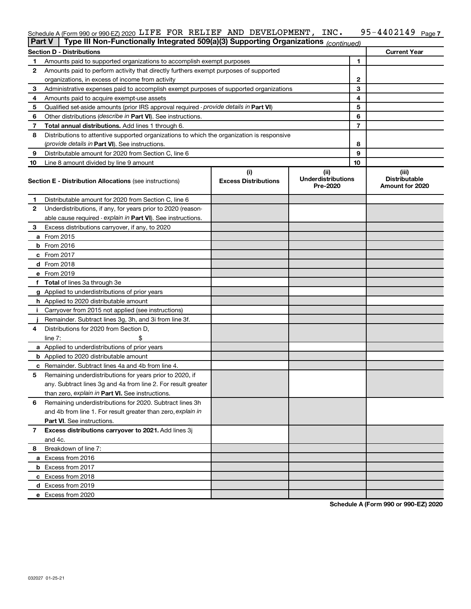#### 95-4402149 Page 7 Schedule A (Form 990 or 990-EZ) 2020 LIFE FOR RELIEF AND DEVELOPMENT, INC. 95-4402149  $\,$  Page

| <b>Part V</b> | Type III Non-Functionally Integrated 509(a)(3) Supporting Organizations (continued)        |                             |                                       |                                         |
|---------------|--------------------------------------------------------------------------------------------|-----------------------------|---------------------------------------|-----------------------------------------|
|               | <b>Section D - Distributions</b>                                                           |                             |                                       | <b>Current Year</b>                     |
| 1             | Amounts paid to supported organizations to accomplish exempt purposes                      |                             | 1                                     |                                         |
| 2             | Amounts paid to perform activity that directly furthers exempt purposes of supported       |                             |                                       |                                         |
|               | organizations, in excess of income from activity                                           |                             | 2                                     |                                         |
| 3             | Administrative expenses paid to accomplish exempt purposes of supported organizations      |                             | 3                                     |                                         |
| 4             | Amounts paid to acquire exempt-use assets                                                  | 4                           |                                       |                                         |
| 5             | Qualified set-aside amounts (prior IRS approval required - provide details in Part VI)     |                             | 5                                     |                                         |
| 6             | Other distributions ( <i>describe in</i> Part VI). See instructions.                       |                             | 6                                     |                                         |
| 7             | Total annual distributions. Add lines 1 through 6.                                         |                             | $\overline{7}$                        |                                         |
| 8             | Distributions to attentive supported organizations to which the organization is responsive |                             |                                       |                                         |
|               | (provide details in Part VI). See instructions.                                            | 8                           |                                       |                                         |
| 9             | Distributable amount for 2020 from Section C, line 6                                       |                             | 9                                     |                                         |
| 10            | Line 8 amount divided by line 9 amount                                                     |                             | 10                                    |                                         |
|               |                                                                                            | (i)                         | (ii)                                  | (iii)                                   |
|               | <b>Section E - Distribution Allocations (see instructions)</b>                             | <b>Excess Distributions</b> | <b>Underdistributions</b><br>Pre-2020 | <b>Distributable</b><br>Amount for 2020 |
| 1             | Distributable amount for 2020 from Section C, line 6                                       |                             |                                       |                                         |
| 2             | Underdistributions, if any, for years prior to 2020 (reason-                               |                             |                                       |                                         |
|               | able cause required - explain in Part VI). See instructions.                               |                             |                                       |                                         |
| 3             | Excess distributions carryover, if any, to 2020                                            |                             |                                       |                                         |
|               | a From 2015                                                                                |                             |                                       |                                         |
|               | <b>b</b> From 2016                                                                         |                             |                                       |                                         |
|               | c From 2017                                                                                |                             |                                       |                                         |
|               | d From 2018                                                                                |                             |                                       |                                         |
|               | e From 2019                                                                                |                             |                                       |                                         |
|               | f Total of lines 3a through 3e                                                             |                             |                                       |                                         |
|               | g Applied to underdistributions of prior years                                             |                             |                                       |                                         |
|               | <b>h</b> Applied to 2020 distributable amount                                              |                             |                                       |                                         |
| Ť.            | Carryover from 2015 not applied (see instructions)                                         |                             |                                       |                                         |
|               | Remainder. Subtract lines 3g, 3h, and 3i from line 3f.                                     |                             |                                       |                                         |
| 4             | Distributions for 2020 from Section D,                                                     |                             |                                       |                                         |
|               | line 7:                                                                                    |                             |                                       |                                         |
|               | a Applied to underdistributions of prior years                                             |                             |                                       |                                         |
|               | <b>b</b> Applied to 2020 distributable amount                                              |                             |                                       |                                         |
|               | <b>c</b> Remainder. Subtract lines 4a and 4b from line 4.                                  |                             |                                       |                                         |
| 5             | Remaining underdistributions for years prior to 2020, if                                   |                             |                                       |                                         |
|               | any. Subtract lines 3g and 4a from line 2. For result greater                              |                             |                                       |                                         |
|               | than zero, explain in Part VI. See instructions.                                           |                             |                                       |                                         |
| 6             | Remaining underdistributions for 2020. Subtract lines 3h                                   |                             |                                       |                                         |
|               | and 4b from line 1. For result greater than zero, explain in                               |                             |                                       |                                         |
|               | <b>Part VI.</b> See instructions.                                                          |                             |                                       |                                         |
| 7             | Excess distributions carryover to 2021. Add lines 3j                                       |                             |                                       |                                         |
|               | and 4c.                                                                                    |                             |                                       |                                         |
| 8             | Breakdown of line 7:                                                                       |                             |                                       |                                         |
|               | a Excess from 2016                                                                         |                             |                                       |                                         |
|               | <b>b</b> Excess from 2017                                                                  |                             |                                       |                                         |
|               | c Excess from 2018                                                                         |                             |                                       |                                         |
|               | d Excess from 2019                                                                         |                             |                                       |                                         |
|               | e Excess from 2020                                                                         |                             |                                       |                                         |

**Schedule A (Form 990 or 990-EZ) 2020**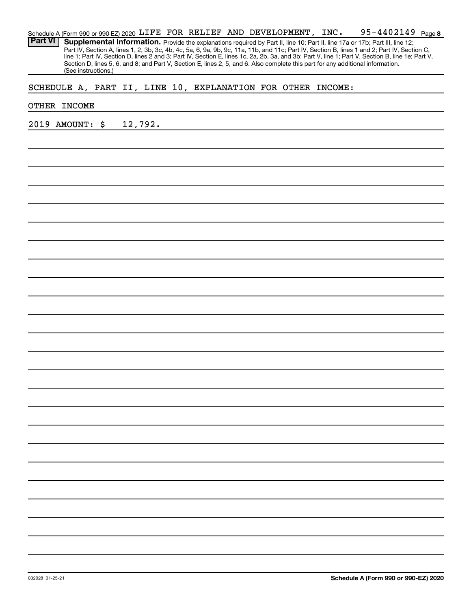| Schedule A (Form 990 or 990-EZ) 2020 LIFE FOR RELIEF AND DEVELOPMENT, INC.                                                                       |  |  | 95-4402149 <sub>Page</sub> 8 |  |
|--------------------------------------------------------------------------------------------------------------------------------------------------|--|--|------------------------------|--|
| <b>Part VI   Supplemental Information.</b> Provide the explanations required by Part II, line 10; Part II, line 17a or 17b; Part III, line 12;   |  |  |                              |  |
| Part IV, Section A, lines 1, 2, 3b, 3c, 4b, 4c, 5a, 6, 9a, 9b, 9c, 11a, 11b, and 11c; Part IV, Section B, lines 1 and 2; Part IV, Section C,     |  |  |                              |  |
| line 1; Part IV, Section D, lines 2 and 3; Part IV, Section E, lines 1c, 2a, 2b, 3a, and 3b; Part V, line 1; Part V, Section B, line 1e; Part V, |  |  |                              |  |
| Section D, lines 5, 6, and 8; and Part V, Section E, lines 2, 5, and 6. Also complete this part for any additional information.                  |  |  |                              |  |
| (See instructions.)                                                                                                                              |  |  |                              |  |

## SCHEDULE A, PART II, LINE 10, EXPLANATION FOR OTHER INCOME:

#### OTHER INCOME

2019 AMOUNT: \$ 12,792.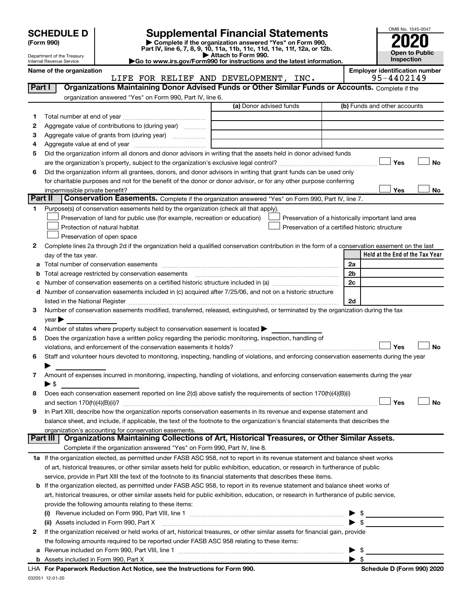| <b>SCHEDULE D</b> |  |
|-------------------|--|
|-------------------|--|

Department of the Treasury Internal Revenue Service

| (Form 990) |  |
|------------|--|
|------------|--|

**(Form 990) | Complete if the organization answered "Yes" on Form 990, Part IV, line 6, 7, 8, 9, 10, 11a, 11b, 11c, 11d, 11e, 11f, 12a, or 12b. SCHEDULE D Supplemental Financial Statements**<br> **Form 990 2020**<br> **Part IV** line 6.7.8.9.10, 11a, 11b, 11d, 11d, 11d, 11d, 12a, or 12b

**| Attach to Form 990. |Go to www.irs.gov/Form990 for instructions and the latest information.**



Name of the organization<br>**Employer identification number**<br>**Employer identification number**<br>**EMPLOPMENT**, INC.<br>95-4402149 LIFE FOR RELIEF AND DEVELOPMENT, INC.

| Part I |                                                                                                                                                                                                                  | Organizations Maintaining Donor Advised Funds or Other Similar Funds or Accounts. Complete if the |                                                    |
|--------|------------------------------------------------------------------------------------------------------------------------------------------------------------------------------------------------------------------|---------------------------------------------------------------------------------------------------|----------------------------------------------------|
|        | organization answered "Yes" on Form 990, Part IV, line 6.                                                                                                                                                        |                                                                                                   |                                                    |
|        |                                                                                                                                                                                                                  | (a) Donor advised funds                                                                           | (b) Funds and other accounts                       |
| 1.     |                                                                                                                                                                                                                  |                                                                                                   |                                                    |
| 2      | Aggregate value of contributions to (during year)                                                                                                                                                                |                                                                                                   |                                                    |
| з      | Aggregate value of grants from (during year)                                                                                                                                                                     |                                                                                                   |                                                    |
| 4      |                                                                                                                                                                                                                  |                                                                                                   |                                                    |
| 5      | Did the organization inform all donors and donor advisors in writing that the assets held in donor advised funds                                                                                                 |                                                                                                   |                                                    |
|        |                                                                                                                                                                                                                  |                                                                                                   | Yes<br>No                                          |
| 6      | Did the organization inform all grantees, donors, and donor advisors in writing that grant funds can be used only                                                                                                |                                                                                                   |                                                    |
|        | for charitable purposes and not for the benefit of the donor or donor advisor, or for any other purpose conferring                                                                                               |                                                                                                   |                                                    |
|        | impermissible private benefit?                                                                                                                                                                                   |                                                                                                   | Yes<br>No                                          |
|        | Part II                                                                                                                                                                                                          | Conservation Easements. Complete if the organization answered "Yes" on Form 990, Part IV, line 7. |                                                    |
| 1.     | Purpose(s) of conservation easements held by the organization (check all that apply).                                                                                                                            |                                                                                                   |                                                    |
|        | Preservation of land for public use (for example, recreation or education)                                                                                                                                       |                                                                                                   | Preservation of a historically important land area |
|        | Protection of natural habitat                                                                                                                                                                                    |                                                                                                   | Preservation of a certified historic structure     |
|        | Preservation of open space                                                                                                                                                                                       |                                                                                                   |                                                    |
| 2      | Complete lines 2a through 2d if the organization held a qualified conservation contribution in the form of a conservation easement on the last                                                                   |                                                                                                   |                                                    |
|        | day of the tax year.                                                                                                                                                                                             |                                                                                                   | Held at the End of the Tax Year                    |
| а      |                                                                                                                                                                                                                  |                                                                                                   | 2a                                                 |
|        | Total acreage restricted by conservation easements                                                                                                                                                               |                                                                                                   | 2 <sub>b</sub>                                     |
|        |                                                                                                                                                                                                                  |                                                                                                   | 2c                                                 |
| d      | Number of conservation easements included in (c) acquired after 7/25/06, and not on a historic structure                                                                                                         |                                                                                                   |                                                    |
|        |                                                                                                                                                                                                                  |                                                                                                   | 2d                                                 |
| 3      | Number of conservation easements modified, transferred, released, extinguished, or terminated by the organization during the tax                                                                                 |                                                                                                   |                                                    |
|        | year                                                                                                                                                                                                             |                                                                                                   |                                                    |
| 4      | Number of states where property subject to conservation easement is located >                                                                                                                                    |                                                                                                   |                                                    |
| 5      | Does the organization have a written policy regarding the periodic monitoring, inspection, handling of                                                                                                           |                                                                                                   |                                                    |
|        | violations, and enforcement of the conservation easements it holds?<br>Staff and volunteer hours devoted to monitoring, inspecting, handling of violations, and enforcing conservation easements during the year |                                                                                                   | Yes<br>No                                          |
| 6      |                                                                                                                                                                                                                  |                                                                                                   |                                                    |
| 7      | Amount of expenses incurred in monitoring, inspecting, handling of violations, and enforcing conservation easements during the year                                                                              |                                                                                                   |                                                    |
|        | ► \$                                                                                                                                                                                                             |                                                                                                   |                                                    |
| 8      | Does each conservation easement reported on line 2(d) above satisfy the requirements of section 170(h)(4)(B)(i)                                                                                                  |                                                                                                   |                                                    |
|        |                                                                                                                                                                                                                  |                                                                                                   | Yes<br>No                                          |
| 9      | In Part XIII, describe how the organization reports conservation easements in its revenue and expense statement and                                                                                              |                                                                                                   |                                                    |
|        | balance sheet, and include, if applicable, the text of the footnote to the organization's financial statements that describes the                                                                                |                                                                                                   |                                                    |
|        | organization's accounting for conservation easements.                                                                                                                                                            |                                                                                                   |                                                    |
|        | <b>Part III</b>                                                                                                                                                                                                  | Organizations Maintaining Collections of Art, Historical Treasures, or Other Similar Assets.      |                                                    |
|        | Complete if the organization answered "Yes" on Form 990, Part IV, line 8.                                                                                                                                        |                                                                                                   |                                                    |
|        | 1a If the organization elected, as permitted under FASB ASC 958, not to report in its revenue statement and balance sheet works                                                                                  |                                                                                                   |                                                    |
|        | of art, historical treasures, or other similar assets held for public exhibition, education, or research in furtherance of public                                                                                |                                                                                                   |                                                    |
|        | service, provide in Part XIII the text of the footnote to its financial statements that describes these items.                                                                                                   |                                                                                                   |                                                    |
|        | <b>b</b> If the organization elected, as permitted under FASB ASC 958, to report in its revenue statement and balance sheet works of                                                                             |                                                                                                   |                                                    |
|        | art, historical treasures, or other similar assets held for public exhibition, education, or research in furtherance of public service,                                                                          |                                                                                                   |                                                    |
|        | provide the following amounts relating to these items:                                                                                                                                                           |                                                                                                   |                                                    |
|        |                                                                                                                                                                                                                  |                                                                                                   |                                                    |
|        | (ii) Assets included in Form 990, Part X                                                                                                                                                                         |                                                                                                   | ► \$                                               |
| 2      | If the organization received or held works of art, historical treasures, or other similar assets for financial gain, provide                                                                                     |                                                                                                   |                                                    |
|        | the following amounts required to be reported under FASB ASC 958 relating to these items:                                                                                                                        |                                                                                                   |                                                    |
|        |                                                                                                                                                                                                                  |                                                                                                   | \$                                                 |
|        |                                                                                                                                                                                                                  |                                                                                                   | ▶ \$                                               |
|        | LHA For Paperwork Reduction Act Notice, see the Instructions for Form 990.                                                                                                                                       |                                                                                                   | Schedule D (Form 990) 2020                         |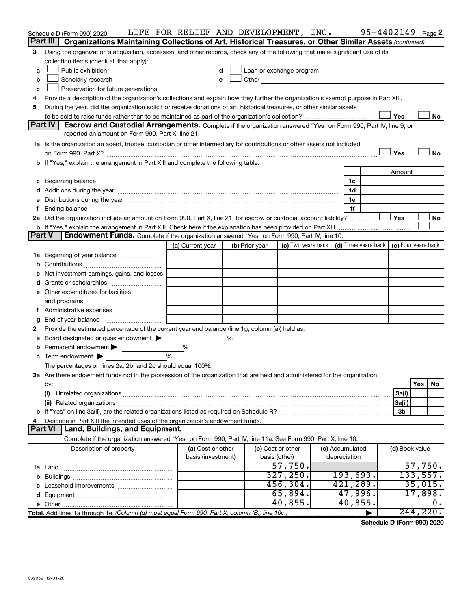|               | Schedule D (Form 990) 2020                                                                                                                                                                                                     | LIFE FOR RELIEF AND DEVELOPMENT, INC. |   |                |                                                                                                                                                                                                                                |  |                 |  |                | 95-4402149 Page 2 |
|---------------|--------------------------------------------------------------------------------------------------------------------------------------------------------------------------------------------------------------------------------|---------------------------------------|---|----------------|--------------------------------------------------------------------------------------------------------------------------------------------------------------------------------------------------------------------------------|--|-----------------|--|----------------|-------------------|
|               | Part III<br>Organizations Maintaining Collections of Art, Historical Treasures, or Other Similar Assets (continued)                                                                                                            |                                       |   |                |                                                                                                                                                                                                                                |  |                 |  |                |                   |
| 3             | Using the organization's acquisition, accession, and other records, check any of the following that make significant use of its                                                                                                |                                       |   |                |                                                                                                                                                                                                                                |  |                 |  |                |                   |
|               | collection items (check all that apply):                                                                                                                                                                                       |                                       |   |                |                                                                                                                                                                                                                                |  |                 |  |                |                   |
| a             | Public exhibition                                                                                                                                                                                                              | d                                     |   |                | Loan or exchange program                                                                                                                                                                                                       |  |                 |  |                |                   |
| b             | Scholarly research                                                                                                                                                                                                             | e                                     |   |                | Other and the control of the control of the control of the control of the control of the control of the control of the control of the control of the control of the control of the control of the control of the control of th |  |                 |  |                |                   |
| c             | Preservation for future generations                                                                                                                                                                                            |                                       |   |                |                                                                                                                                                                                                                                |  |                 |  |                |                   |
| 4             | Provide a description of the organization's collections and explain how they further the organization's exempt purpose in Part XIII.                                                                                           |                                       |   |                |                                                                                                                                                                                                                                |  |                 |  |                |                   |
| 5             | During the year, did the organization solicit or receive donations of art, historical treasures, or other similar assets                                                                                                       |                                       |   |                |                                                                                                                                                                                                                                |  |                 |  |                |                   |
|               |                                                                                                                                                                                                                                |                                       |   |                |                                                                                                                                                                                                                                |  |                 |  | Yes            | No                |
|               | <b>Part IV</b><br>Escrow and Custodial Arrangements. Complete if the organization answered "Yes" on Form 990, Part IV, line 9, or                                                                                              |                                       |   |                |                                                                                                                                                                                                                                |  |                 |  |                |                   |
|               | reported an amount on Form 990, Part X, line 21.                                                                                                                                                                               |                                       |   |                |                                                                                                                                                                                                                                |  |                 |  |                |                   |
|               | 1a Is the organization an agent, trustee, custodian or other intermediary for contributions or other assets not included                                                                                                       |                                       |   |                |                                                                                                                                                                                                                                |  |                 |  |                |                   |
|               |                                                                                                                                                                                                                                |                                       |   |                |                                                                                                                                                                                                                                |  |                 |  | Yes            | No                |
|               | b If "Yes," explain the arrangement in Part XIII and complete the following table:                                                                                                                                             |                                       |   |                |                                                                                                                                                                                                                                |  |                 |  |                |                   |
|               |                                                                                                                                                                                                                                |                                       |   |                |                                                                                                                                                                                                                                |  |                 |  | Amount         |                   |
|               | c Beginning balance measurements and the contract of the contract of the contract of the contract of the contract of the contract of the contract of the contract of the contract of the contract of the contract of the contr |                                       |   |                |                                                                                                                                                                                                                                |  | 1c              |  |                |                   |
|               |                                                                                                                                                                                                                                |                                       |   |                |                                                                                                                                                                                                                                |  | 1d              |  |                |                   |
|               | Distributions during the year manufactured and an account of the year manufactured and the year manufactured and the year manufactured and the year manufactured and the year manufactured and the state of the state of the s |                                       |   |                |                                                                                                                                                                                                                                |  | 1e              |  |                |                   |
|               |                                                                                                                                                                                                                                |                                       |   |                |                                                                                                                                                                                                                                |  | 1f              |  |                |                   |
|               | 2a Did the organization include an amount on Form 990, Part X, line 21, for escrow or custodial account liability?                                                                                                             |                                       |   |                |                                                                                                                                                                                                                                |  |                 |  | Yes            | No                |
|               | <b>b</b> If "Yes," explain the arrangement in Part XIII. Check here if the explanation has been provided on Part XIII                                                                                                          |                                       |   |                |                                                                                                                                                                                                                                |  |                 |  |                |                   |
| <b>Part V</b> | Endowment Funds. Complete if the organization answered "Yes" on Form 990, Part IV, line 10.                                                                                                                                    |                                       |   |                |                                                                                                                                                                                                                                |  |                 |  |                |                   |
|               |                                                                                                                                                                                                                                | (a) Current year                      |   | (b) Prior year | (c) Two years back $\vert$ (d) Three years back $\vert$ (e) Four years back                                                                                                                                                    |  |                 |  |                |                   |
|               | 1a Beginning of year balance                                                                                                                                                                                                   |                                       |   |                |                                                                                                                                                                                                                                |  |                 |  |                |                   |
| b             |                                                                                                                                                                                                                                |                                       |   |                |                                                                                                                                                                                                                                |  |                 |  |                |                   |
|               | Net investment earnings, gains, and losses                                                                                                                                                                                     |                                       |   |                |                                                                                                                                                                                                                                |  |                 |  |                |                   |
|               |                                                                                                                                                                                                                                |                                       |   |                |                                                                                                                                                                                                                                |  |                 |  |                |                   |
|               | e Other expenditures for facilities                                                                                                                                                                                            |                                       |   |                |                                                                                                                                                                                                                                |  |                 |  |                |                   |
|               | and programs                                                                                                                                                                                                                   |                                       |   |                |                                                                                                                                                                                                                                |  |                 |  |                |                   |
|               |                                                                                                                                                                                                                                |                                       |   |                |                                                                                                                                                                                                                                |  |                 |  |                |                   |
| g             | End of year balance                                                                                                                                                                                                            |                                       |   |                |                                                                                                                                                                                                                                |  |                 |  |                |                   |
| 2             | Provide the estimated percentage of the current year end balance (line 1g, column (a)) held as:                                                                                                                                |                                       |   |                |                                                                                                                                                                                                                                |  |                 |  |                |                   |
|               | Board designated or quasi-endowment<br>Permanent endowment                                                                                                                                                                     | $\%$                                  | ℅ |                |                                                                                                                                                                                                                                |  |                 |  |                |                   |
|               | Term endowment $\blacktriangleright$                                                                                                                                                                                           | %                                     |   |                |                                                                                                                                                                                                                                |  |                 |  |                |                   |
| c             | The percentages on lines 2a, 2b, and 2c should equal 100%.                                                                                                                                                                     |                                       |   |                |                                                                                                                                                                                                                                |  |                 |  |                |                   |
|               | 3a Are there endowment funds not in the possession of the organization that are held and administered for the organization                                                                                                     |                                       |   |                |                                                                                                                                                                                                                                |  |                 |  |                |                   |
|               | by:                                                                                                                                                                                                                            |                                       |   |                |                                                                                                                                                                                                                                |  |                 |  |                | Yes<br>No         |
|               | (i)                                                                                                                                                                                                                            |                                       |   |                |                                                                                                                                                                                                                                |  |                 |  | 3a(i)          |                   |
|               |                                                                                                                                                                                                                                |                                       |   |                |                                                                                                                                                                                                                                |  |                 |  | 3a(ii)         |                   |
|               |                                                                                                                                                                                                                                |                                       |   |                |                                                                                                                                                                                                                                |  |                 |  | 3b             |                   |
|               | Describe in Part XIII the intended uses of the organization's endowment funds.                                                                                                                                                 |                                       |   |                |                                                                                                                                                                                                                                |  |                 |  |                |                   |
|               | Land, Buildings, and Equipment.<br><b>Part VI</b>                                                                                                                                                                              |                                       |   |                |                                                                                                                                                                                                                                |  |                 |  |                |                   |
|               | Complete if the organization answered "Yes" on Form 990, Part IV, line 11a. See Form 990, Part X, line 10.                                                                                                                     |                                       |   |                |                                                                                                                                                                                                                                |  |                 |  |                |                   |
|               | Description of property                                                                                                                                                                                                        | (a) Cost or other                     |   |                | (b) Cost or other                                                                                                                                                                                                              |  | (c) Accumulated |  | (d) Book value |                   |
|               |                                                                                                                                                                                                                                | basis (investment)                    |   |                | basis (other)                                                                                                                                                                                                                  |  | depreciation    |  |                |                   |
|               |                                                                                                                                                                                                                                |                                       |   |                | 57,750.                                                                                                                                                                                                                        |  |                 |  |                | 57,750.           |
|               |                                                                                                                                                                                                                                |                                       |   |                | 327, 250.                                                                                                                                                                                                                      |  | 193,693.        |  |                | 133,557.          |
|               |                                                                                                                                                                                                                                |                                       |   |                | 456, 304.                                                                                                                                                                                                                      |  | 421,289.        |  |                | 35,015.           |
|               |                                                                                                                                                                                                                                |                                       |   |                | 65,894.                                                                                                                                                                                                                        |  | 47,996.         |  |                | 17,898.           |
|               |                                                                                                                                                                                                                                |                                       |   |                | 40,855.                                                                                                                                                                                                                        |  | 40,855          |  |                | 0.                |
|               | Total. Add lines 1a through 1e. (Column (d) must equal Form 990, Part X, column (B), line 10c.)                                                                                                                                |                                       |   |                |                                                                                                                                                                                                                                |  |                 |  |                | 244, 220.         |

**Schedule D (Form 990) 2020**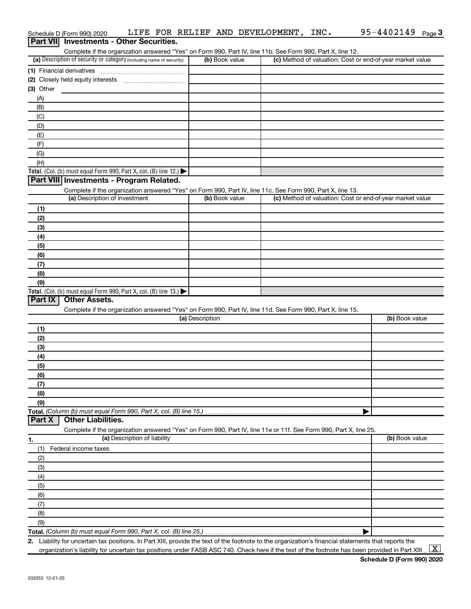|                | Schedule D (Form 990) 2020                                                                                                                  |                              |                 |                | LIFE FOR RELIEF AND DEVELOPMENT, INC. | $95 - 4402149$ Page 3                                     |
|----------------|---------------------------------------------------------------------------------------------------------------------------------------------|------------------------------|-----------------|----------------|---------------------------------------|-----------------------------------------------------------|
|                | <b>Part VII</b> Investments - Other Securities.                                                                                             |                              |                 |                |                                       |                                                           |
|                | Complete if the organization answered "Yes" on Form 990, Part IV, line 11b. See Form 990, Part X, line 12.                                  |                              |                 |                |                                       |                                                           |
|                | (a) Description of security or category (including name of security)                                                                        |                              |                 | (b) Book value |                                       | (c) Method of valuation: Cost or end-of-year market value |
|                |                                                                                                                                             |                              |                 |                |                                       |                                                           |
|                |                                                                                                                                             |                              |                 |                |                                       |                                                           |
| $(3)$ Other    |                                                                                                                                             |                              |                 |                |                                       |                                                           |
| (A)            |                                                                                                                                             |                              |                 |                |                                       |                                                           |
| (B)            |                                                                                                                                             |                              |                 |                |                                       |                                                           |
| (C)            |                                                                                                                                             |                              |                 |                |                                       |                                                           |
| (D)            |                                                                                                                                             |                              |                 |                |                                       |                                                           |
| (E)            |                                                                                                                                             |                              |                 |                |                                       |                                                           |
| (F)            |                                                                                                                                             |                              |                 |                |                                       |                                                           |
| (G)            |                                                                                                                                             |                              |                 |                |                                       |                                                           |
| (H)            |                                                                                                                                             |                              |                 |                |                                       |                                                           |
|                | Total. (Col. (b) must equal Form 990, Part X, col. (B) line 12.)                                                                            |                              |                 |                |                                       |                                                           |
|                | Part VIII Investments - Program Related.                                                                                                    |                              |                 |                |                                       |                                                           |
|                |                                                                                                                                             |                              |                 |                |                                       |                                                           |
|                | Complete if the organization answered "Yes" on Form 990, Part IV, line 11c. See Form 990, Part X, line 13.<br>(a) Description of investment |                              |                 | (b) Book value |                                       | (c) Method of valuation: Cost or end-of-year market value |
|                |                                                                                                                                             |                              |                 |                |                                       |                                                           |
| (1)            |                                                                                                                                             |                              |                 |                |                                       |                                                           |
| (2)            |                                                                                                                                             |                              |                 |                |                                       |                                                           |
| (3)            |                                                                                                                                             |                              |                 |                |                                       |                                                           |
| (4)            |                                                                                                                                             |                              |                 |                |                                       |                                                           |
| (5)            |                                                                                                                                             |                              |                 |                |                                       |                                                           |
| (6)            |                                                                                                                                             |                              |                 |                |                                       |                                                           |
| (7)            |                                                                                                                                             |                              |                 |                |                                       |                                                           |
| (8)            |                                                                                                                                             |                              |                 |                |                                       |                                                           |
| (9)            |                                                                                                                                             |                              |                 |                |                                       |                                                           |
|                | Total. (Col. (b) must equal Form 990, Part X, col. (B) line 13.)                                                                            |                              |                 |                |                                       |                                                           |
| <b>Part IX</b> | <b>Other Assets.</b>                                                                                                                        |                              |                 |                |                                       |                                                           |
|                | Complete if the organization answered "Yes" on Form 990, Part IV, line 11d. See Form 990, Part X, line 15.                                  |                              |                 |                |                                       |                                                           |
|                |                                                                                                                                             |                              | (a) Description |                |                                       | (b) Book value                                            |
| (1)            |                                                                                                                                             |                              |                 |                |                                       |                                                           |
| (2)            |                                                                                                                                             |                              |                 |                |                                       |                                                           |
| (3)            |                                                                                                                                             |                              |                 |                |                                       |                                                           |
| (4)            |                                                                                                                                             |                              |                 |                |                                       |                                                           |
| (5)            |                                                                                                                                             |                              |                 |                |                                       |                                                           |
| (6)            |                                                                                                                                             |                              |                 |                |                                       |                                                           |
| (7)            |                                                                                                                                             |                              |                 |                |                                       |                                                           |
| (8)            |                                                                                                                                             |                              |                 |                |                                       |                                                           |
| (9)            |                                                                                                                                             |                              |                 |                |                                       |                                                           |
|                | Total. (Column (b) must equal Form 990, Part X, col. (B) line 15.)                                                                          |                              |                 |                |                                       |                                                           |
| <b>Part X</b>  | <b>Other Liabilities.</b>                                                                                                                   |                              |                 |                |                                       |                                                           |
|                | Complete if the organization answered "Yes" on Form 990, Part IV, line 11e or 11f. See Form 990, Part X, line 25.                           |                              |                 |                |                                       |                                                           |
| 1.             |                                                                                                                                             | (a) Description of liability |                 |                |                                       | (b) Book value                                            |
| (1)            | Federal income taxes                                                                                                                        |                              |                 |                |                                       |                                                           |
| (2)            |                                                                                                                                             |                              |                 |                |                                       |                                                           |
| (3)            |                                                                                                                                             |                              |                 |                |                                       |                                                           |
| (4)            |                                                                                                                                             |                              |                 |                |                                       |                                                           |
| (5)            |                                                                                                                                             |                              |                 |                |                                       |                                                           |
| (6)            |                                                                                                                                             |                              |                 |                |                                       |                                                           |
| (7)            |                                                                                                                                             |                              |                 |                |                                       |                                                           |
| (8)            |                                                                                                                                             |                              |                 |                |                                       |                                                           |
| (9)            |                                                                                                                                             |                              |                 |                |                                       |                                                           |
|                | Total. (Column (b) must equal Form 990, Part X, col. (B) line 25.)                                                                          |                              |                 |                |                                       |                                                           |
|                |                                                                                                                                             |                              |                 |                |                                       |                                                           |

**2.** Liability for uncertain tax positions. In Part XIII, provide the text of the footnote to the organization's financial statements that reports the organization's liability for uncertain tax positions under FASB ASC 740. Check here if the text of the footnote has been provided in Part XIII...  $\boxed{\mathrm{X}}$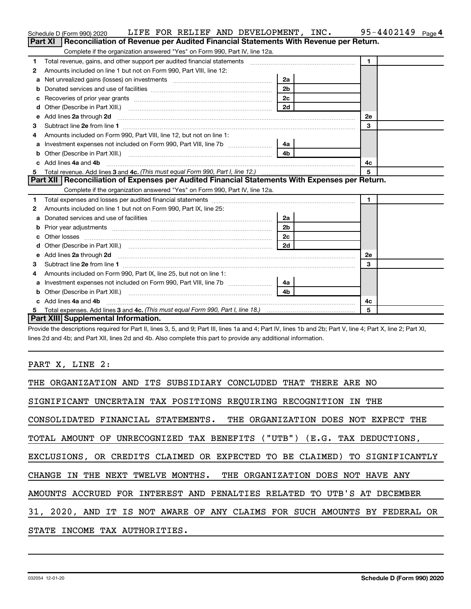|    | LIFE FOR RELIEF AND DEVELOPMENT, INC.<br>Schedule D (Form 990) 2020                                           |                | $95 - 4402149$ Page 4 |
|----|---------------------------------------------------------------------------------------------------------------|----------------|-----------------------|
|    | Reconciliation of Revenue per Audited Financial Statements With Revenue per Return.<br>Part XI                |                |                       |
|    | Complete if the organization answered "Yes" on Form 990, Part IV, line 12a.                                   |                |                       |
| 1  | Total revenue, gains, and other support per audited financial statements [[[[[[[[[[[[[[[[[[[[[[[]]]]]]]]]]]]] |                | $\blacksquare$        |
| 2  | Amounts included on line 1 but not on Form 990, Part VIII, line 12:                                           |                |                       |
| a  |                                                                                                               | 2a             |                       |
|    |                                                                                                               | 2 <sub>b</sub> |                       |
|    |                                                                                                               |                |                       |
| d  | Other (Describe in Part XIII.) <b>Construction Contract Construction</b> L                                    | 2d             |                       |
| е  | Add lines 2a through 2d                                                                                       |                | 2е                    |
| 3  |                                                                                                               |                | 3                     |
| 4  | Amounts included on Form 990, Part VIII, line 12, but not on line 1:                                          |                |                       |
|    |                                                                                                               | 4a             |                       |
| b  |                                                                                                               | 4 <sub>b</sub> |                       |
| c. | Add lines 4a and 4b                                                                                           | 4c             |                       |
|    |                                                                                                               |                | 5                     |
|    | Part XII   Reconciliation of Expenses per Audited Financial Statements With Expenses per Return.              |                |                       |
|    | Complete if the organization answered "Yes" on Form 990, Part IV, line 12a.                                   |                |                       |
| 1  |                                                                                                               |                | $\mathbf{1}$          |
| 2  | Amounts included on line 1 but not on Form 990, Part IX, line 25:                                             |                |                       |
| a  |                                                                                                               | 2a             |                       |
|    |                                                                                                               | 2 <sub>b</sub> |                       |
|    |                                                                                                               | 2 <sub>c</sub> |                       |
| d  |                                                                                                               | 2d             |                       |
|    |                                                                                                               |                | <b>2e</b>             |
| з  |                                                                                                               |                | 3                     |
| 4  | Amounts included on Form 990, Part IX, line 25, but not on line 1:                                            |                |                       |
|    |                                                                                                               | 4a l           |                       |
| b  |                                                                                                               | 4b             |                       |
|    | c Add lines 4a and 4b                                                                                         |                | 4c                    |
|    |                                                                                                               |                | 5                     |
|    | Part XIII Supplemental Information.                                                                           |                |                       |

Provide the descriptions required for Part II, lines 3, 5, and 9; Part III, lines 1a and 4; Part IV, lines 1b and 2b; Part V, line 4; Part X, line 2; Part XI, lines 2d and 4b; and Part XII, lines 2d and 4b. Also complete this part to provide any additional information.

PART X, LINE 2:

| THE ORGANIZATION AND ITS SUBSIDIARY CONCLUDED THAT THERE ARE NO            |  |  |  |  |  |  |
|----------------------------------------------------------------------------|--|--|--|--|--|--|
| SIGNIFICANT UNCERTAIN TAX POSITIONS REOUIRING RECOGNITION IN THE           |  |  |  |  |  |  |
| CONSOLIDATED FINANCIAL STATEMENTS. THE ORGANIZATION DOES NOT EXPECT THE    |  |  |  |  |  |  |
| TOTAL AMOUNT OF UNRECOGNIZED TAX BENEFITS ("UTB") (E.G. TAX DEDUCTIONS,    |  |  |  |  |  |  |
| EXCLUSIONS, OR CREDITS CLAIMED OR EXPECTED TO BE CLAIMED) TO SIGNIFICANTLY |  |  |  |  |  |  |
| CHANGE IN THE NEXT TWELVE MONTHS. THE ORGANIZATION DOES NOT HAVE ANY       |  |  |  |  |  |  |
| AMOUNTS ACCRUED FOR INTEREST AND PENALTIES RELATED TO UTB'S AT DECEMBER    |  |  |  |  |  |  |
| 31, 2020, AND IT IS NOT AWARE OF ANY CLAIMS FOR SUCH AMOUNTS BY FEDERAL OR |  |  |  |  |  |  |
| STATE INCOME TAX AUTHORITIES.                                              |  |  |  |  |  |  |
|                                                                            |  |  |  |  |  |  |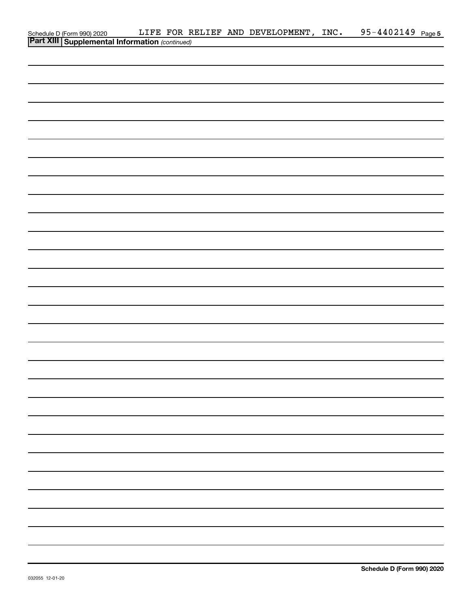|                                                                                                |  | LIFE FOR RELIEF AND DEVELOPMENT, INC. | 95-4402149 Page 5 |
|------------------------------------------------------------------------------------------------|--|---------------------------------------|-------------------|
| Schedule D (Form 990) 2020 LIFE FOR R<br><b>Part XIII Supplemental Information</b> (continued) |  |                                       |                   |
|                                                                                                |  |                                       |                   |
|                                                                                                |  |                                       |                   |
|                                                                                                |  |                                       |                   |
|                                                                                                |  |                                       |                   |
|                                                                                                |  |                                       |                   |
|                                                                                                |  |                                       |                   |
|                                                                                                |  |                                       |                   |
|                                                                                                |  |                                       |                   |
|                                                                                                |  |                                       |                   |
|                                                                                                |  |                                       |                   |
|                                                                                                |  |                                       |                   |
|                                                                                                |  |                                       |                   |
|                                                                                                |  |                                       |                   |
|                                                                                                |  |                                       |                   |
|                                                                                                |  |                                       |                   |
|                                                                                                |  |                                       |                   |
|                                                                                                |  |                                       |                   |
|                                                                                                |  |                                       |                   |
|                                                                                                |  |                                       |                   |
|                                                                                                |  |                                       |                   |
|                                                                                                |  |                                       |                   |
|                                                                                                |  |                                       |                   |
|                                                                                                |  |                                       |                   |
|                                                                                                |  |                                       |                   |
|                                                                                                |  |                                       |                   |
|                                                                                                |  |                                       |                   |
|                                                                                                |  |                                       |                   |
|                                                                                                |  |                                       |                   |
|                                                                                                |  |                                       |                   |
|                                                                                                |  |                                       |                   |
|                                                                                                |  |                                       |                   |
|                                                                                                |  |                                       |                   |
|                                                                                                |  |                                       |                   |
|                                                                                                |  |                                       |                   |
|                                                                                                |  |                                       |                   |
|                                                                                                |  |                                       |                   |
|                                                                                                |  |                                       |                   |
|                                                                                                |  |                                       |                   |
|                                                                                                |  |                                       |                   |
|                                                                                                |  |                                       |                   |
|                                                                                                |  |                                       |                   |
|                                                                                                |  |                                       |                   |
|                                                                                                |  |                                       |                   |
|                                                                                                |  |                                       |                   |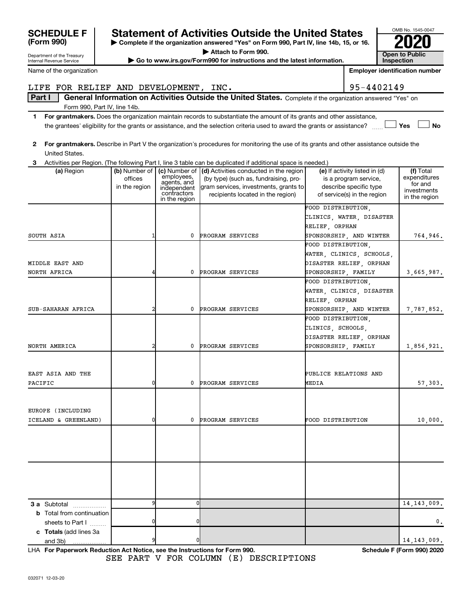EUROPE (INCLUDING

| <b>SCHEDULE F</b><br>(Form 990)<br>Department of the Treasury<br>Internal Revenue Service |                          |                                                         | <b>Statement of Activities Outside the United States</b><br>Complete if the organization answered "Yes" on Form 990, Part IV, line 14b, 15, or 16.<br>Attach to Form 990.<br>Go to www.irs.gov/Form990 for instructions and the latest information.  |                       | Inspection                                                                     | OMB No. 1545-0047<br><b>Open to Public</b> |
|-------------------------------------------------------------------------------------------|--------------------------|---------------------------------------------------------|------------------------------------------------------------------------------------------------------------------------------------------------------------------------------------------------------------------------------------------------------|-----------------------|--------------------------------------------------------------------------------|--------------------------------------------|
| Name of the organization                                                                  |                          |                                                         |                                                                                                                                                                                                                                                      |                       | <b>Employer identification number</b>                                          |                                            |
|                                                                                           |                          |                                                         |                                                                                                                                                                                                                                                      |                       |                                                                                |                                            |
| LIFE FOR RELIEF AND DEVELOPMENT, INC.                                                     |                          |                                                         |                                                                                                                                                                                                                                                      |                       | 95-4402149                                                                     |                                            |
| Part I                                                                                    |                          |                                                         | General Information on Activities Outside the United States. Complete if the organization answered "Yes" on                                                                                                                                          |                       |                                                                                |                                            |
| Form 990, Part IV, line 14b.                                                              |                          |                                                         |                                                                                                                                                                                                                                                      |                       |                                                                                |                                            |
| 1.                                                                                        |                          |                                                         | For grantmakers. Does the organization maintain records to substantiate the amount of its grants and other assistance,<br>the grantees' eligibility for the grants or assistance, and the selection criteria used to award the grants or assistance? |                       |                                                                                | Yes<br><b>No</b>                           |
| $\mathbf{2}$<br>United States.                                                            |                          |                                                         | For grantmakers. Describe in Part V the organization's procedures for monitoring the use of its grants and other assistance outside the                                                                                                              |                       |                                                                                |                                            |
| 3<br>(a) Region                                                                           | (b) Number of            |                                                         | Activities per Region. (The following Part I, line 3 table can be duplicated if additional space is needed.)<br>(c) Number of (d) Activities conducted in the region                                                                                 |                       | (e) If activity listed in (d)                                                  | (f) Total                                  |
|                                                                                           | offices<br>in the region | employees,<br>agents, and<br>independent<br>contractors | (by type) (such as, fundraising, pro-<br>gram services, investments, grants to<br>recipients located in the region)                                                                                                                                  |                       | is a program service,<br>describe specific type<br>of service(s) in the region | expenditures<br>for and<br>investments     |
|                                                                                           |                          | in the region                                           |                                                                                                                                                                                                                                                      |                       |                                                                                | in the region                              |
|                                                                                           |                          |                                                         |                                                                                                                                                                                                                                                      | FOOD DISTRIBUTION.    | CLINICS, WATER, DISASTER                                                       |                                            |
| SOUTH ASIA                                                                                | 1                        | 0                                                       | PROGRAM SERVICES                                                                                                                                                                                                                                     | RELIEF, ORPHAN        | SPONSORSHIP, AND WINTER                                                        | 764,946.                                   |
|                                                                                           |                          |                                                         |                                                                                                                                                                                                                                                      | FOOD DISTRIBUTION,    |                                                                                |                                            |
|                                                                                           |                          |                                                         |                                                                                                                                                                                                                                                      |                       | WATER, CLINICS, SCHOOLS,                                                       |                                            |
| MIDDLE EAST AND                                                                           |                          |                                                         |                                                                                                                                                                                                                                                      |                       | DISASTER RELIEF, ORPHAN                                                        |                                            |
| NORTH AFRICA                                                                              | 4                        | 0                                                       | PROGRAM SERVICES                                                                                                                                                                                                                                     | SPONSORSHIP, FAMILY   |                                                                                | 3,665,987.                                 |
|                                                                                           |                          |                                                         |                                                                                                                                                                                                                                                      | FOOD DISTRIBUTION.    |                                                                                |                                            |
|                                                                                           |                          |                                                         |                                                                                                                                                                                                                                                      |                       | WATER, CLINICS, DISASTER                                                       |                                            |
|                                                                                           |                          |                                                         |                                                                                                                                                                                                                                                      | RELIEF, ORPHAN        |                                                                                |                                            |
| SUB-SAHARAN AFRICA                                                                        | $\overline{2}$           |                                                         | <b>PROGRAM SERVICES</b>                                                                                                                                                                                                                              |                       | SPONSORSHIP, AND WINTER                                                        | 7,787,852.                                 |
|                                                                                           |                          |                                                         |                                                                                                                                                                                                                                                      | FOOD DISTRIBUTION,    |                                                                                |                                            |
|                                                                                           |                          |                                                         |                                                                                                                                                                                                                                                      | CLINICS, SCHOOLS,     |                                                                                |                                            |
|                                                                                           |                          |                                                         |                                                                                                                                                                                                                                                      |                       | DISASTER RELIEF, ORPHAN                                                        |                                            |
| NORTH AMERICA                                                                             | $\overline{2}$           | 0                                                       | PROGRAM SERVICES                                                                                                                                                                                                                                     | SPONSORSHIP FAMILY    |                                                                                | 1,856,921.                                 |
|                                                                                           |                          |                                                         |                                                                                                                                                                                                                                                      |                       |                                                                                |                                            |
| EAST ASIA AND THE                                                                         |                          |                                                         |                                                                                                                                                                                                                                                      | PUBLICE RELATIONS AND |                                                                                |                                            |
| PACIFIC                                                                                   | 0                        | 0                                                       | <b>PROGRAM SERVICES</b>                                                                                                                                                                                                                              | MEDIA                 |                                                                                | 57,303.                                    |
|                                                                                           |                          |                                                         |                                                                                                                                                                                                                                                      |                       |                                                                                |                                            |

**3 a** Subtotal .................. **b** Total from continuation **c Totals**  (add lines 3a sheets to Part  $1$   $\ldots$ ... and 3b) 9 0 0 14,143,009. 0 0 0. 9 0 14,143,009.

ICELAND & GREENLAND) 0 0 PROGRAM SERVICES FOOD DISTRIBUTION 10,000.

**For Paperwork Reduction Act Notice, see the Instructions for Form 990. Schedule F (Form 990) 2020** LHA SEE PART V FOR COLUMN (E) DESCRIPTIONS

|            | SUNEDULE |
|------------|----------|
| (Form 990) |          |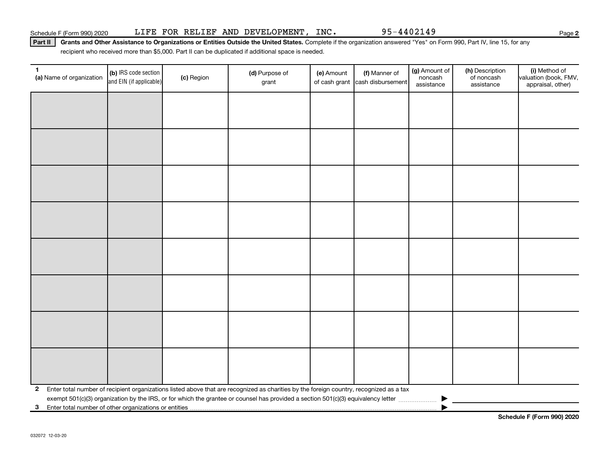Part II | Grants and Other Assistance to Organizations or Entities Outside the United States. Complete if the organization answered "Yes" on Form 990, Part IV, line 15, for any recipient who received more than \$5,000. Part II can be duplicated if additional space is needed.

| $\mathbf{1}$<br>(a) Name of organization                                | (b) IRS code section<br>and EIN (if applicable) | (c) Region | (d) Purpose of<br>grant                                                                                                                 | (e) Amount<br>of cash grant | (f) Manner of<br>cash disbursement | (g) Amount of<br>noncash<br>assistance | (h) Description<br>of noncash<br>assistance | (i) Method of<br>valuation (book, FMV,<br>appraisal, other) |
|-------------------------------------------------------------------------|-------------------------------------------------|------------|-----------------------------------------------------------------------------------------------------------------------------------------|-----------------------------|------------------------------------|----------------------------------------|---------------------------------------------|-------------------------------------------------------------|
|                                                                         |                                                 |            |                                                                                                                                         |                             |                                    |                                        |                                             |                                                             |
|                                                                         |                                                 |            |                                                                                                                                         |                             |                                    |                                        |                                             |                                                             |
|                                                                         |                                                 |            |                                                                                                                                         |                             |                                    |                                        |                                             |                                                             |
|                                                                         |                                                 |            |                                                                                                                                         |                             |                                    |                                        |                                             |                                                             |
|                                                                         |                                                 |            |                                                                                                                                         |                             |                                    |                                        |                                             |                                                             |
|                                                                         |                                                 |            |                                                                                                                                         |                             |                                    |                                        |                                             |                                                             |
|                                                                         |                                                 |            |                                                                                                                                         |                             |                                    |                                        |                                             |                                                             |
|                                                                         |                                                 |            |                                                                                                                                         |                             |                                    |                                        |                                             |                                                             |
|                                                                         |                                                 |            |                                                                                                                                         |                             |                                    |                                        |                                             |                                                             |
|                                                                         |                                                 |            |                                                                                                                                         |                             |                                    |                                        |                                             |                                                             |
|                                                                         |                                                 |            |                                                                                                                                         |                             |                                    |                                        |                                             |                                                             |
|                                                                         |                                                 |            |                                                                                                                                         |                             |                                    |                                        |                                             |                                                             |
|                                                                         |                                                 |            |                                                                                                                                         |                             |                                    |                                        |                                             |                                                             |
|                                                                         |                                                 |            |                                                                                                                                         |                             |                                    |                                        |                                             |                                                             |
|                                                                         |                                                 |            |                                                                                                                                         |                             |                                    |                                        |                                             |                                                             |
|                                                                         |                                                 |            |                                                                                                                                         |                             |                                    |                                        |                                             |                                                             |
| $\mathbf{2}$                                                            |                                                 |            | Enter total number of recipient organizations listed above that are recognized as charities by the foreign country, recognized as a tax |                             |                                    |                                        |                                             |                                                             |
| Enter total number of other organizations or entities<br>3 <sup>1</sup> |                                                 |            |                                                                                                                                         |                             |                                    |                                        |                                             |                                                             |

**Schedule F (Form 990) 2020**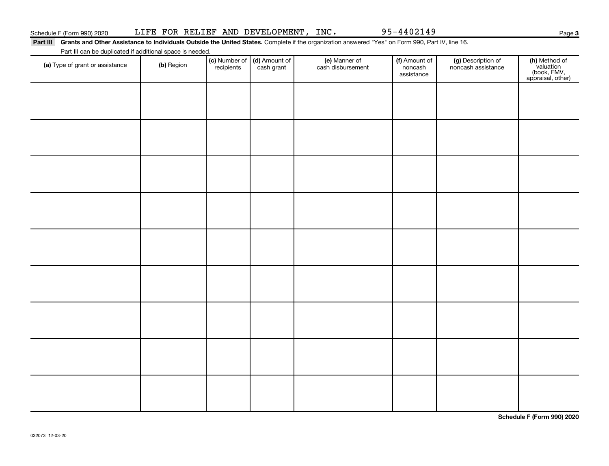Part III Grants and Other Assistance to Individuals Outside the United States. Complete if the organization answered "Yes" on Form 990, Part IV, line 16. Part III can be duplicated if additional space is needed.

| T are in barr be depiled to a dominant space is necessar.<br>(a) Type of grant or assistance | (b) Region | (c) Number of (d) Amount of recipients cash grant | (e) Manner of<br>cash disbursement | (f) Amount of<br>noncash<br>assistance | (g) Description of<br>noncash assistance | (h) Method of<br>valuation<br>(book, FMV,<br>appraisal, other) |
|----------------------------------------------------------------------------------------------|------------|---------------------------------------------------|------------------------------------|----------------------------------------|------------------------------------------|----------------------------------------------------------------|
|                                                                                              |            |                                                   |                                    |                                        |                                          |                                                                |
|                                                                                              |            |                                                   |                                    |                                        |                                          |                                                                |
|                                                                                              |            |                                                   |                                    |                                        |                                          |                                                                |
|                                                                                              |            |                                                   |                                    |                                        |                                          |                                                                |
|                                                                                              |            |                                                   |                                    |                                        |                                          |                                                                |
|                                                                                              |            |                                                   |                                    |                                        |                                          |                                                                |
|                                                                                              |            |                                                   |                                    |                                        |                                          |                                                                |
|                                                                                              |            |                                                   |                                    |                                        |                                          |                                                                |
|                                                                                              |            |                                                   |                                    |                                        |                                          |                                                                |
|                                                                                              |            |                                                   |                                    |                                        |                                          |                                                                |

**Schedule F (Form 990) 2020**

**3**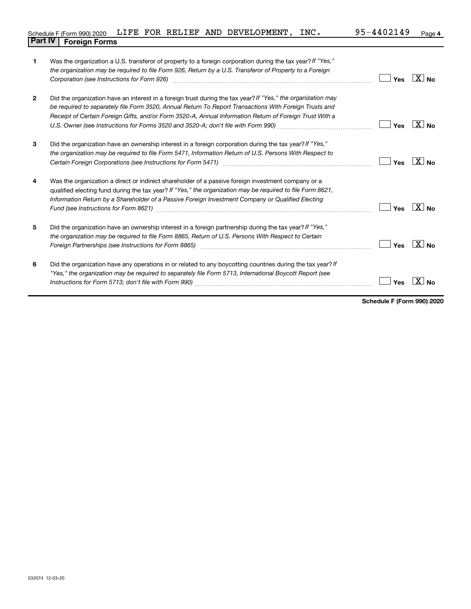|                                |  |  | Schedule F (Form 990) 2020 LIFE FOR RELIEF AND DEVELOPMENT, | INC. | 95-4402149 | Page 4 |
|--------------------------------|--|--|-------------------------------------------------------------|------|------------|--------|
| <b>Part IV   Foreign Forms</b> |  |  |                                                             |      |            |        |

| 1              | Was the organization a U.S. transferor of property to a foreign corporation during the tax year? If "Yes,"<br>the organization may be required to file Form 926, Return by a U.S. Transferor of Property to a Foreign<br>Corporation (see Instructions for Form 926)                                                                                                                                                                            | Yes | $\boxed{\text{X}}$ No |
|----------------|-------------------------------------------------------------------------------------------------------------------------------------------------------------------------------------------------------------------------------------------------------------------------------------------------------------------------------------------------------------------------------------------------------------------------------------------------|-----|-----------------------|
| $\overline{2}$ | Did the organization have an interest in a foreign trust during the tax year? If "Yes," the organization may<br>be required to separately file Form 3520, Annual Return To Report Transactions With Foreign Trusts and<br>Receipt of Certain Foreign Gifts, and/or Form 3520-A, Annual Information Return of Foreign Trust With a                                                                                                               | Yes | $ X $ No.             |
| 3              | Did the organization have an ownership interest in a foreign corporation during the tax year? If "Yes,"<br>the organization may be required to file Form 5471, Information Return of U.S. Persons With Respect to                                                                                                                                                                                                                               | Yes | $ X _{\text{No}}$     |
| 4              | Was the organization a direct or indirect shareholder of a passive foreign investment company or a<br>qualified electing fund during the tax year? If "Yes," the organization may be required to file Form 8621,<br>Information Return by a Shareholder of a Passive Foreign Investment Company or Qualified Electing                                                                                                                           | Yes | $X_{\text{No}}$       |
| 5              | Did the organization have an ownership interest in a foreign partnership during the tax year? If "Yes,"<br>the organization may be required to file Form 8865, Return of U.S. Persons With Respect to Certain<br>Foreign Partnerships (see Instructions for Form 8865) manufactured content content and the content of the state of the state of the state of the state of the state of the state of the state of the state of the state of the | Yes | $X_{\text{No}}$       |
| 6              | Did the organization have any operations in or related to any boycotting countries during the tax year? If<br>"Yes," the organization may be required to separately file Form 5713, International Boycott Report (see                                                                                                                                                                                                                           | Yes |                       |

**Schedule F (Form 990) 2020**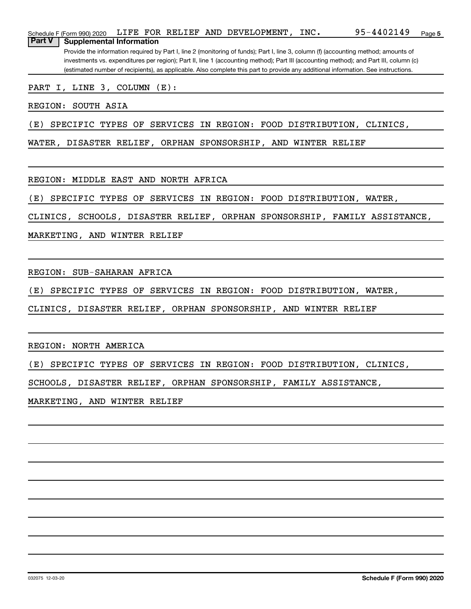|               | Schedule F (Form 990) 2020                                                                                                            |  |  |  |  | LIFE FOR RELIEF AND DEVELOPMENT, | INC. | 95-4402149                                                                                                                          | Page 5 |
|---------------|---------------------------------------------------------------------------------------------------------------------------------------|--|--|--|--|----------------------------------|------|-------------------------------------------------------------------------------------------------------------------------------------|--------|
| <b>Part V</b> | Supplemental Information                                                                                                              |  |  |  |  |                                  |      |                                                                                                                                     |        |
|               |                                                                                                                                       |  |  |  |  |                                  |      | Provide the information required by Part I, line 2 (monitoring of funds); Part I, line 3, column (f) (accounting method; amounts of |        |
|               | investments vs. expenditures per region); Part II, line 1 (accounting method); Part III (accounting method); and Part III, column (c) |  |  |  |  |                                  |      |                                                                                                                                     |        |

(estimated number of recipients), as applicable. Also complete this part to provide any additional information. See instructions.

#### PART I, LINE 3, COLUMN (E):

REGION: SOUTH ASIA

(E) SPECIFIC TYPES OF SERVICES IN REGION: FOOD DISTRIBUTION, CLINICS,

WATER, DISASTER RELIEF, ORPHAN SPONSORSHIP, AND WINTER RELIEF

REGION: MIDDLE EAST AND NORTH AFRICA

(E) SPECIFIC TYPES OF SERVICES IN REGION: FOOD DISTRIBUTION, WATER,

CLINICS, SCHOOLS, DISASTER RELIEF, ORPHAN SPONSORSHIP, FAMILY ASSISTANCE,

MARKETING, AND WINTER RELIEF

REGION: SUB-SAHARAN AFRICA

(E) SPECIFIC TYPES OF SERVICES IN REGION: FOOD DISTRIBUTION, WATER,

CLINICS, DISASTER RELIEF, ORPHAN SPONSORSHIP, AND WINTER RELIEF

REGION: NORTH AMERICA

(E) SPECIFIC TYPES OF SERVICES IN REGION: FOOD DISTRIBUTION, CLINICS,

SCHOOLS, DISASTER RELIEF, ORPHAN SPONSORSHIP, FAMILY ASSISTANCE,

MARKETING, AND WINTER RELIEF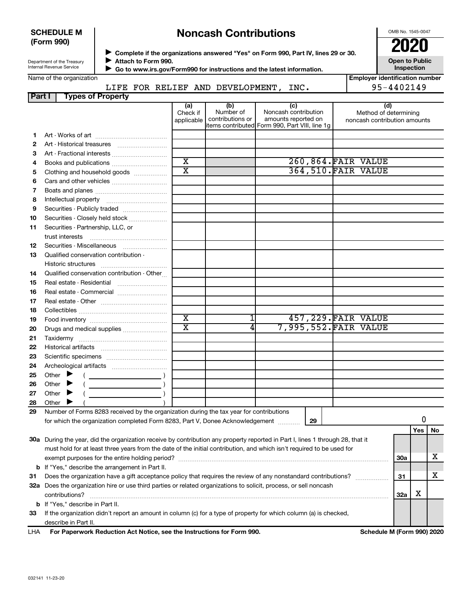#### **SCHEDULE M (Form 990)**

# **Noncash Contributions**

OMB No. 1545-0047

| Department of the Treasury |  |
|----------------------------|--|
| Internal Revenue Service   |  |

◆ Complete if the organizations answered "Yes" on Form 990, Part IV, lines 29 or 30.<br>● Complete if the organizations answered "Yes" on Form 990, Part IV, lines 29 or 30.

**Attach to Form 990.**  $\blacktriangleright$ 

 **Go to www.irs.gov/Form990 for instructions and the latest information.** J

**Inspection Employer identification number**

**Open to Public**

| Name of the organization |  |
|--------------------------|--|
|--------------------------|--|

LIFE FOR RELIEF AND DEVELOPMENT, INC.

| I Employer identification numb |
|--------------------------------|
| 95-4402149                     |

| Part I | <b>Types of Property</b>                                                                                                       |                         |                  |                                                                       |                              |            |     |    |
|--------|--------------------------------------------------------------------------------------------------------------------------------|-------------------------|------------------|-----------------------------------------------------------------------|------------------------------|------------|-----|----|
|        |                                                                                                                                | (a)<br>Check if         | (b)<br>Number of | (c)<br>Noncash contribution                                           | (d)<br>Method of determining |            |     |    |
|        |                                                                                                                                | applicable              | contributions or | amounts reported on<br>items contributed Form 990, Part VIII, line 1g | noncash contribution amounts |            |     |    |
| 1      |                                                                                                                                |                         |                  |                                                                       |                              |            |     |    |
| 2      |                                                                                                                                |                         |                  |                                                                       |                              |            |     |    |
| 3      | Art - Fractional interests                                                                                                     |                         |                  |                                                                       |                              |            |     |    |
| 4      | Books and publications                                                                                                         | $\overline{\text{x}}$   |                  |                                                                       | 260,864. FAIR VALUE          |            |     |    |
| 5      | Clothing and household goods                                                                                                   | $\overline{\mathtt{x}}$ |                  |                                                                       | <b>364,510. FAIR VALUE</b>   |            |     |    |
| 6      |                                                                                                                                |                         |                  |                                                                       |                              |            |     |    |
| 7      |                                                                                                                                |                         |                  |                                                                       |                              |            |     |    |
| 8      |                                                                                                                                |                         |                  |                                                                       |                              |            |     |    |
| 9      | Securities - Publicly traded                                                                                                   |                         |                  |                                                                       |                              |            |     |    |
| 10     | Securities - Closely held stock                                                                                                |                         |                  |                                                                       |                              |            |     |    |
| 11     | Securities - Partnership, LLC, or                                                                                              |                         |                  |                                                                       |                              |            |     |    |
|        | trust interests                                                                                                                |                         |                  |                                                                       |                              |            |     |    |
| 12     | Securities - Miscellaneous                                                                                                     |                         |                  |                                                                       |                              |            |     |    |
| 13     | Qualified conservation contribution -                                                                                          |                         |                  |                                                                       |                              |            |     |    |
|        |                                                                                                                                |                         |                  |                                                                       |                              |            |     |    |
| 14     | Qualified conservation contribution - Other                                                                                    |                         |                  |                                                                       |                              |            |     |    |
| 15     | Real estate - Residential                                                                                                      |                         |                  |                                                                       |                              |            |     |    |
| 16     | Real estate - Commercial                                                                                                       |                         |                  |                                                                       |                              |            |     |    |
| 17     |                                                                                                                                |                         |                  |                                                                       |                              |            |     |    |
| 18     |                                                                                                                                |                         |                  |                                                                       |                              |            |     |    |
| 19     |                                                                                                                                | $\overline{\textbf{x}}$ |                  |                                                                       | 457, 229. FAIR VALUE         |            |     |    |
| 20     | Drugs and medical supplies                                                                                                     | $\overline{\texttt{x}}$ | 4                |                                                                       | 7,995,552.FAIR VALUE         |            |     |    |
| 21     |                                                                                                                                |                         |                  |                                                                       |                              |            |     |    |
| 22     |                                                                                                                                |                         |                  |                                                                       |                              |            |     |    |
| 23     |                                                                                                                                |                         |                  |                                                                       |                              |            |     |    |
| 24     |                                                                                                                                |                         |                  |                                                                       |                              |            |     |    |
| 25     | Other                                                                                                                          |                         |                  |                                                                       |                              |            |     |    |
| 26     | $\overline{\phantom{a}}$ )<br>Other                                                                                            |                         |                  |                                                                       |                              |            |     |    |
| 27     | Other<br>▸                                                                                                                     |                         |                  |                                                                       |                              |            |     |    |
| 28     | Other                                                                                                                          |                         |                  |                                                                       |                              |            |     |    |
| 29     | Number of Forms 8283 received by the organization during the tax year for contributions                                        |                         |                  |                                                                       |                              |            |     |    |
|        | for which the organization completed Form 8283, Part V, Donee Acknowledgement                                                  |                         |                  | 29                                                                    |                              |            | 0   |    |
|        |                                                                                                                                |                         |                  |                                                                       |                              |            | Yes | No |
|        | 30a During the year, did the organization receive by contribution any property reported in Part I, lines 1 through 28, that it |                         |                  |                                                                       |                              |            |     |    |
|        | must hold for at least three years from the date of the initial contribution, and which isn't required to be used for          |                         |                  |                                                                       |                              |            |     |    |
|        |                                                                                                                                |                         |                  |                                                                       |                              | <b>30a</b> |     | x  |
|        | <b>b</b> If "Yes," describe the arrangement in Part II.                                                                        |                         |                  |                                                                       |                              |            |     |    |
| 31     | Does the organization have a gift acceptance policy that requires the review of any nonstandard contributions?                 |                         |                  |                                                                       |                              | 31         |     | х  |
|        | 32a Does the organization hire or use third parties or related organizations to solicit, process, or sell noncash              |                         |                  |                                                                       |                              |            |     |    |
|        | contributions?                                                                                                                 |                         |                  |                                                                       |                              | 32a        | X   |    |
|        | <b>b</b> If "Yes," describe in Part II.                                                                                        |                         |                  |                                                                       |                              |            |     |    |
| 33     | If the organization didn't report an amount in column (c) for a type of property for which column (a) is checked,              |                         |                  |                                                                       |                              |            |     |    |
|        | describe in Part II.                                                                                                           |                         |                  |                                                                       |                              |            |     |    |
| LHA    | For Paperwork Reduction Act Notice, see the Instructions for Form 990.                                                         |                         |                  |                                                                       | Schedule M (Form 990) 2020   |            |     |    |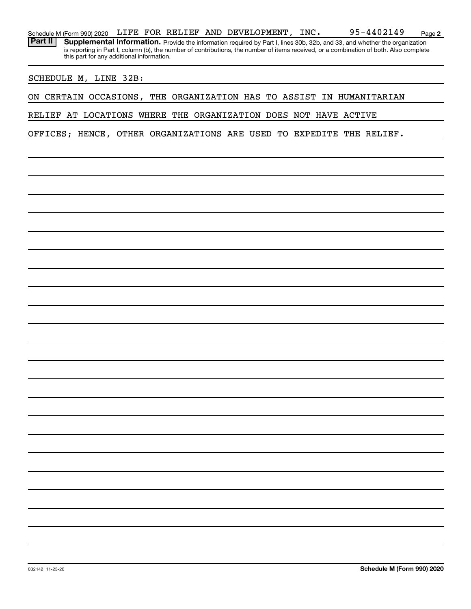| Schedule M (Form 990) 2020                                      |  |                                           | LIFE FOR RELIEF AND DEVELOPMENT, INC. |  |  |  | 95-4402149                                                                                                                                                                                                                                                           | Page 2 |
|-----------------------------------------------------------------|--|-------------------------------------------|---------------------------------------|--|--|--|----------------------------------------------------------------------------------------------------------------------------------------------------------------------------------------------------------------------------------------------------------------------|--------|
| Part II                                                         |  | this part for any additional information. |                                       |  |  |  | Supplemental Information. Provide the information required by Part I, lines 30b, 32b, and 33, and whether the organization<br>is reporting in Part I, column (b), the number of contributions, the number of items received, or a combination of both. Also complete |        |
| SCHEDULE M, LINE 32B:                                           |  |                                           |                                       |  |  |  |                                                                                                                                                                                                                                                                      |        |
| ON CERTAIN OCCASIONS,                                           |  |                                           |                                       |  |  |  | THE ORGANIZATION HAS TO ASSIST IN HUMANITARIAN                                                                                                                                                                                                                       |        |
| RELIEF AT LOCATIONS WHERE THE ORGANIZATION DOES NOT HAVE ACTIVE |  |                                           |                                       |  |  |  |                                                                                                                                                                                                                                                                      |        |
| OFFICES; HENCE, OTHER ORGANIZATIONS ARE USED TO EXPEDITE        |  |                                           |                                       |  |  |  | THE RELIEF.                                                                                                                                                                                                                                                          |        |
|                                                                 |  |                                           |                                       |  |  |  |                                                                                                                                                                                                                                                                      |        |
|                                                                 |  |                                           |                                       |  |  |  |                                                                                                                                                                                                                                                                      |        |
|                                                                 |  |                                           |                                       |  |  |  |                                                                                                                                                                                                                                                                      |        |
|                                                                 |  |                                           |                                       |  |  |  |                                                                                                                                                                                                                                                                      |        |
|                                                                 |  |                                           |                                       |  |  |  |                                                                                                                                                                                                                                                                      |        |
|                                                                 |  |                                           |                                       |  |  |  |                                                                                                                                                                                                                                                                      |        |
|                                                                 |  |                                           |                                       |  |  |  |                                                                                                                                                                                                                                                                      |        |
|                                                                 |  |                                           |                                       |  |  |  |                                                                                                                                                                                                                                                                      |        |
|                                                                 |  |                                           |                                       |  |  |  |                                                                                                                                                                                                                                                                      |        |
|                                                                 |  |                                           |                                       |  |  |  |                                                                                                                                                                                                                                                                      |        |
|                                                                 |  |                                           |                                       |  |  |  |                                                                                                                                                                                                                                                                      |        |
|                                                                 |  |                                           |                                       |  |  |  |                                                                                                                                                                                                                                                                      |        |
|                                                                 |  |                                           |                                       |  |  |  |                                                                                                                                                                                                                                                                      |        |
|                                                                 |  |                                           |                                       |  |  |  |                                                                                                                                                                                                                                                                      |        |
|                                                                 |  |                                           |                                       |  |  |  |                                                                                                                                                                                                                                                                      |        |
|                                                                 |  |                                           |                                       |  |  |  |                                                                                                                                                                                                                                                                      |        |
|                                                                 |  |                                           |                                       |  |  |  |                                                                                                                                                                                                                                                                      |        |
|                                                                 |  |                                           |                                       |  |  |  |                                                                                                                                                                                                                                                                      |        |
|                                                                 |  |                                           |                                       |  |  |  |                                                                                                                                                                                                                                                                      |        |
|                                                                 |  |                                           |                                       |  |  |  |                                                                                                                                                                                                                                                                      |        |
|                                                                 |  |                                           |                                       |  |  |  |                                                                                                                                                                                                                                                                      |        |
|                                                                 |  |                                           |                                       |  |  |  |                                                                                                                                                                                                                                                                      |        |
|                                                                 |  |                                           |                                       |  |  |  |                                                                                                                                                                                                                                                                      |        |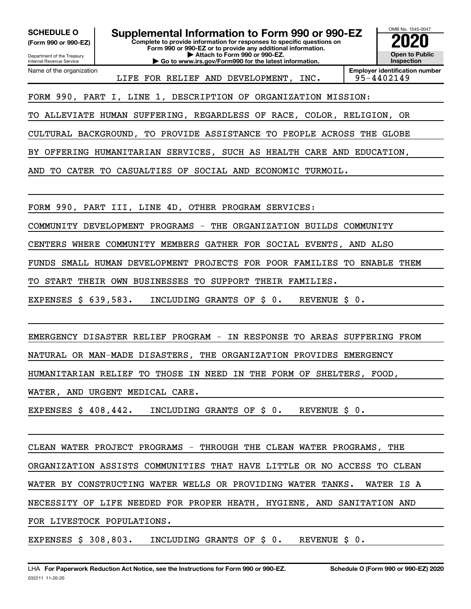**(Form 990 or 990-EZ)**

Department of the Treasury Internal Revenue Service

Name of the organization

**Complete to provide information for responses to specific questions on Form 990 or 990-EZ or to provide any additional information. SCHEDULE O Supplemental Information to Form 990 or 990-EZ 2020**<br>(Form 990 or 990-EZ) Complete to provide information for responses to specific questions on

**| Attach to Form 990 or 990-EZ. | Go to www.irs.gov/Form990 for the latest information.**



LIFE FOR RELIEF AND DEVELOPMENT, INC. | 95-4402149

FORM 990, PART I, LINE 1, DESCRIPTION OF ORGANIZATION MISSION:

TO ALLEVIATE HUMAN SUFFERING, REGARDLESS OF RACE, COLOR, RELIGION, OR

CULTURAL BACKGROUND, TO PROVIDE ASSISTANCE TO PEOPLE ACROSS THE GLOBE

BY OFFERING HUMANITARIAN SERVICES, SUCH AS HEALTH CARE AND EDUCATION,

AND TO CATER TO CASUALTIES OF SOCIAL AND ECONOMIC TURMOIL.

FORM 990, PART III, LINE 4D, OTHER PROGRAM SERVICES:

COMMUNITY DEVELOPMENT PROGRAMS - THE ORGANIZATION BUILDS COMMUNITY

CENTERS WHERE COMMUNITY MEMBERS GATHER FOR SOCIAL EVENTS, AND ALSO

FUNDS SMALL HUMAN DEVELOPMENT PROJECTS FOR POOR FAMILIES TO ENABLE THEM

TO START THEIR OWN BUSINESSES TO SUPPORT THEIR FAMILIES.

EXPENSES \$ 639,583. INCLUDING GRANTS OF \$ 0. REVENUE \$ 0.

EMERGENCY DISASTER RELIEF PROGRAM - IN RESPONSE TO AREAS SUFFERING FROM

NATURAL OR MAN-MADE DISASTERS, THE ORGANIZATION PROVIDES EMERGENCY

HUMANITARIAN RELIEF TO THOSE IN NEED IN THE FORM OF SHELTERS, FOOD,

WATER, AND URGENT MEDICAL CARE.

EXPENSES \$ 408,442. INCLUDING GRANTS OF \$ 0. REVENUE \$ 0.

CLEAN WATER PROJECT PROGRAMS - THROUGH THE CLEAN WATER PROGRAMS, THE ORGANIZATION ASSISTS COMMUNITIES THAT HAVE LITTLE OR NO ACCESS TO CLEAN WATER BY CONSTRUCTING WATER WELLS OR PROVIDING WATER TANKS. WATER IS A NECESSITY OF LIFE NEEDED FOR PROPER HEATH, HYGIENE, AND SANITATION AND FOR LIVESTOCK POPULATIONS.

EXPENSES \$ 308,803. INCLUDING GRANTS OF \$ 0. REVENUE \$ 0.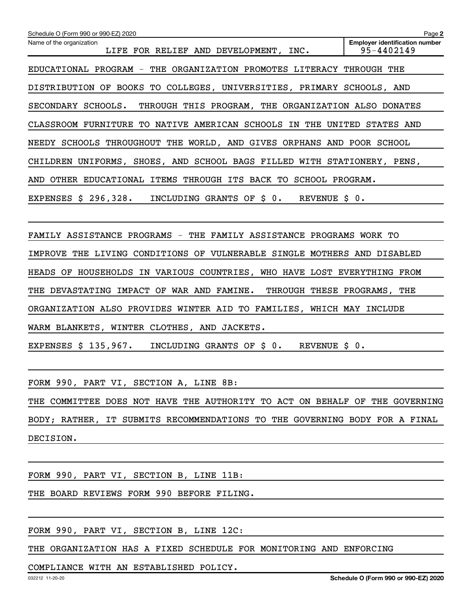| Schedule O (Form 990 or 990-EZ) 2020                                      | Page 2                                              |
|---------------------------------------------------------------------------|-----------------------------------------------------|
| Name of the organization<br>LIFE FOR RELIEF AND DEVELOPMENT, INC.         | <b>Employer identification number</b><br>95-4402149 |
| EDUCATIONAL PROGRAM - THE ORGANIZATION PROMOTES LITERACY THROUGH THE      |                                                     |
| DISTRIBUTION OF BOOKS TO COLLEGES, UNIVERSITIES, PRIMARY SCHOOLS, AND     |                                                     |
| THROUGH THIS PROGRAM, THE ORGANIZATION ALSO DONATES<br>SECONDARY SCHOOLS. |                                                     |
| CLASSROOM FURNITURE TO NATIVE AMERICAN SCHOOLS IN<br>THE                  | UNITED<br>STATES AND                                |
| NEEDY SCHOOLS THROUGHOUT THE WORLD, AND GIVES ORPHANS AND POOR SCHOOL     |                                                     |
| CHILDREN UNIFORMS, SHOES, AND SCHOOL BAGS FILLED WITH STATIONERY, PENS,   |                                                     |
| EDUCATIONAL ITEMS THROUGH ITS BACK TO SCHOOL PROGRAM.<br>OTHER<br>AND     |                                                     |
| EXPENSES $$296,328.$<br>GRANTS OF \$0.<br>INCLUDING<br>REVENUE            | $\boldsymbol{\mathsf{S}}$ 0.                        |
|                                                                           |                                                     |

FAMILY ASSISTANCE PROGRAMS - THE FAMILY ASSISTANCE PROGRAMS WORK TO IMPROVE THE LIVING CONDITIONS OF VULNERABLE SINGLE MOTHERS AND DISABLED HEADS OF HOUSEHOLDS IN VARIOUS COUNTRIES, WHO HAVE LOST EVERYTHING FROM THE DEVASTATING IMPACT OF WAR AND FAMINE. THROUGH THESE PROGRAMS, THE ORGANIZATION ALSO PROVIDES WINTER AID TO FAMILIES, WHICH MAY INCLUDE WARM BLANKETS, WINTER CLOTHES, AND JACKETS.

EXPENSES \$ 135,967. INCLUDING GRANTS OF \$ 0. REVENUE \$ 0.

FORM 990, PART VI, SECTION A, LINE 8B:

THE COMMITTEE DOES NOT HAVE THE AUTHORITY TO ACT ON BEHALF OF THE GOVERNING BODY; RATHER, IT SUBMITS RECOMMENDATIONS TO THE GOVERNING BODY FOR A FINAL DECISION.

FORM 990, PART VI, SECTION B, LINE 11B:

THE BOARD REVIEWS FORM 990 BEFORE FILING.

FORM 990, PART VI, SECTION B, LINE 12C:

THE ORGANIZATION HAS A FIXED SCHEDULE FOR MONITORING AND ENFORCING

### COMPLIANCE WITH AN ESTABLISHED POLICY.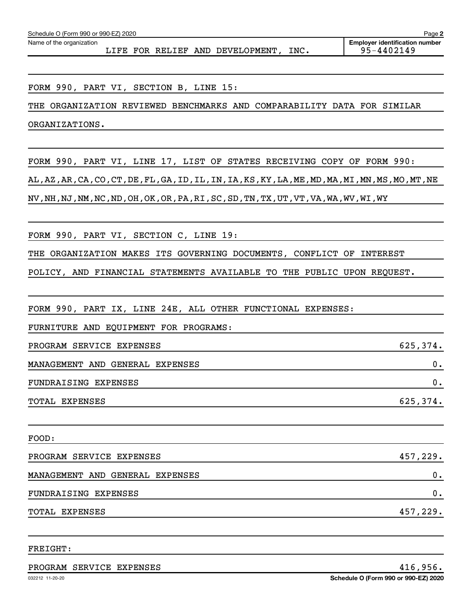Name of the organization

LIFE FOR RELIEF AND DEVELOPMENT, INC. 95-4402149

FORM 990, PART VI, SECTION B, LINE 15:

THE ORGANIZATION REVIEWED BENCHMARKS AND COMPARABILITY DATA FOR SIMILAR ORGANIZATIONS.

FORM 990, PART VI, LINE 17, LIST OF STATES RECEIVING COPY OF FORM 990: AL,AZ,AR,CA,CO,CT,DE,FL,GA,ID,IL,IN,IA,KS,KY,LA,ME,MD,MA,MI,MN,MS,MO,MT,NE NV,NH,NJ,NM,NC,ND,OH,OK,OR,PA,RI,SC,SD,TN,TX,UT,VT,VA,WA,WV,WI,WY

FORM 990, PART VI, SECTION C, LINE 19:

THE ORGANIZATION MAKES ITS GOVERNING DOCUMENTS, CONFLICT OF INTEREST

POLICY, AND FINANCIAL STATEMENTS AVAILABLE TO THE PUBLIC UPON REQUEST.

FORM 990, PART IX, LINE 24E, ALL OTHER FUNCTIONAL EXPENSES:

FURNITURE AND EQUIPMENT FOR PROGRAMS:

PROGRAM SERVICE EXPENSES **EXERVICE** 625,374.

MANAGEMENT AND GENERAL EXPENSES 0.

FUNDRAISING EXPENSES 0.

TOTAL EXPENSES 625,374.

| FOOD:                           |          |
|---------------------------------|----------|
| PROGRAM SERVICE EXPENSES        | 457,229. |
| MANAGEMENT AND GENERAL EXPENSES | ο.       |
| FUNDRAISING EXPENSES            | $0$ .    |
| TOTAL EXPENSES                  | 457,229. |

FREIGHT:

PROGRAM SERVICE EXPENSES **All Automobile 120 and 2012** and 416,956.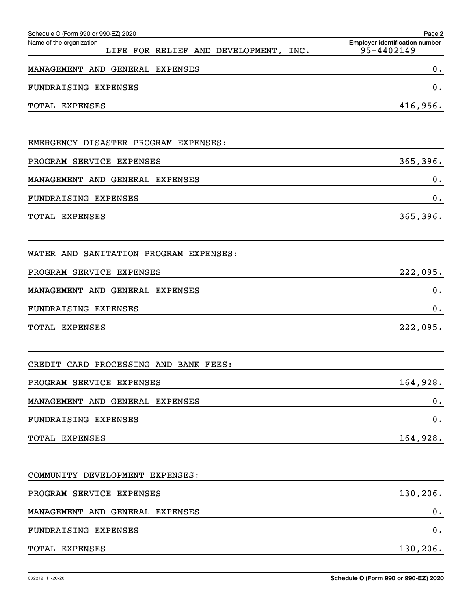| Schedule O (Form 990 or 990-EZ) 2020                                 | Page 2                                              |
|----------------------------------------------------------------------|-----------------------------------------------------|
| Name of the organization<br>LIFE FOR RELIEF AND DEVELOPMENT,<br>INC. | <b>Employer identification number</b><br>95-4402149 |
| MANAGEMENT AND GENERAL EXPENSES                                      | 0.                                                  |
| FUNDRAISING EXPENSES                                                 | 0.                                                  |
| TOTAL EXPENSES                                                       | 416,956.                                            |
| EMERGENCY DISASTER PROGRAM EXPENSES:                                 |                                                     |
| PROGRAM SERVICE EXPENSES                                             | 365, 396.                                           |
| MANAGEMENT AND GENERAL EXPENSES                                      | 0.                                                  |
| FUNDRAISING EXPENSES                                                 | 0.                                                  |
| TOTAL EXPENSES                                                       | 365, 396.                                           |
| SANITATION PROGRAM EXPENSES:<br>WATER AND                            |                                                     |
| PROGRAM SERVICE EXPENSES                                             | 222,095.                                            |
| MANAGEMENT AND GENERAL EXPENSES                                      | 0.                                                  |
| FUNDRAISING EXPENSES                                                 | 0.                                                  |
| <b>TOTAL EXPENSES</b>                                                | 222,095.                                            |
| CREDIT CARD PROCESSING AND BANK FEES:                                |                                                     |
| PROGRAM SERVICE EXPENSES                                             | 164,928.                                            |
| MANAGEMENT AND GENERAL EXPENSES                                      | 0.                                                  |
| FUNDRAISING EXPENSES                                                 | $\mathbf 0$ .                                       |
| TOTAL EXPENSES                                                       | 164,928.                                            |
| COMMUNITY DEVELOPMENT EXPENSES:                                      |                                                     |
| PROGRAM SERVICE EXPENSES                                             | 130,206.                                            |
| MANAGEMENT AND GENERAL EXPENSES                                      | 0.                                                  |
| FUNDRAISING EXPENSES                                                 | $\mathbf 0$ .                                       |
| TOTAL EXPENSES                                                       | 130,206.                                            |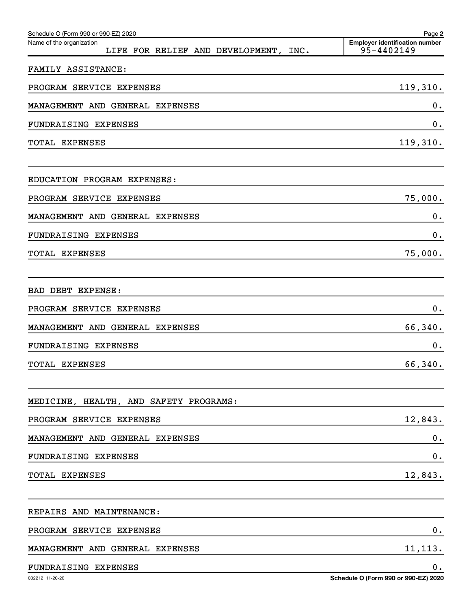| Schedule O (Form 990 or 990-EZ) 2020<br>Name of the organization<br>LIFE FOR RELIEF AND DEVELOPMENT, INC. | Page 2<br><b>Employer identification number</b><br>95-4402149 |
|-----------------------------------------------------------------------------------------------------------|---------------------------------------------------------------|
| FAMILY ASSISTANCE:                                                                                        |                                                               |
| PROGRAM SERVICE EXPENSES                                                                                  | 119,310.                                                      |
| MANAGEMENT AND GENERAL EXPENSES                                                                           | 0.                                                            |
| FUNDRAISING EXPENSES                                                                                      | 0.                                                            |
| TOTAL EXPENSES                                                                                            | 119,310.                                                      |
|                                                                                                           |                                                               |
| EDUCATION PROGRAM EXPENSES:                                                                               |                                                               |
| PROGRAM SERVICE EXPENSES                                                                                  | 75,000.                                                       |
| MANAGEMENT AND GENERAL EXPENSES                                                                           | 0.                                                            |
| FUNDRAISING EXPENSES                                                                                      | 0.                                                            |
| TOTAL EXPENSES                                                                                            | 75,000.                                                       |
| BAD DEBT EXPENSE:                                                                                         |                                                               |
| PROGRAM SERVICE EXPENSES                                                                                  | 0.                                                            |
| MANAGEMENT AND GENERAL EXPENSES                                                                           | 66,340.                                                       |
| FUNDRAISING EXPENSES                                                                                      | 0.                                                            |
| TOTAL EXPENSES                                                                                            | 66,340.                                                       |
| MEDICINE, HEALTH, AND SAFETY PROGRAMS:                                                                    |                                                               |
| PROGRAM SERVICE EXPENSES                                                                                  | 12,843.                                                       |
| MANAGEMENT AND GENERAL EXPENSES                                                                           | $\mathbf 0$ .                                                 |
| FUNDRAISING EXPENSES                                                                                      | 0.                                                            |
| TOTAL EXPENSES                                                                                            | 12,843.                                                       |
|                                                                                                           |                                                               |
| REPAIRS AND MAINTENANCE:                                                                                  |                                                               |
| PROGRAM SERVICE EXPENSES                                                                                  | 0.                                                            |
| MANAGEMENT AND GENERAL EXPENSES                                                                           | 11,113.                                                       |
| FUNDRAISING EXPENSES                                                                                      | 0.                                                            |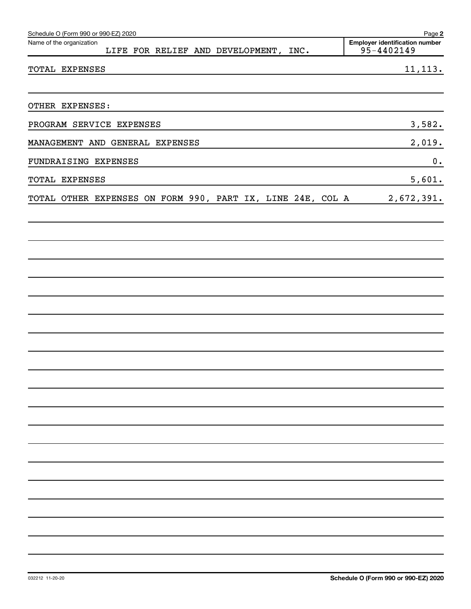| Schedule O (Form 990 or 990-EZ) 2020                              | Page 2                                              |
|-------------------------------------------------------------------|-----------------------------------------------------|
| Name of the organization<br>LIFE FOR RELIEF AND DEVELOPMENT, INC. | <b>Employer identification number</b><br>95-4402149 |
| TOTAL EXPENSES                                                    | 11, 113.                                            |
| OTHER EXPENSES:                                                   |                                                     |
| PROGRAM SERVICE EXPENSES                                          | 3,582.                                              |
| MANAGEMENT AND GENERAL EXPENSES                                   | 2,019.                                              |
| FUNDRAISING EXPENSES                                              | $\boldsymbol{0}$ .                                  |
| TOTAL EXPENSES                                                    | 5,601.                                              |
| TOTAL OTHER EXPENSES ON FORM 990, PART IX, LINE 24E, COL A        | 2,672,391.                                          |
|                                                                   |                                                     |
|                                                                   |                                                     |
|                                                                   |                                                     |
|                                                                   |                                                     |
|                                                                   |                                                     |
|                                                                   |                                                     |
|                                                                   |                                                     |
|                                                                   |                                                     |
|                                                                   |                                                     |
|                                                                   |                                                     |
|                                                                   |                                                     |
|                                                                   |                                                     |
|                                                                   |                                                     |
|                                                                   |                                                     |
|                                                                   |                                                     |
|                                                                   |                                                     |
|                                                                   |                                                     |
|                                                                   |                                                     |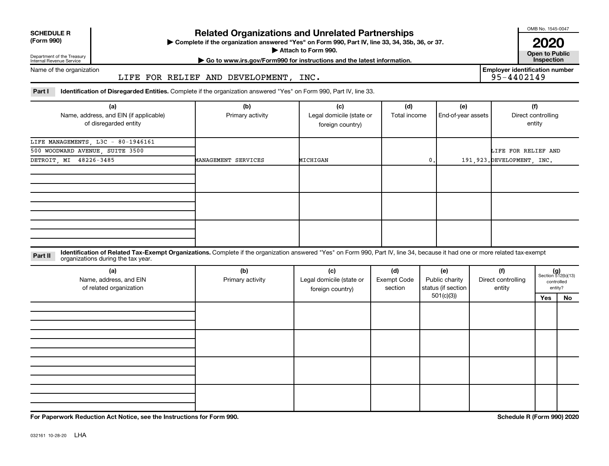| <b>SCHEDULE R</b> |  |
|-------------------|--|
|                   |  |

## Department of the Treasury

## **Related Organizations and Unrelated Partnerships**

**(Form 990) Complete if the organization answered "Yes" on Form 990, Part IV, line 33, 34, 35b, 36, or 37.** |

■ Attach to Form 990. **Dependent of Attach to Form 990.** Open to Public

OMB No. 1545-0047

**2020**<br>Open to Public

Internal Revenue Service Name of the organization **| Go to www.irs.gov/Form990 for instructions and the latest information. Inspection**

LIFE FOR RELIEF AND DEVELOPMENT, INC.

**Employer identification number**

Part I ldentification of Disregarded Entities. Complete if the organization answered "Yes" on Form 990, Part IV, line 33.

| (a)                                    | (b)                 | (c)                      | (d)          | (e)                | (f)                         |
|----------------------------------------|---------------------|--------------------------|--------------|--------------------|-----------------------------|
| Name, address, and EIN (if applicable) | Primary activity    | Legal domicile (state or | Total income | End-of-year assets | Direct controlling          |
| of disregarded entity                  |                     | foreign country)         |              |                    | entity                      |
| LIFE MANAGEMENTS, L3C - 80-1946161     |                     |                          |              |                    |                             |
| 500 WOODWARD AVENUE, SUITE 3500        |                     |                          |              |                    | LIFE FOR RELIEF AND         |
| DETROIT, MI 48226-3485                 | MANAGEMENT SERVICES | MICHIGAN                 | 0.           |                    | 191, 923. DEVELOPMENT, INC. |
|                                        |                     |                          |              |                    |                             |
|                                        |                     |                          |              |                    |                             |
|                                        |                     |                          |              |                    |                             |
|                                        |                     |                          |              |                    |                             |
|                                        |                     |                          |              |                    |                             |
|                                        |                     |                          |              |                    |                             |
|                                        |                     |                          |              |                    |                             |
|                                        |                     |                          |              |                    |                             |
|                                        |                     |                          |              |                    |                             |

Part II ldentification of Related Tax-Exempt Organizations. Complete if the organization answered "Yes" on Form 990, Part IV, line 34, because it had one or more related tax-exempt<br>Part II acconizations during the tox veer organizations during the tax year.

| (a)<br>Name, address, and EIN<br>of related organization | (b)<br>Primary activity | (c)<br>Legal domicile (state or<br>foreign country) | (d)<br><b>Exempt Code</b><br>section | (e)<br>Public charity<br>status (if section | (f)<br>Direct controlling<br>entity | $(g)$<br>Section 512(b)(13) | controlled<br>entity? |
|----------------------------------------------------------|-------------------------|-----------------------------------------------------|--------------------------------------|---------------------------------------------|-------------------------------------|-----------------------------|-----------------------|
|                                                          |                         |                                                     |                                      | 501(c)(3))                                  |                                     | Yes                         | No                    |
|                                                          |                         |                                                     |                                      |                                             |                                     |                             |                       |
|                                                          |                         |                                                     |                                      |                                             |                                     |                             |                       |
|                                                          |                         |                                                     |                                      |                                             |                                     |                             |                       |
|                                                          |                         |                                                     |                                      |                                             |                                     |                             |                       |
|                                                          |                         |                                                     |                                      |                                             |                                     |                             |                       |
|                                                          |                         |                                                     |                                      |                                             |                                     |                             |                       |
|                                                          |                         |                                                     |                                      |                                             |                                     |                             |                       |
|                                                          |                         |                                                     |                                      |                                             |                                     |                             |                       |
|                                                          |                         |                                                     |                                      |                                             |                                     |                             |                       |
|                                                          |                         |                                                     |                                      |                                             |                                     |                             |                       |
|                                                          |                         |                                                     |                                      |                                             |                                     |                             |                       |

**For Paperwork Reduction Act Notice, see the Instructions for Form 990. Schedule R (Form 990) 2020**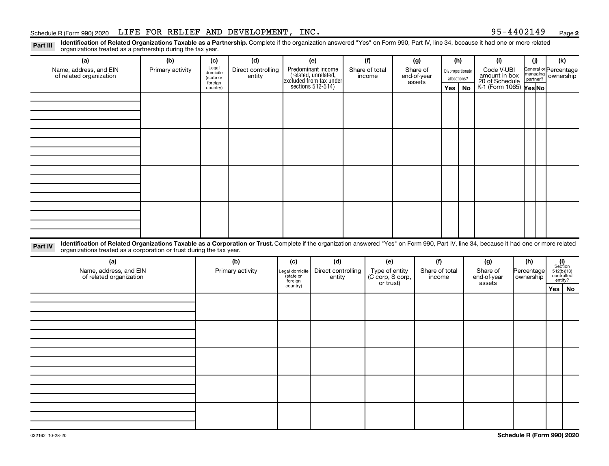#### Schedule R (Form 990) 2020 Page LIFE FOR RELIEF AND DEVELOPMENT, INC. 95-4402149

**2**

Part III Identification of Related Organizations Taxable as a Partnership. Complete if the organization answered "Yes" on Form 990, Part IV, line 34, because it had one or more related<br>Read to the connections tracted as a organizations treated as a partnership during the tax year.

| organizations trouted as a partnersing darning the tax year.                                                                                                                                                                                                                |                  |                     |                                         |                               |                                                                                            |     |                                    |     |                |     |                  |                        |              |                                               |                                    |                       |  |  |
|-----------------------------------------------------------------------------------------------------------------------------------------------------------------------------------------------------------------------------------------------------------------------------|------------------|---------------------|-----------------------------------------|-------------------------------|--------------------------------------------------------------------------------------------|-----|------------------------------------|-----|----------------|-----|------------------|------------------------|--------------|-----------------------------------------------|------------------------------------|-----------------------|--|--|
| (a)<br>(b)                                                                                                                                                                                                                                                                  |                  | (d)<br>(c)          |                                         | (e)                           |                                                                                            | (f) |                                    | (g) |                | (h) |                  | (i)                    |              | (i)                                           | (k)                                |                       |  |  |
| Name, address, and EIN                                                                                                                                                                                                                                                      | Primary activity |                     | Legal<br>Direct controlling<br>domicile |                               | Predominant income<br>(related, unrelated,<br>excluded from tax under<br>sections 512-514) |     | Share of total                     |     | Share of       |     | Disproportionate |                        |              | Code V-UBI<br>amount in box<br>20 of Schedule |                                    | General or Percentage |  |  |
| of related organization                                                                                                                                                                                                                                                     |                  | (state or           | entity                                  |                               |                                                                                            |     | income                             |     | end-of-year    |     | assets           |                        | allocations? |                                               |                                    | managing ownership    |  |  |
|                                                                                                                                                                                                                                                                             |                  | foreign<br>country) |                                         |                               |                                                                                            |     |                                    |     |                | Yes | No               | K-1 (Form 1065) Yes No |              |                                               |                                    |                       |  |  |
|                                                                                                                                                                                                                                                                             |                  |                     |                                         |                               |                                                                                            |     |                                    |     |                |     |                  |                        |              |                                               |                                    |                       |  |  |
|                                                                                                                                                                                                                                                                             |                  |                     |                                         |                               |                                                                                            |     |                                    |     |                |     |                  |                        |              |                                               |                                    |                       |  |  |
|                                                                                                                                                                                                                                                                             |                  |                     |                                         |                               |                                                                                            |     |                                    |     |                |     |                  |                        |              |                                               |                                    |                       |  |  |
|                                                                                                                                                                                                                                                                             |                  |                     |                                         |                               |                                                                                            |     |                                    |     |                |     |                  |                        |              |                                               |                                    |                       |  |  |
|                                                                                                                                                                                                                                                                             |                  |                     |                                         |                               |                                                                                            |     |                                    |     |                |     |                  |                        |              |                                               |                                    |                       |  |  |
|                                                                                                                                                                                                                                                                             |                  |                     |                                         |                               |                                                                                            |     |                                    |     |                |     |                  |                        |              |                                               |                                    |                       |  |  |
|                                                                                                                                                                                                                                                                             |                  |                     |                                         |                               |                                                                                            |     |                                    |     |                |     |                  |                        |              |                                               |                                    |                       |  |  |
|                                                                                                                                                                                                                                                                             |                  |                     |                                         |                               |                                                                                            |     |                                    |     |                |     |                  |                        |              |                                               |                                    |                       |  |  |
|                                                                                                                                                                                                                                                                             |                  |                     |                                         |                               |                                                                                            |     |                                    |     |                |     |                  |                        |              |                                               |                                    |                       |  |  |
|                                                                                                                                                                                                                                                                             |                  |                     |                                         |                               |                                                                                            |     |                                    |     |                |     |                  |                        |              |                                               |                                    |                       |  |  |
|                                                                                                                                                                                                                                                                             |                  |                     |                                         |                               |                                                                                            |     |                                    |     |                |     |                  |                        |              |                                               |                                    |                       |  |  |
|                                                                                                                                                                                                                                                                             |                  |                     |                                         |                               |                                                                                            |     |                                    |     |                |     |                  |                        |              |                                               |                                    |                       |  |  |
|                                                                                                                                                                                                                                                                             |                  |                     |                                         |                               |                                                                                            |     |                                    |     |                |     |                  |                        |              |                                               |                                    |                       |  |  |
|                                                                                                                                                                                                                                                                             |                  |                     |                                         |                               |                                                                                            |     |                                    |     |                |     |                  |                        |              |                                               |                                    |                       |  |  |
|                                                                                                                                                                                                                                                                             |                  |                     |                                         |                               |                                                                                            |     |                                    |     |                |     |                  |                        |              |                                               |                                    |                       |  |  |
|                                                                                                                                                                                                                                                                             |                  |                     |                                         |                               |                                                                                            |     |                                    |     |                |     |                  |                        |              |                                               |                                    |                       |  |  |
|                                                                                                                                                                                                                                                                             |                  |                     |                                         |                               |                                                                                            |     |                                    |     |                |     |                  |                        |              |                                               |                                    |                       |  |  |
| Identification of Related Organizations Taxable as a Corporation or Trust. Complete if the organization answered "Yes" on Form 990, Part IV, line 34, because it had one or more related<br>Part IV<br>organizations treated as a corporation or trust during the tax year. |                  |                     |                                         |                               |                                                                                            |     |                                    |     |                |     |                  |                        |              |                                               |                                    |                       |  |  |
| (a)                                                                                                                                                                                                                                                                         |                  |                     | (b)                                     | (c)                           | (d)                                                                                        |     | (e)                                |     | (f)            |     |                  | (g)                    |              | (h)                                           | (i)<br>Section                     |                       |  |  |
| Name, address, and EIN                                                                                                                                                                                                                                                      |                  |                     | Primary activity                        | Legal domicile                | Direct controlling                                                                         |     |                                    |     | Share of total |     | Share of         |                        |              | Percentage                                    |                                    |                       |  |  |
| of related organization                                                                                                                                                                                                                                                     |                  |                     |                                         | state or<br>entity<br>foreign |                                                                                            |     | Type of entity<br>(C corp, S corp, |     | income         |     |                  | end-of-year            |              | ownership                                     | $512(b)(13)$ controlled<br>entity? |                       |  |  |
|                                                                                                                                                                                                                                                                             |                  |                     |                                         | country)                      |                                                                                            |     | or trust)                          |     |                |     |                  | assets                 |              |                                               | Yes   No                           |                       |  |  |
|                                                                                                                                                                                                                                                                             |                  |                     |                                         |                               |                                                                                            |     |                                    |     |                |     |                  |                        |              |                                               |                                    |                       |  |  |
|                                                                                                                                                                                                                                                                             |                  |                     |                                         |                               |                                                                                            |     |                                    |     |                |     |                  |                        |              |                                               |                                    |                       |  |  |
|                                                                                                                                                                                                                                                                             |                  |                     |                                         |                               |                                                                                            |     |                                    |     |                |     |                  |                        |              |                                               |                                    |                       |  |  |
|                                                                                                                                                                                                                                                                             |                  |                     |                                         |                               |                                                                                            |     |                                    |     |                |     |                  |                        |              |                                               |                                    |                       |  |  |
|                                                                                                                                                                                                                                                                             |                  |                     |                                         |                               |                                                                                            |     |                                    |     |                |     |                  |                        |              |                                               |                                    |                       |  |  |
|                                                                                                                                                                                                                                                                             |                  |                     |                                         |                               |                                                                                            |     |                                    |     |                |     |                  |                        |              |                                               |                                    |                       |  |  |
|                                                                                                                                                                                                                                                                             |                  |                     |                                         |                               |                                                                                            |     |                                    |     |                |     |                  |                        |              |                                               |                                    |                       |  |  |
|                                                                                                                                                                                                                                                                             |                  |                     |                                         |                               |                                                                                            |     |                                    |     |                |     |                  |                        |              |                                               |                                    |                       |  |  |
|                                                                                                                                                                                                                                                                             |                  |                     |                                         |                               |                                                                                            |     |                                    |     |                |     |                  |                        |              |                                               |                                    |                       |  |  |
|                                                                                                                                                                                                                                                                             |                  |                     |                                         |                               |                                                                                            |     |                                    |     |                |     |                  |                        |              |                                               |                                    |                       |  |  |
|                                                                                                                                                                                                                                                                             |                  |                     |                                         |                               |                                                                                            |     |                                    |     |                |     |                  |                        |              |                                               |                                    |                       |  |  |
|                                                                                                                                                                                                                                                                             |                  |                     |                                         |                               |                                                                                            |     |                                    |     |                |     |                  |                        |              |                                               |                                    |                       |  |  |
|                                                                                                                                                                                                                                                                             |                  |                     |                                         |                               |                                                                                            |     |                                    |     |                |     |                  |                        |              |                                               |                                    |                       |  |  |
|                                                                                                                                                                                                                                                                             |                  |                     |                                         |                               |                                                                                            |     |                                    |     |                |     |                  |                        |              |                                               |                                    |                       |  |  |
|                                                                                                                                                                                                                                                                             |                  |                     |                                         |                               |                                                                                            |     |                                    |     |                |     |                  |                        |              |                                               |                                    |                       |  |  |
|                                                                                                                                                                                                                                                                             |                  |                     |                                         |                               |                                                                                            |     |                                    |     |                |     |                  |                        |              |                                               |                                    |                       |  |  |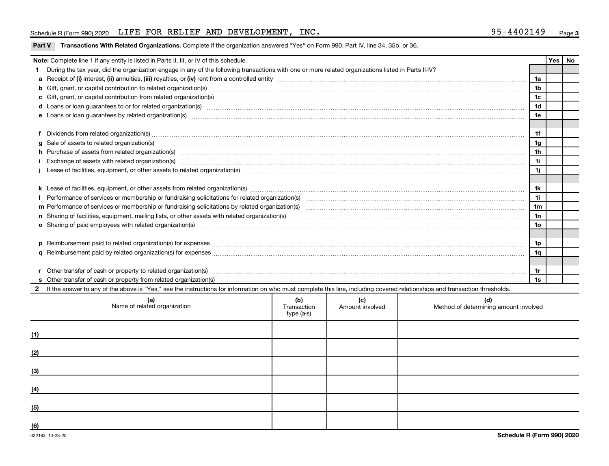#### Schedule R (Form 990) 2020 Page LIFE FOR RELIEF AND DEVELOPMENT, INC. 95-4402149

| Yes   No                                                                                                                                                                                                                       |                                                                                                                                                                                                                                |  |  |  |                |  |  |  |  |
|--------------------------------------------------------------------------------------------------------------------------------------------------------------------------------------------------------------------------------|--------------------------------------------------------------------------------------------------------------------------------------------------------------------------------------------------------------------------------|--|--|--|----------------|--|--|--|--|
|                                                                                                                                                                                                                                | Note: Complete line 1 if any entity is listed in Parts II, III, or IV of this schedule.                                                                                                                                        |  |  |  |                |  |  |  |  |
|                                                                                                                                                                                                                                | During the tax year, did the organization engage in any of the following transactions with one or more related organizations listed in Parts II-IV?                                                                            |  |  |  |                |  |  |  |  |
|                                                                                                                                                                                                                                |                                                                                                                                                                                                                                |  |  |  |                |  |  |  |  |
|                                                                                                                                                                                                                                | b Gift, grant, or capital contribution to related organization(s) manufactured content to content and contribution to related organization(s) manufactured content and content of the content of the content of the content of |  |  |  |                |  |  |  |  |
|                                                                                                                                                                                                                                |                                                                                                                                                                                                                                |  |  |  |                |  |  |  |  |
|                                                                                                                                                                                                                                | d Loans or loan guarantees to or for related organization(s) www.communically.com/www.communically.com/www.communically.com/www.communically.com/www.communically.com/www.communically.com/www.communically.com/www.communical |  |  |  |                |  |  |  |  |
|                                                                                                                                                                                                                                |                                                                                                                                                                                                                                |  |  |  |                |  |  |  |  |
|                                                                                                                                                                                                                                |                                                                                                                                                                                                                                |  |  |  |                |  |  |  |  |
|                                                                                                                                                                                                                                | Dividends from related organization(s) machinesis and contract and contract and contract and contract and contract and contract and contract and contract and contract and contract and contract and contract and contract and |  |  |  | 1f             |  |  |  |  |
| a                                                                                                                                                                                                                              | Sale of assets to related organization(s) www.assets.com/www.assets.com/www.assets.com/www.assets.com/www.assets.com/www.assets.com/www.assets.com/www.assets.com/www.assets.com/www.assets.com/www.assets.com/www.assets.com/ |  |  |  | 1g             |  |  |  |  |
|                                                                                                                                                                                                                                | h Purchase of assets from related organization(s) manufactured and content to content the content of assets from related organization(s)                                                                                       |  |  |  | 1 <sub>h</sub> |  |  |  |  |
|                                                                                                                                                                                                                                | Exchange of assets with related organization(s) www.wallen.com/www.wallen.com/www.wallen.com/www.wallen.com/www.wallen.com/www.wallen.com/www.wallen.com/www.wallen.com/www.wallen.com/www.wallen.com/www.wallen.com/www.walle |  |  |  | 11             |  |  |  |  |
|                                                                                                                                                                                                                                |                                                                                                                                                                                                                                |  |  |  | 1j             |  |  |  |  |
|                                                                                                                                                                                                                                |                                                                                                                                                                                                                                |  |  |  |                |  |  |  |  |
|                                                                                                                                                                                                                                |                                                                                                                                                                                                                                |  |  |  |                |  |  |  |  |
|                                                                                                                                                                                                                                |                                                                                                                                                                                                                                |  |  |  |                |  |  |  |  |
|                                                                                                                                                                                                                                |                                                                                                                                                                                                                                |  |  |  |                |  |  |  |  |
|                                                                                                                                                                                                                                |                                                                                                                                                                                                                                |  |  |  |                |  |  |  |  |
|                                                                                                                                                                                                                                | o Sharing of paid employees with related organization(s) manufactured content to the state of paid employees with related organization(s)                                                                                      |  |  |  |                |  |  |  |  |
|                                                                                                                                                                                                                                |                                                                                                                                                                                                                                |  |  |  |                |  |  |  |  |
|                                                                                                                                                                                                                                |                                                                                                                                                                                                                                |  |  |  | 1p             |  |  |  |  |
|                                                                                                                                                                                                                                |                                                                                                                                                                                                                                |  |  |  |                |  |  |  |  |
|                                                                                                                                                                                                                                |                                                                                                                                                                                                                                |  |  |  |                |  |  |  |  |
| Other transfer of cash or property to related organization(s) www.communically.com/www.communically.com/www.communically.com/www.communically.com/www.communically.com/www.communically.com/www.communically.com/www.communica |                                                                                                                                                                                                                                |  |  |  |                |  |  |  |  |
|                                                                                                                                                                                                                                |                                                                                                                                                                                                                                |  |  |  |                |  |  |  |  |
| 2 If the answer to any of the above is "Yes," see the instructions for information on who must complete this line, including covered relationships and transaction thresholds.                                                 |                                                                                                                                                                                                                                |  |  |  |                |  |  |  |  |
| (b)<br>(c)<br>(d)<br>Name of related organization<br>Method of determining amount involved<br>Amount involved<br>Transaction<br>type (a-s)                                                                                     |                                                                                                                                                                                                                                |  |  |  |                |  |  |  |  |

|     | ivame or related organization | <b>Transaction</b><br>type (a-s) | Amount involved | Method of determining amount involved |
|-----|-------------------------------|----------------------------------|-----------------|---------------------------------------|
| (1) |                               |                                  |                 |                                       |
| (2) |                               |                                  |                 |                                       |
| (3) |                               |                                  |                 |                                       |
| (4) |                               |                                  |                 |                                       |
| (5) |                               |                                  |                 |                                       |
| (6) |                               |                                  |                 |                                       |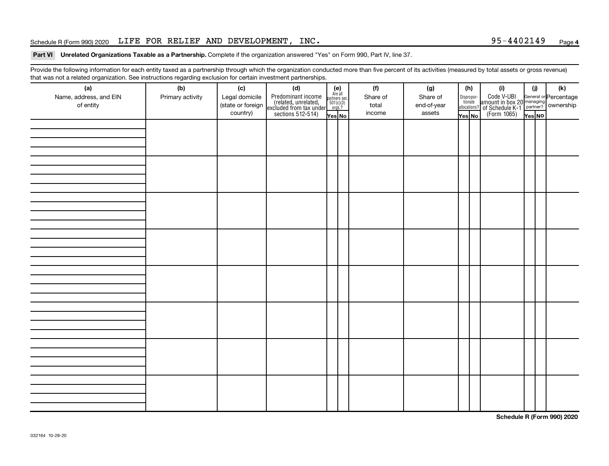#### Schedule R (Form 990) 2020 Page LIFE FOR RELIEF AND DEVELOPMENT, INC. 95-4402149

#### Part VI Unrelated Organizations Taxable as a Partnership. Complete if the organization answered "Yes" on Form 990, Part IV, line 37.

Provide the following information for each entity taxed as a partnership through which the organization conducted more than five percent of its activities (measured by total assets or gross revenue) that was not a related organization. See instructions regarding exclusion for certain investment partnerships.

| (a)<br>Name, address, and EIN<br>of entity | - 0<br>- <u>.</u><br>(b)<br>Primary activity | (c)<br>Legal domicile<br>(state or foreign<br>country) | -----------<br>(d)<br>Predominant income<br>(related, unrelated,<br>excluded from tax under<br>sections 512-514) | (e)<br>Are all<br>partners sec.<br>$\frac{501(c)(3)}{0rgs?}$<br>Yes No | (f)<br>Share of<br>total<br>income | (g)<br>Share of<br>end-of-year<br>assets | (h)<br>Dispropor-<br>tionate<br>allocations?<br>Yes No | (i)<br>Code V-UBI<br>amount in box 20 managing<br>of Schedule K-1<br>Form 1065)<br>$\frac{1}{\sqrt{1+\frac{1}{1+\frac{1}{1+\frac{1}{1+\frac{1}{1+\frac{1}{1+\frac{1}{1+\frac{1}{1+\frac{1}{1+\frac{1}{1+\frac{1}{1+\frac{1}{1+\frac{1}{1+\frac{1}{1+\frac{1}{1+\frac{1}{1+\frac{1}{1+\frac{1}{1+\frac{1}{1+\frac{1}{1+\frac{1}{1+\frac{1}{1+\frac{1}{1+\frac{1}{1+\frac{1}{1+\frac{1$ | (j)<br>Yes NO | $(\mathsf{k})$ |
|--------------------------------------------|----------------------------------------------|--------------------------------------------------------|------------------------------------------------------------------------------------------------------------------|------------------------------------------------------------------------|------------------------------------|------------------------------------------|--------------------------------------------------------|---------------------------------------------------------------------------------------------------------------------------------------------------------------------------------------------------------------------------------------------------------------------------------------------------------------------------------------------------------------------------------------|---------------|----------------|
|                                            |                                              |                                                        |                                                                                                                  |                                                                        |                                    |                                          |                                                        |                                                                                                                                                                                                                                                                                                                                                                                       |               |                |
|                                            |                                              |                                                        |                                                                                                                  |                                                                        |                                    |                                          |                                                        |                                                                                                                                                                                                                                                                                                                                                                                       |               |                |
|                                            |                                              |                                                        |                                                                                                                  |                                                                        |                                    |                                          |                                                        |                                                                                                                                                                                                                                                                                                                                                                                       |               |                |
|                                            |                                              |                                                        |                                                                                                                  |                                                                        |                                    |                                          |                                                        |                                                                                                                                                                                                                                                                                                                                                                                       |               |                |
|                                            |                                              |                                                        |                                                                                                                  |                                                                        |                                    |                                          |                                                        |                                                                                                                                                                                                                                                                                                                                                                                       |               |                |
|                                            |                                              |                                                        |                                                                                                                  |                                                                        |                                    |                                          |                                                        |                                                                                                                                                                                                                                                                                                                                                                                       |               |                |
|                                            |                                              |                                                        |                                                                                                                  |                                                                        |                                    |                                          |                                                        |                                                                                                                                                                                                                                                                                                                                                                                       |               |                |
|                                            |                                              |                                                        |                                                                                                                  |                                                                        |                                    |                                          |                                                        |                                                                                                                                                                                                                                                                                                                                                                                       |               |                |

**Schedule R (Form 990) 2020**